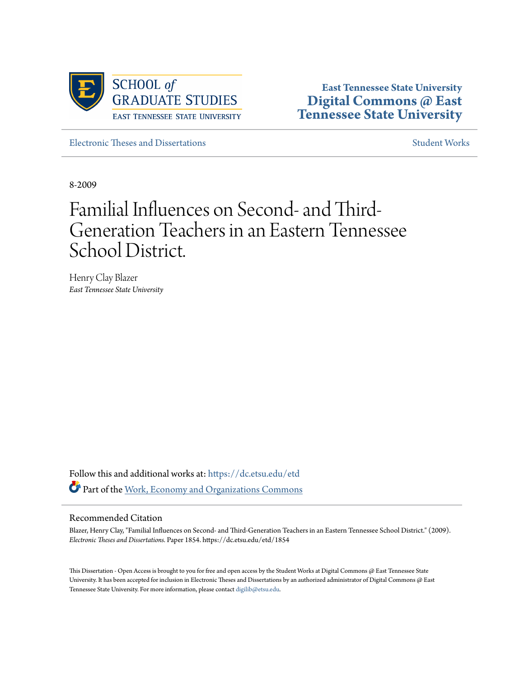

**East Tennessee State University [Digital Commons @ East](https://dc.etsu.edu?utm_source=dc.etsu.edu%2Fetd%2F1854&utm_medium=PDF&utm_campaign=PDFCoverPages) [Tennessee State University](https://dc.etsu.edu?utm_source=dc.etsu.edu%2Fetd%2F1854&utm_medium=PDF&utm_campaign=PDFCoverPages)**

[Electronic Theses and Dissertations](https://dc.etsu.edu/etd?utm_source=dc.etsu.edu%2Fetd%2F1854&utm_medium=PDF&utm_campaign=PDFCoverPages) [Student Works](https://dc.etsu.edu/student-works?utm_source=dc.etsu.edu%2Fetd%2F1854&utm_medium=PDF&utm_campaign=PDFCoverPages) Student Works

8-2009

# Familial Influences on Second- and Third-Generation Teachers in an Eastern Tennessee School District.

Henry Clay Blazer *East Tennessee State University*

Follow this and additional works at: [https://dc.etsu.edu/etd](https://dc.etsu.edu/etd?utm_source=dc.etsu.edu%2Fetd%2F1854&utm_medium=PDF&utm_campaign=PDFCoverPages) Part of the [Work, Economy and Organizations Commons](http://network.bepress.com/hgg/discipline/433?utm_source=dc.etsu.edu%2Fetd%2F1854&utm_medium=PDF&utm_campaign=PDFCoverPages)

#### Recommended Citation

Blazer, Henry Clay, "Familial Influences on Second- and Third-Generation Teachers in an Eastern Tennessee School District." (2009). *Electronic Theses and Dissertations.* Paper 1854. https://dc.etsu.edu/etd/1854

This Dissertation - Open Access is brought to you for free and open access by the Student Works at Digital Commons @ East Tennessee State University. It has been accepted for inclusion in Electronic Theses and Dissertations by an authorized administrator of Digital Commons @ East Tennessee State University. For more information, please contact [digilib@etsu.edu.](mailto:digilib@etsu.edu)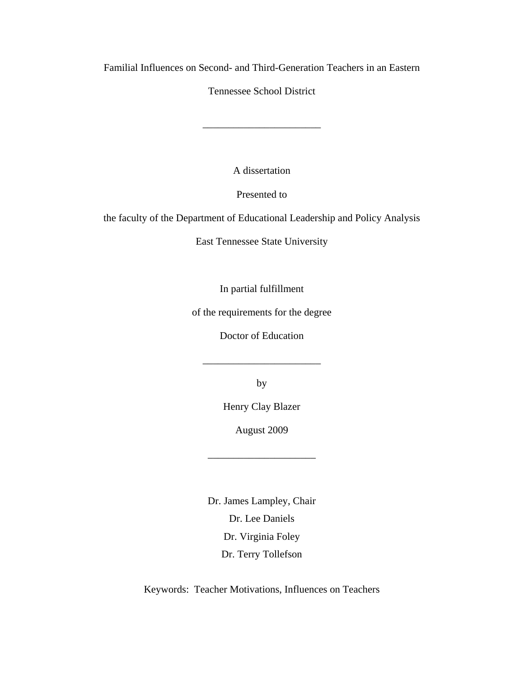Familial Influences on Second- and Third-Generation Teachers in an Eastern

Tennessee School District

\_\_\_\_\_\_\_\_\_\_\_\_\_\_\_\_\_\_\_\_\_\_\_

A dissertation

Presented to

the faculty of the Department of Educational Leadership and Policy Analysis

East Tennessee State University

In partial fulfillment

of the requirements for the degree

Doctor of Education

\_\_\_\_\_\_\_\_\_\_\_\_\_\_\_\_\_\_\_\_\_\_\_

by

Henry Clay Blazer

August 2009

\_\_\_\_\_\_\_\_\_\_\_\_\_\_\_\_\_\_\_\_\_

Dr. James Lampley, Chair Dr. Lee Daniels Dr. Virginia Foley Dr. Terry Tollefson

Keywords: Teacher Motivations, Influences on Teachers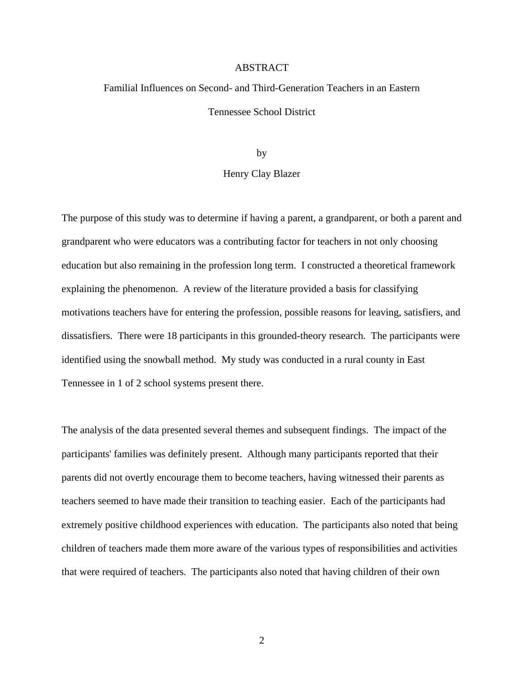#### ABSTRACT

## Familial Influences on Second- and Third-Generation Teachers in an Eastern Tennessee School District

by

#### Henry Clay Blazer

The purpose of this study was to determine if having a parent, a grandparent, or both a parent and grandparent who were educators was a contributing factor for teachers in not only choosing education but also remaining in the profession long term. I constructed a theoretical framework explaining the phenomenon. A review of the literature provided a basis for classifying motivations teachers have for entering the profession, possible reasons for leaving, satisfiers, and dissatisfiers. There were 18 participants in this grounded-theory research. The participants were identified using the snowball method. My study was conducted in a rural county in East Tennessee in 1 of 2 school systems present there.

The analysis of the data presented several themes and subsequent findings. The impact of the participants' families was definitely present. Although many participants reported that their parents did not overtly encourage them to become teachers, having witnessed their parents as teachers seemed to have made their transition to teaching easier. Each of the participants had extremely positive childhood experiences with education. The participants also noted that being children of teachers made them more aware of the various types of responsibilities and activities that were required of teachers. The participants also noted that having children of their own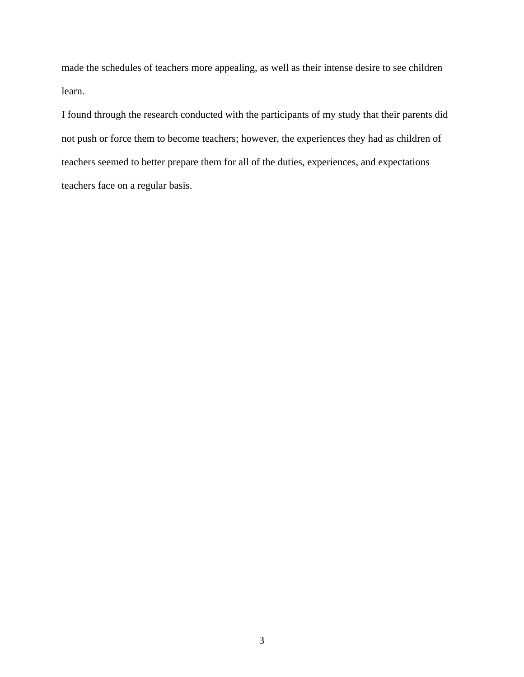made the schedules of teachers more appealing, as well as their intense desire to see children learn.

I found through the research conducted with the participants of my study that their parents did not push or force them to become teachers; however, the experiences they had as children of teachers seemed to better prepare them for all of the duties, experiences, and expectations teachers face on a regular basis.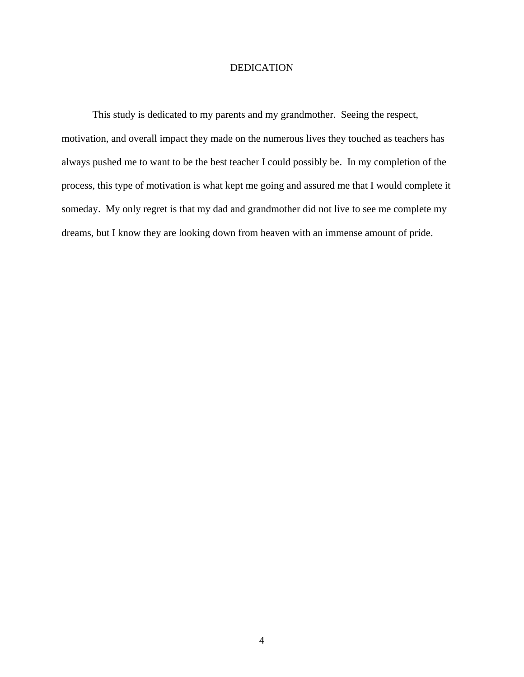#### DEDICATION

This study is dedicated to my parents and my grandmother. Seeing the respect, motivation, and overall impact they made on the numerous lives they touched as teachers has always pushed me to want to be the best teacher I could possibly be. In my completion of the process, this type of motivation is what kept me going and assured me that I would complete it someday. My only regret is that my dad and grandmother did not live to see me complete my dreams, but I know they are looking down from heaven with an immense amount of pride.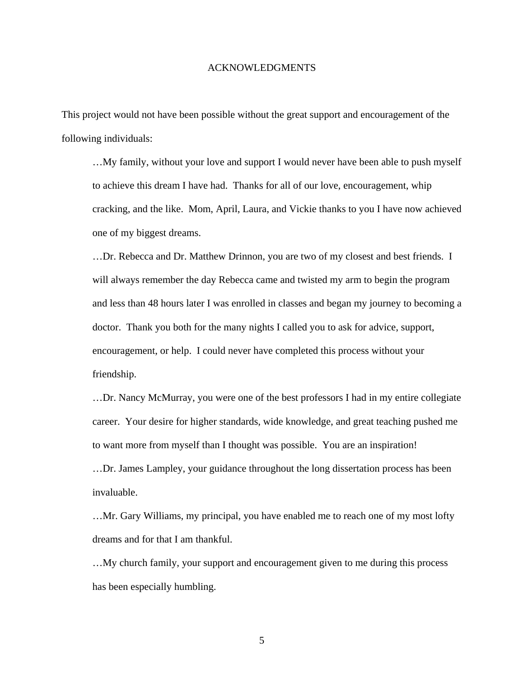#### ACKNOWLEDGMENTS

This project would not have been possible without the great support and encouragement of the following individuals:

…My family, without your love and support I would never have been able to push myself to achieve this dream I have had. Thanks for all of our love, encouragement, whip cracking, and the like. Mom, April, Laura, and Vickie thanks to you I have now achieved one of my biggest dreams.

…Dr. Rebecca and Dr. Matthew Drinnon, you are two of my closest and best friends. I will always remember the day Rebecca came and twisted my arm to begin the program and less than 48 hours later I was enrolled in classes and began my journey to becoming a doctor. Thank you both for the many nights I called you to ask for advice, support, encouragement, or help. I could never have completed this process without your friendship.

…Dr. Nancy McMurray, you were one of the best professors I had in my entire collegiate career. Your desire for higher standards, wide knowledge, and great teaching pushed me to want more from myself than I thought was possible. You are an inspiration! …Dr. James Lampley, your guidance throughout the long dissertation process has been invaluable.

…Mr. Gary Williams, my principal, you have enabled me to reach one of my most lofty dreams and for that I am thankful.

…My church family, your support and encouragement given to me during this process has been especially humbling.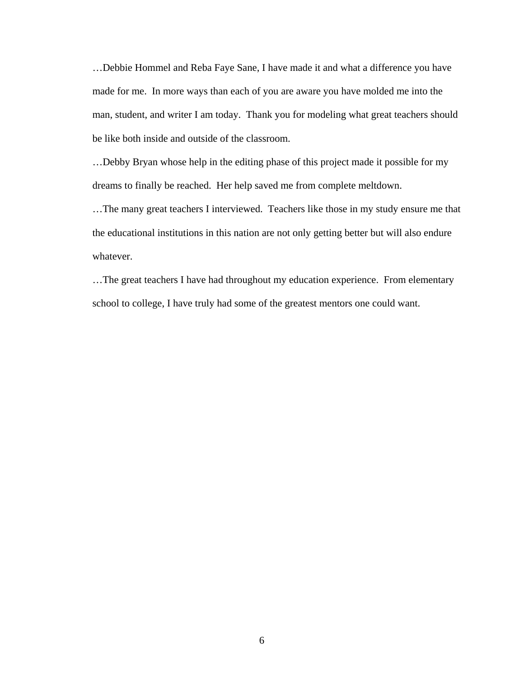…Debbie Hommel and Reba Faye Sane, I have made it and what a difference you have made for me. In more ways than each of you are aware you have molded me into the man, student, and writer I am today. Thank you for modeling what great teachers should be like both inside and outside of the classroom.

…Debby Bryan whose help in the editing phase of this project made it possible for my dreams to finally be reached. Her help saved me from complete meltdown.

…The many great teachers I interviewed. Teachers like those in my study ensure me that the educational institutions in this nation are not only getting better but will also endure whatever.

…The great teachers I have had throughout my education experience. From elementary school to college, I have truly had some of the greatest mentors one could want.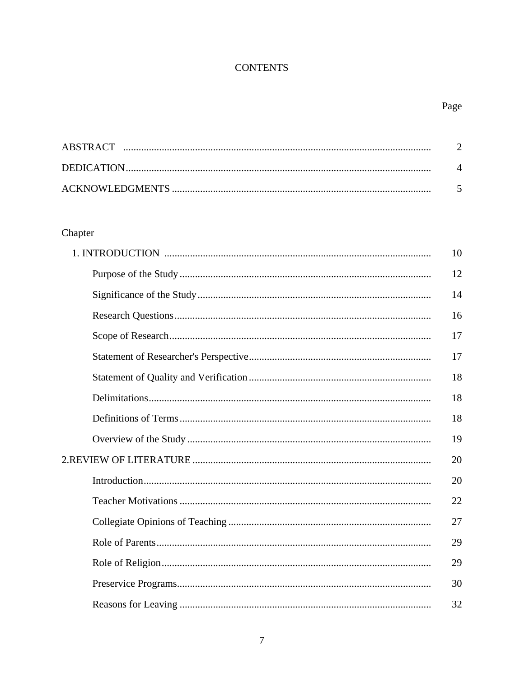## **CONTENTS**

## Page

## Chapter

| 10 |
|----|
| 12 |
| 14 |
| 16 |
| 17 |
| 17 |
| 18 |
| 18 |
| 18 |
| 19 |
| 20 |
| 20 |
| 22 |
| 27 |
| 29 |
| 29 |
| 30 |
| 32 |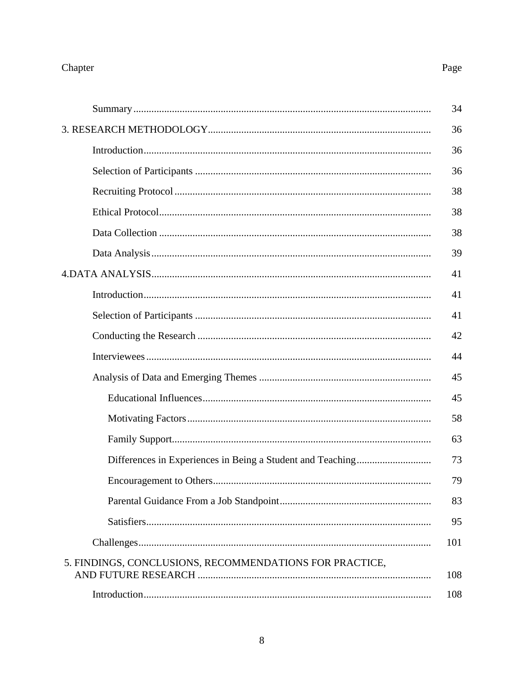## Chapter

## Page

|                                                         | 34  |
|---------------------------------------------------------|-----|
|                                                         | 36  |
|                                                         | 36  |
|                                                         | 36  |
|                                                         | 38  |
|                                                         | 38  |
|                                                         | 38  |
|                                                         | 39  |
|                                                         | 41  |
|                                                         | 41  |
|                                                         | 41  |
|                                                         | 42  |
|                                                         | 44  |
|                                                         | 45  |
|                                                         | 45  |
|                                                         | 58  |
|                                                         | 63  |
|                                                         | 73  |
|                                                         | 79  |
|                                                         | 83  |
|                                                         | 95  |
|                                                         | 101 |
| 5. FINDINGS, CONCLUSIONS, RECOMMENDATIONS FOR PRACTICE, | 108 |
|                                                         | 108 |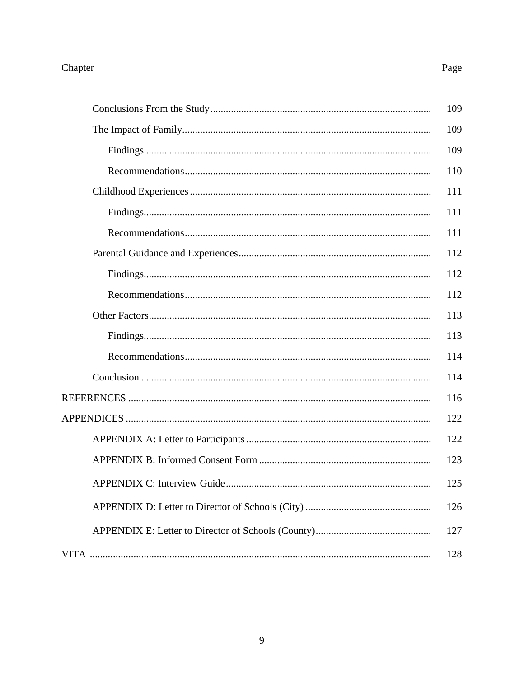## Chapter

## Page

| 109 |
|-----|
| 109 |
| 109 |
| 110 |
| 111 |
| 111 |
| 111 |
| 112 |
| 112 |
| 112 |
| 113 |
| 113 |
| 114 |
| 114 |
| 116 |
| 122 |
| 122 |
| 123 |
| 125 |
| 126 |
| 127 |
| 128 |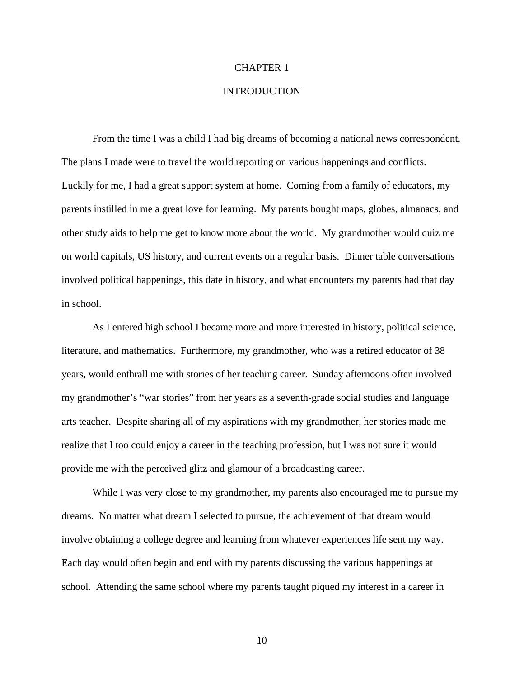#### CHAPTER 1

#### INTRODUCTION

 From the time I was a child I had big dreams of becoming a national news correspondent. The plans I made were to travel the world reporting on various happenings and conflicts. Luckily for me, I had a great support system at home. Coming from a family of educators, my parents instilled in me a great love for learning. My parents bought maps, globes, almanacs, and other study aids to help me get to know more about the world. My grandmother would quiz me on world capitals, US history, and current events on a regular basis. Dinner table conversations involved political happenings, this date in history, and what encounters my parents had that day in school.

As I entered high school I became more and more interested in history, political science, literature, and mathematics. Furthermore, my grandmother, who was a retired educator of 38 years, would enthrall me with stories of her teaching career. Sunday afternoons often involved my grandmother's "war stories" from her years as a seventh-grade social studies and language arts teacher. Despite sharing all of my aspirations with my grandmother, her stories made me realize that I too could enjoy a career in the teaching profession, but I was not sure it would provide me with the perceived glitz and glamour of a broadcasting career.

 While I was very close to my grandmother, my parents also encouraged me to pursue my dreams. No matter what dream I selected to pursue, the achievement of that dream would involve obtaining a college degree and learning from whatever experiences life sent my way. Each day would often begin and end with my parents discussing the various happenings at school. Attending the same school where my parents taught piqued my interest in a career in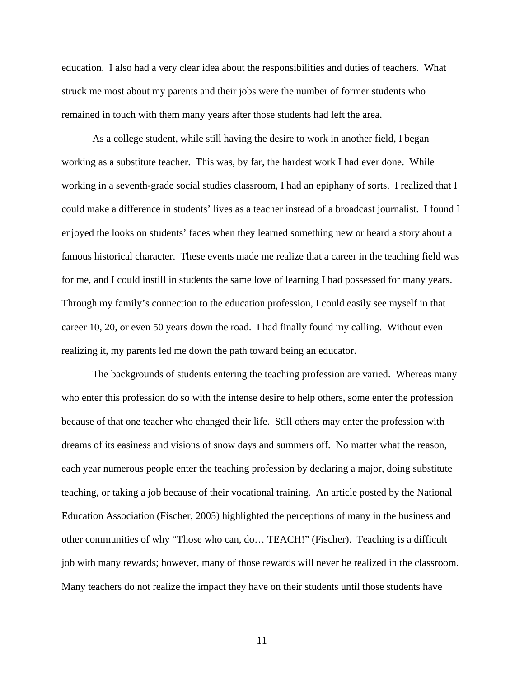education. I also had a very clear idea about the responsibilities and duties of teachers. What struck me most about my parents and their jobs were the number of former students who remained in touch with them many years after those students had left the area.

 As a college student, while still having the desire to work in another field, I began working as a substitute teacher. This was, by far, the hardest work I had ever done. While working in a seventh-grade social studies classroom, I had an epiphany of sorts. I realized that I could make a difference in students' lives as a teacher instead of a broadcast journalist. I found I enjoyed the looks on students' faces when they learned something new or heard a story about a famous historical character. These events made me realize that a career in the teaching field was for me, and I could instill in students the same love of learning I had possessed for many years. Through my family's connection to the education profession, I could easily see myself in that career 10, 20, or even 50 years down the road. I had finally found my calling. Without even realizing it, my parents led me down the path toward being an educator.

The backgrounds of students entering the teaching profession are varied. Whereas many who enter this profession do so with the intense desire to help others, some enter the profession because of that one teacher who changed their life. Still others may enter the profession with dreams of its easiness and visions of snow days and summers off. No matter what the reason, each year numerous people enter the teaching profession by declaring a major, doing substitute teaching, or taking a job because of their vocational training. An article posted by the National Education Association (Fischer, 2005) highlighted the perceptions of many in the business and other communities of why "Those who can, do… TEACH!" (Fischer). Teaching is a difficult job with many rewards; however, many of those rewards will never be realized in the classroom. Many teachers do not realize the impact they have on their students until those students have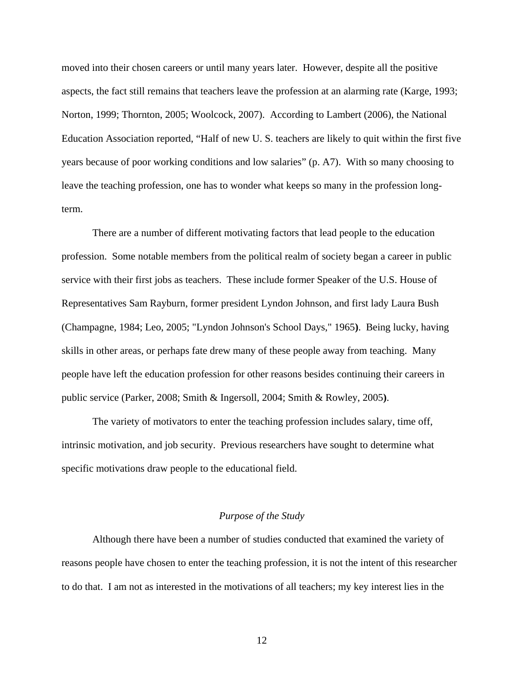moved into their chosen careers or until many years later. However, despite all the positive aspects, the fact still remains that teachers leave the profession at an alarming rate (Karge, 1993; Norton, 1999; Thornton, 2005; Woolcock, 2007). According to Lambert (2006), the National Education Association reported, "Half of new U. S. teachers are likely to quit within the first five years because of poor working conditions and low salaries" (p. A7). With so many choosing to leave the teaching profession, one has to wonder what keeps so many in the profession longterm.

 There are a number of different motivating factors that lead people to the education profession. Some notable members from the political realm of society began a career in public service with their first jobs as teachers. These include former Speaker of the U.S. House of Representatives Sam Rayburn, former president Lyndon Johnson, and first lady Laura Bush (Champagne, 1984; Leo, 2005; "Lyndon Johnson's School Days," 1965**)**. Being lucky, having skills in other areas, or perhaps fate drew many of these people away from teaching. Many people have left the education profession for other reasons besides continuing their careers in public service (Parker, 2008; Smith & Ingersoll, 2004; Smith & Rowley, 2005**)**.

The variety of motivators to enter the teaching profession includes salary, time off, intrinsic motivation, and job security. Previous researchers have sought to determine what specific motivations draw people to the educational field.

#### *Purpose of the Study*

Although there have been a number of studies conducted that examined the variety of reasons people have chosen to enter the teaching profession, it is not the intent of this researcher to do that. I am not as interested in the motivations of all teachers; my key interest lies in the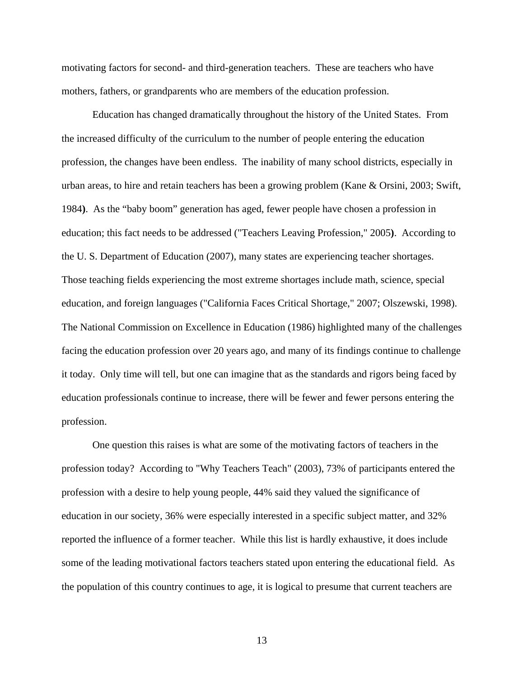motivating factors for second- and third-generation teachers. These are teachers who have mothers, fathers, or grandparents who are members of the education profession.

 Education has changed dramatically throughout the history of the United States. From the increased difficulty of the curriculum to the number of people entering the education profession, the changes have been endless. The inability of many school districts, especially in urban areas, to hire and retain teachers has been a growing problem (Kane & Orsini, 2003; Swift, 1984**)**. As the "baby boom" generation has aged, fewer people have chosen a profession in education; this fact needs to be addressed ("Teachers Leaving Profession," 2005**)**. According to the U. S. Department of Education (2007), many states are experiencing teacher shortages. Those teaching fields experiencing the most extreme shortages include math, science, special education, and foreign languages ("California Faces Critical Shortage," 2007; Olszewski, 1998). The National Commission on Excellence in Education (1986) highlighted many of the challenges facing the education profession over 20 years ago, and many of its findings continue to challenge it today. Only time will tell, but one can imagine that as the standards and rigors being faced by education professionals continue to increase, there will be fewer and fewer persons entering the profession.

 One question this raises is what are some of the motivating factors of teachers in the profession today? According to "Why Teachers Teach" (2003), 73% of participants entered the profession with a desire to help young people, 44% said they valued the significance of education in our society, 36% were especially interested in a specific subject matter, and 32% reported the influence of a former teacher. While this list is hardly exhaustive, it does include some of the leading motivational factors teachers stated upon entering the educational field. As the population of this country continues to age, it is logical to presume that current teachers are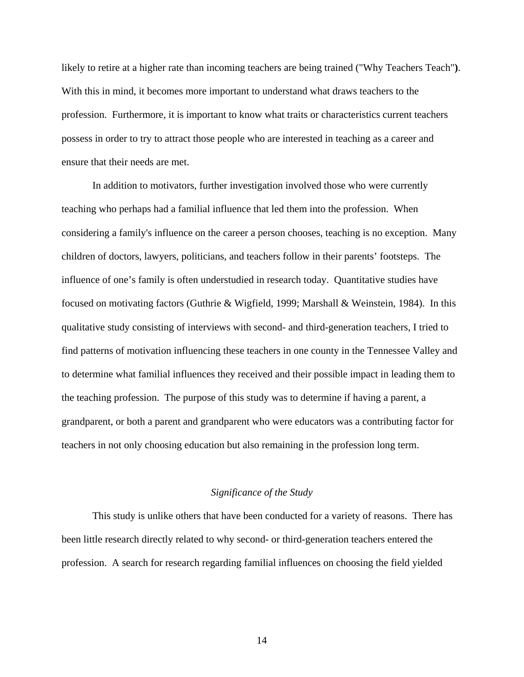likely to retire at a higher rate than incoming teachers are being trained ("Why Teachers Teach"**)**. With this in mind, it becomes more important to understand what draws teachers to the profession. Furthermore, it is important to know what traits or characteristics current teachers possess in order to try to attract those people who are interested in teaching as a career and ensure that their needs are met.

 In addition to motivators, further investigation involved those who were currently teaching who perhaps had a familial influence that led them into the profession. When considering a family's influence on the career a person chooses, teaching is no exception. Many children of doctors, lawyers, politicians, and teachers follow in their parents' footsteps. The influence of one's family is often understudied in research today. Quantitative studies have focused on motivating factors (Guthrie & Wigfield, 1999; Marshall & Weinstein, 1984). In this qualitative study consisting of interviews with second- and third-generation teachers, I tried to find patterns of motivation influencing these teachers in one county in the Tennessee Valley and to determine what familial influences they received and their possible impact in leading them to the teaching profession. The purpose of this study was to determine if having a parent, a grandparent, or both a parent and grandparent who were educators was a contributing factor for teachers in not only choosing education but also remaining in the profession long term.

#### *Significance of the Study*

 This study is unlike others that have been conducted for a variety of reasons. There has been little research directly related to why second- or third-generation teachers entered the profession. A search for research regarding familial influences on choosing the field yielded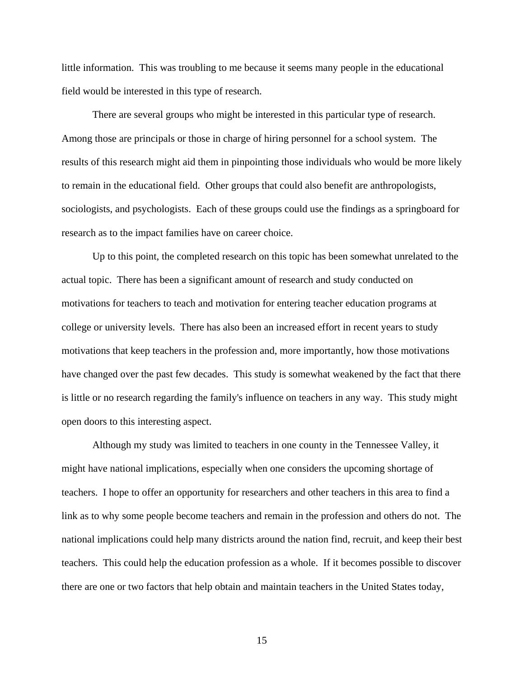little information. This was troubling to me because it seems many people in the educational field would be interested in this type of research.

 There are several groups who might be interested in this particular type of research. Among those are principals or those in charge of hiring personnel for a school system. The results of this research might aid them in pinpointing those individuals who would be more likely to remain in the educational field. Other groups that could also benefit are anthropologists, sociologists, and psychologists. Each of these groups could use the findings as a springboard for research as to the impact families have on career choice.

 Up to this point, the completed research on this topic has been somewhat unrelated to the actual topic. There has been a significant amount of research and study conducted on motivations for teachers to teach and motivation for entering teacher education programs at college or university levels. There has also been an increased effort in recent years to study motivations that keep teachers in the profession and, more importantly, how those motivations have changed over the past few decades. This study is somewhat weakened by the fact that there is little or no research regarding the family's influence on teachers in any way. This study might open doors to this interesting aspect.

Although my study was limited to teachers in one county in the Tennessee Valley, it might have national implications, especially when one considers the upcoming shortage of teachers. I hope to offer an opportunity for researchers and other teachers in this area to find a link as to why some people become teachers and remain in the profession and others do not. The national implications could help many districts around the nation find, recruit, and keep their best teachers. This could help the education profession as a whole. If it becomes possible to discover there are one or two factors that help obtain and maintain teachers in the United States today,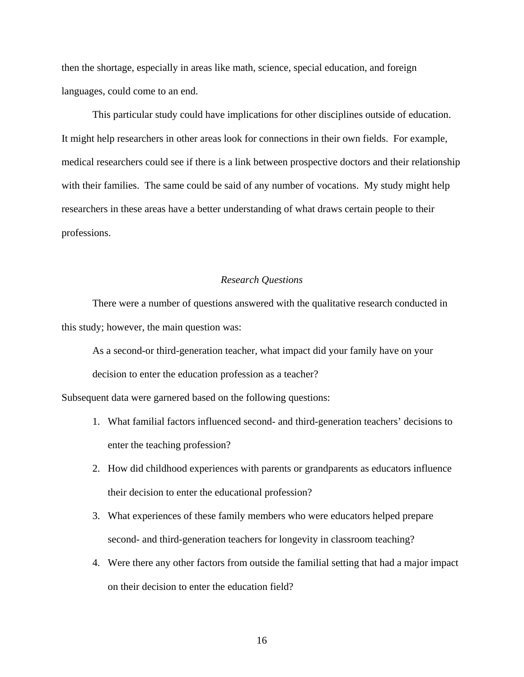then the shortage, especially in areas like math, science, special education, and foreign languages, could come to an end.

This particular study could have implications for other disciplines outside of education. It might help researchers in other areas look for connections in their own fields. For example, medical researchers could see if there is a link between prospective doctors and their relationship with their families. The same could be said of any number of vocations. My study might help researchers in these areas have a better understanding of what draws certain people to their professions.

#### *Research Questions*

 There were a number of questions answered with the qualitative research conducted in this study; however, the main question was:

As a second-or third-generation teacher, what impact did your family have on your decision to enter the education profession as a teacher?

Subsequent data were garnered based on the following questions:

- 1. What familial factors influenced second- and third-generation teachers' decisions to enter the teaching profession?
- 2. How did childhood experiences with parents or grandparents as educators influence their decision to enter the educational profession?
- 3. What experiences of these family members who were educators helped prepare second- and third-generation teachers for longevity in classroom teaching?
- 4. Were there any other factors from outside the familial setting that had a major impact on their decision to enter the education field?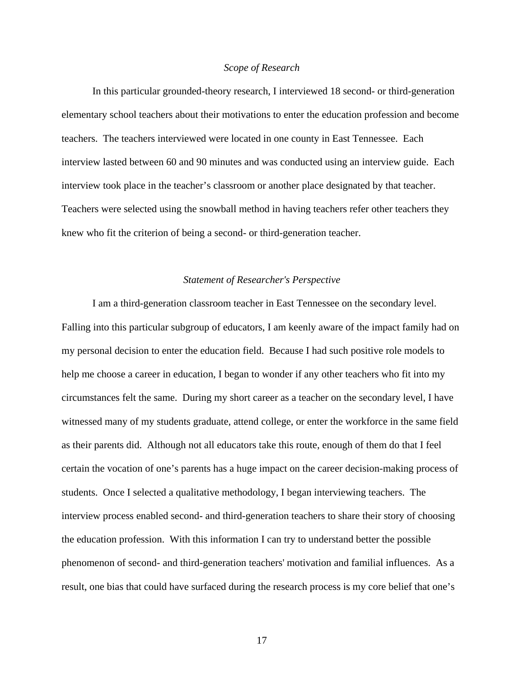#### *Scope of Research*

 In this particular grounded-theory research, I interviewed 18 second- or third-generation elementary school teachers about their motivations to enter the education profession and become teachers. The teachers interviewed were located in one county in East Tennessee. Each interview lasted between 60 and 90 minutes and was conducted using an interview guide. Each interview took place in the teacher's classroom or another place designated by that teacher. Teachers were selected using the snowball method in having teachers refer other teachers they knew who fit the criterion of being a second- or third-generation teacher.

#### *Statement of Researcher's Perspective*

 I am a third-generation classroom teacher in East Tennessee on the secondary level. Falling into this particular subgroup of educators, I am keenly aware of the impact family had on my personal decision to enter the education field. Because I had such positive role models to help me choose a career in education, I began to wonder if any other teachers who fit into my circumstances felt the same. During my short career as a teacher on the secondary level, I have witnessed many of my students graduate, attend college, or enter the workforce in the same field as their parents did. Although not all educators take this route, enough of them do that I feel certain the vocation of one's parents has a huge impact on the career decision-making process of students. Once I selected a qualitative methodology, I began interviewing teachers. The interview process enabled second- and third-generation teachers to share their story of choosing the education profession. With this information I can try to understand better the possible phenomenon of second- and third-generation teachers' motivation and familial influences. As a result, one bias that could have surfaced during the research process is my core belief that one's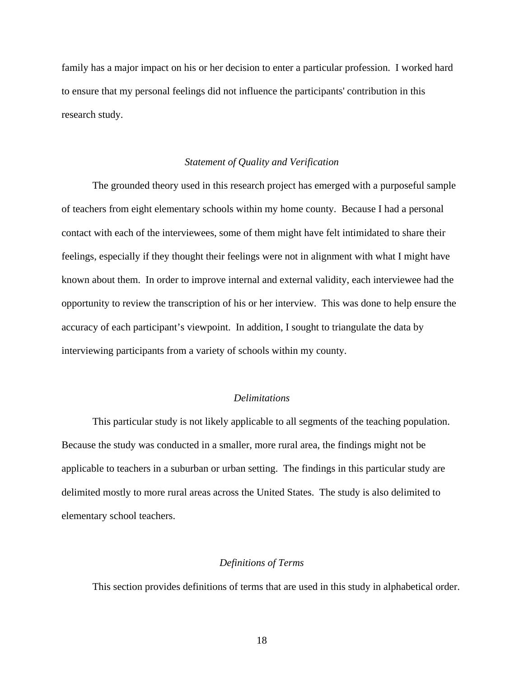family has a major impact on his or her decision to enter a particular profession. I worked hard to ensure that my personal feelings did not influence the participants' contribution in this research study.

#### *Statement of Quality and Verification*

 The grounded theory used in this research project has emerged with a purposeful sample of teachers from eight elementary schools within my home county. Because I had a personal contact with each of the interviewees, some of them might have felt intimidated to share their feelings, especially if they thought their feelings were not in alignment with what I might have known about them. In order to improve internal and external validity, each interviewee had the opportunity to review the transcription of his or her interview. This was done to help ensure the accuracy of each participant's viewpoint. In addition, I sought to triangulate the data by interviewing participants from a variety of schools within my county.

#### *Delimitations*

 This particular study is not likely applicable to all segments of the teaching population. Because the study was conducted in a smaller, more rural area, the findings might not be applicable to teachers in a suburban or urban setting. The findings in this particular study are delimited mostly to more rural areas across the United States. The study is also delimited to elementary school teachers.

#### *Definitions of Terms*

This section provides definitions of terms that are used in this study in alphabetical order.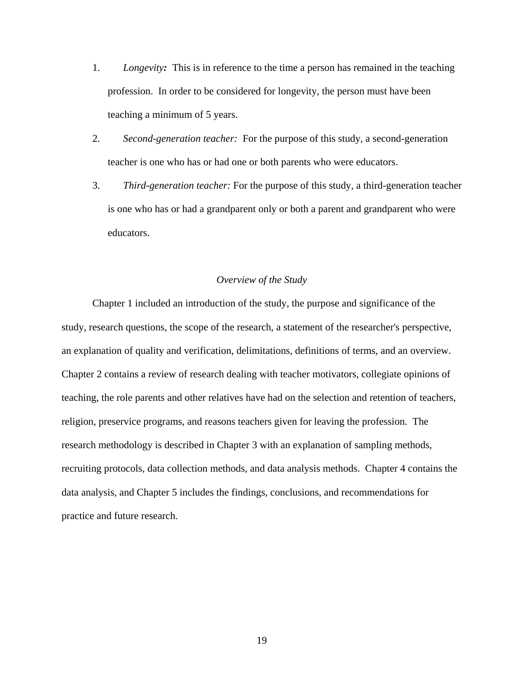- 1. *Longevity:* This is in reference to the time a person has remained in the teaching profession. In order to be considered for longevity, the person must have been teaching a minimum of 5 years.
- 2. *Second-generation teacher:* For the purpose of this study, a second-generation teacher is one who has or had one or both parents who were educators.
- 3. *Third-generation teacher:* For the purpose of this study, a third-generation teacher is one who has or had a grandparent only or both a parent and grandparent who were educators.

#### *Overview of the Study*

Chapter 1 included an introduction of the study, the purpose and significance of the study, research questions, the scope of the research, a statement of the researcher's perspective, an explanation of quality and verification, delimitations, definitions of terms, and an overview. Chapter 2 contains a review of research dealing with teacher motivators, collegiate opinions of teaching, the role parents and other relatives have had on the selection and retention of teachers, religion, preservice programs, and reasons teachers given for leaving the profession. The research methodology is described in Chapter 3 with an explanation of sampling methods, recruiting protocols, data collection methods, and data analysis methods. Chapter 4 contains the data analysis, and Chapter 5 includes the findings, conclusions, and recommendations for practice and future research.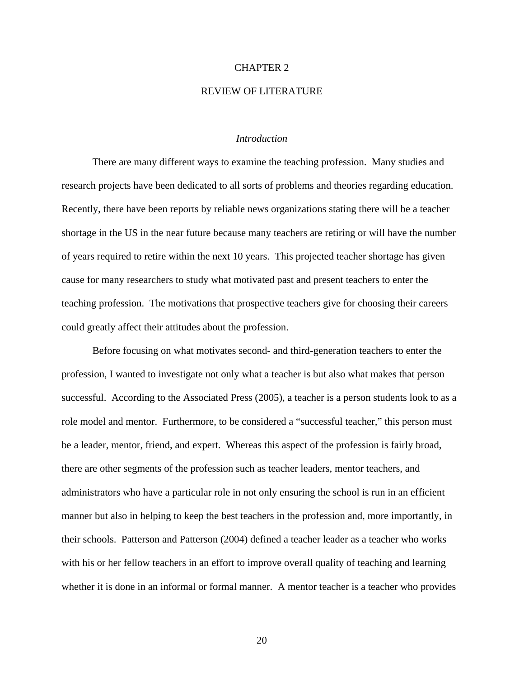#### CHAPTER 2

#### REVIEW OF LITERATURE

#### *Introduction*

 There are many different ways to examine the teaching profession. Many studies and research projects have been dedicated to all sorts of problems and theories regarding education. Recently, there have been reports by reliable news organizations stating there will be a teacher shortage in the US in the near future because many teachers are retiring or will have the number of years required to retire within the next 10 years. This projected teacher shortage has given cause for many researchers to study what motivated past and present teachers to enter the teaching profession. The motivations that prospective teachers give for choosing their careers could greatly affect their attitudes about the profession.

Before focusing on what motivates second- and third-generation teachers to enter the profession, I wanted to investigate not only what a teacher is but also what makes that person successful. According to the Associated Press (2005), a teacher is a person students look to as a role model and mentor. Furthermore, to be considered a "successful teacher," this person must be a leader, mentor, friend, and expert. Whereas this aspect of the profession is fairly broad, there are other segments of the profession such as teacher leaders, mentor teachers, and administrators who have a particular role in not only ensuring the school is run in an efficient manner but also in helping to keep the best teachers in the profession and, more importantly, in their schools. Patterson and Patterson (2004) defined a teacher leader as a teacher who works with his or her fellow teachers in an effort to improve overall quality of teaching and learning whether it is done in an informal or formal manner. A mentor teacher is a teacher who provides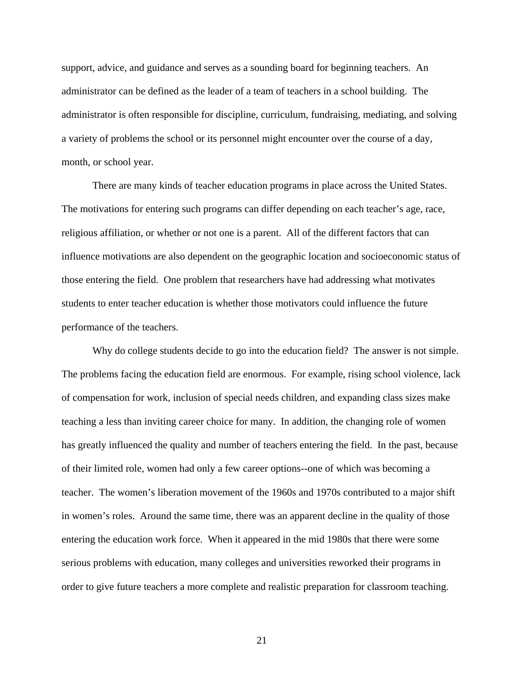support, advice, and guidance and serves as a sounding board for beginning teachers. An administrator can be defined as the leader of a team of teachers in a school building. The administrator is often responsible for discipline, curriculum, fundraising, mediating, and solving a variety of problems the school or its personnel might encounter over the course of a day, month, or school year.

There are many kinds of teacher education programs in place across the United States. The motivations for entering such programs can differ depending on each teacher's age, race, religious affiliation, or whether or not one is a parent. All of the different factors that can influence motivations are also dependent on the geographic location and socioeconomic status of those entering the field. One problem that researchers have had addressing what motivates students to enter teacher education is whether those motivators could influence the future performance of the teachers.

Why do college students decide to go into the education field? The answer is not simple. The problems facing the education field are enormous. For example, rising school violence, lack of compensation for work, inclusion of special needs children, and expanding class sizes make teaching a less than inviting career choice for many. In addition, the changing role of women has greatly influenced the quality and number of teachers entering the field. In the past, because of their limited role, women had only a few career options--one of which was becoming a teacher. The women's liberation movement of the 1960s and 1970s contributed to a major shift in women's roles. Around the same time, there was an apparent decline in the quality of those entering the education work force. When it appeared in the mid 1980s that there were some serious problems with education, many colleges and universities reworked their programs in order to give future teachers a more complete and realistic preparation for classroom teaching.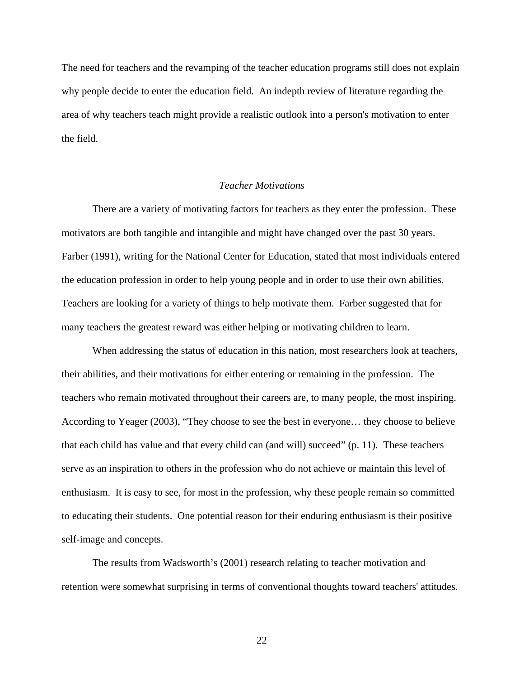The need for teachers and the revamping of the teacher education programs still does not explain why people decide to enter the education field. An indepth review of literature regarding the area of why teachers teach might provide a realistic outlook into a person's motivation to enter the field.

#### *Teacher Motivations*

There are a variety of motivating factors for teachers as they enter the profession. These motivators are both tangible and intangible and might have changed over the past 30 years. Farber (1991), writing for the National Center for Education, stated that most individuals entered the education profession in order to help young people and in order to use their own abilities. Teachers are looking for a variety of things to help motivate them. Farber suggested that for many teachers the greatest reward was either helping or motivating children to learn.

When addressing the status of education in this nation, most researchers look at teachers, their abilities, and their motivations for either entering or remaining in the profession. The teachers who remain motivated throughout their careers are, to many people, the most inspiring. According to Yeager (2003), "They choose to see the best in everyone… they choose to believe that each child has value and that every child can (and will) succeed" (p. 11). These teachers serve as an inspiration to others in the profession who do not achieve or maintain this level of enthusiasm. It is easy to see, for most in the profession, why these people remain so committed to educating their students. One potential reason for their enduring enthusiasm is their positive self-image and concepts.

The results from Wadsworth's (2001) research relating to teacher motivation and retention were somewhat surprising in terms of conventional thoughts toward teachers' attitudes.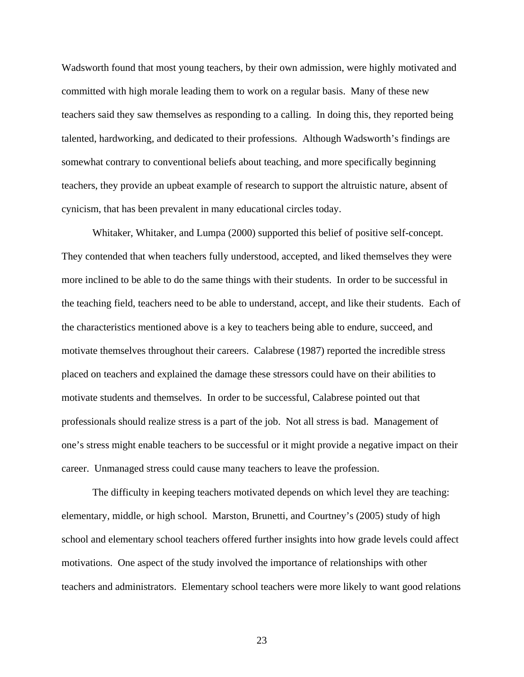Wadsworth found that most young teachers, by their own admission, were highly motivated and committed with high morale leading them to work on a regular basis. Many of these new teachers said they saw themselves as responding to a calling. In doing this, they reported being talented, hardworking, and dedicated to their professions. Although Wadsworth's findings are somewhat contrary to conventional beliefs about teaching, and more specifically beginning teachers, they provide an upbeat example of research to support the altruistic nature, absent of cynicism, that has been prevalent in many educational circles today.

Whitaker, Whitaker, and Lumpa (2000) supported this belief of positive self-concept. They contended that when teachers fully understood, accepted, and liked themselves they were more inclined to be able to do the same things with their students. In order to be successful in the teaching field, teachers need to be able to understand, accept, and like their students. Each of the characteristics mentioned above is a key to teachers being able to endure, succeed, and motivate themselves throughout their careers. Calabrese (1987) reported the incredible stress placed on teachers and explained the damage these stressors could have on their abilities to motivate students and themselves. In order to be successful, Calabrese pointed out that professionals should realize stress is a part of the job. Not all stress is bad. Management of one's stress might enable teachers to be successful or it might provide a negative impact on their career. Unmanaged stress could cause many teachers to leave the profession.

The difficulty in keeping teachers motivated depends on which level they are teaching: elementary, middle, or high school. Marston, Brunetti, and Courtney's (2005) study of high school and elementary school teachers offered further insights into how grade levels could affect motivations. One aspect of the study involved the importance of relationships with other teachers and administrators. Elementary school teachers were more likely to want good relations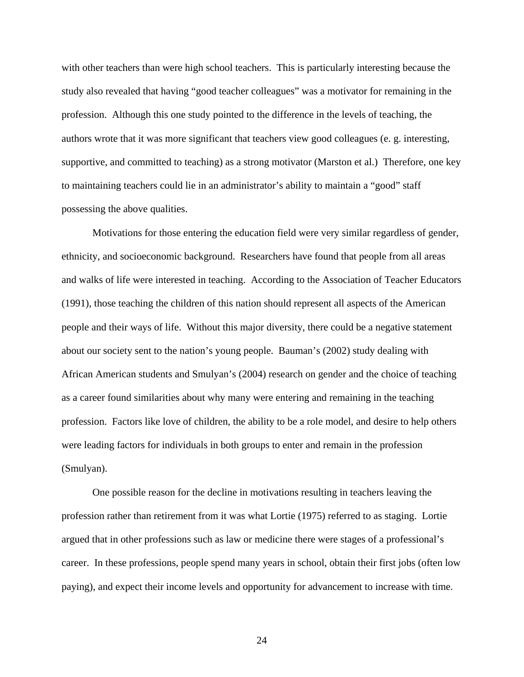with other teachers than were high school teachers. This is particularly interesting because the study also revealed that having "good teacher colleagues" was a motivator for remaining in the profession. Although this one study pointed to the difference in the levels of teaching, the authors wrote that it was more significant that teachers view good colleagues (e. g. interesting, supportive, and committed to teaching) as a strong motivator (Marston et al.) Therefore, one key to maintaining teachers could lie in an administrator's ability to maintain a "good" staff possessing the above qualities.

Motivations for those entering the education field were very similar regardless of gender, ethnicity, and socioeconomic background. Researchers have found that people from all areas and walks of life were interested in teaching. According to the Association of Teacher Educators (1991), those teaching the children of this nation should represent all aspects of the American people and their ways of life. Without this major diversity, there could be a negative statement about our society sent to the nation's young people. Bauman's (2002) study dealing with African American students and Smulyan's (2004) research on gender and the choice of teaching as a career found similarities about why many were entering and remaining in the teaching profession. Factors like love of children, the ability to be a role model, and desire to help others were leading factors for individuals in both groups to enter and remain in the profession (Smulyan).

One possible reason for the decline in motivations resulting in teachers leaving the profession rather than retirement from it was what Lortie (1975) referred to as staging. Lortie argued that in other professions such as law or medicine there were stages of a professional's career. In these professions, people spend many years in school, obtain their first jobs (often low paying), and expect their income levels and opportunity for advancement to increase with time.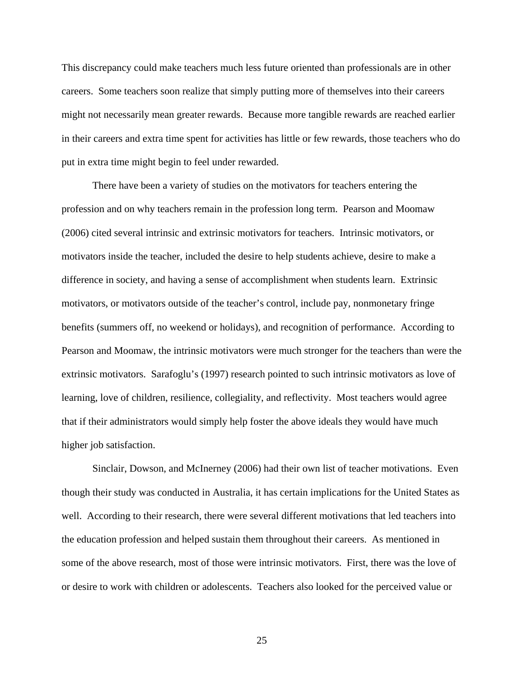This discrepancy could make teachers much less future oriented than professionals are in other careers. Some teachers soon realize that simply putting more of themselves into their careers might not necessarily mean greater rewards. Because more tangible rewards are reached earlier in their careers and extra time spent for activities has little or few rewards, those teachers who do put in extra time might begin to feel under rewarded.

There have been a variety of studies on the motivators for teachers entering the profession and on why teachers remain in the profession long term. Pearson and Moomaw (2006) cited several intrinsic and extrinsic motivators for teachers. Intrinsic motivators, or motivators inside the teacher, included the desire to help students achieve, desire to make a difference in society, and having a sense of accomplishment when students learn. Extrinsic motivators, or motivators outside of the teacher's control, include pay, nonmonetary fringe benefits (summers off, no weekend or holidays), and recognition of performance. According to Pearson and Moomaw, the intrinsic motivators were much stronger for the teachers than were the extrinsic motivators. Sarafoglu's (1997) research pointed to such intrinsic motivators as love of learning, love of children, resilience, collegiality, and reflectivity. Most teachers would agree that if their administrators would simply help foster the above ideals they would have much higher job satisfaction.

Sinclair, Dowson, and McInerney (2006) had their own list of teacher motivations. Even though their study was conducted in Australia, it has certain implications for the United States as well. According to their research, there were several different motivations that led teachers into the education profession and helped sustain them throughout their careers. As mentioned in some of the above research, most of those were intrinsic motivators. First, there was the love of or desire to work with children or adolescents. Teachers also looked for the perceived value or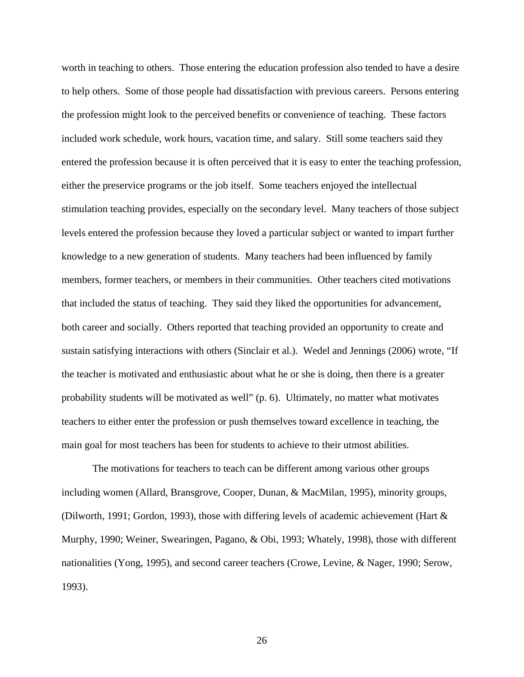worth in teaching to others. Those entering the education profession also tended to have a desire to help others. Some of those people had dissatisfaction with previous careers. Persons entering the profession might look to the perceived benefits or convenience of teaching. These factors included work schedule, work hours, vacation time, and salary. Still some teachers said they entered the profession because it is often perceived that it is easy to enter the teaching profession, either the preservice programs or the job itself. Some teachers enjoyed the intellectual stimulation teaching provides, especially on the secondary level. Many teachers of those subject levels entered the profession because they loved a particular subject or wanted to impart further knowledge to a new generation of students. Many teachers had been influenced by family members, former teachers, or members in their communities. Other teachers cited motivations that included the status of teaching. They said they liked the opportunities for advancement, both career and socially. Others reported that teaching provided an opportunity to create and sustain satisfying interactions with others (Sinclair et al.). Wedel and Jennings (2006) wrote, "If the teacher is motivated and enthusiastic about what he or she is doing, then there is a greater probability students will be motivated as well" (p. 6). Ultimately, no matter what motivates teachers to either enter the profession or push themselves toward excellence in teaching, the main goal for most teachers has been for students to achieve to their utmost abilities.

The motivations for teachers to teach can be different among various other groups including women (Allard, Bransgrove, Cooper, Dunan, & MacMilan, 1995), minority groups, (Dilworth, 1991; Gordon, 1993), those with differing levels of academic achievement (Hart & Murphy, 1990; Weiner, Swearingen, Pagano, & Obi, 1993; Whately, 1998), those with different nationalities (Yong, 1995), and second career teachers (Crowe, Levine, & Nager, 1990; Serow, 1993).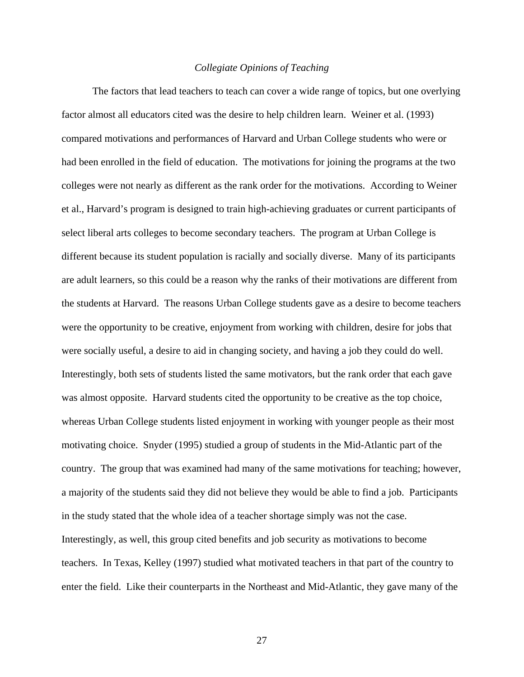#### *Collegiate Opinions of Teaching*

The factors that lead teachers to teach can cover a wide range of topics, but one overlying factor almost all educators cited was the desire to help children learn. Weiner et al. (1993) compared motivations and performances of Harvard and Urban College students who were or had been enrolled in the field of education. The motivations for joining the programs at the two colleges were not nearly as different as the rank order for the motivations. According to Weiner et al., Harvard's program is designed to train high-achieving graduates or current participants of select liberal arts colleges to become secondary teachers. The program at Urban College is different because its student population is racially and socially diverse. Many of its participants are adult learners, so this could be a reason why the ranks of their motivations are different from the students at Harvard. The reasons Urban College students gave as a desire to become teachers were the opportunity to be creative, enjoyment from working with children, desire for jobs that were socially useful, a desire to aid in changing society, and having a job they could do well. Interestingly, both sets of students listed the same motivators, but the rank order that each gave was almost opposite. Harvard students cited the opportunity to be creative as the top choice, whereas Urban College students listed enjoyment in working with younger people as their most motivating choice. Snyder (1995) studied a group of students in the Mid-Atlantic part of the country. The group that was examined had many of the same motivations for teaching; however, a majority of the students said they did not believe they would be able to find a job. Participants in the study stated that the whole idea of a teacher shortage simply was not the case. Interestingly, as well, this group cited benefits and job security as motivations to become teachers. In Texas, Kelley (1997) studied what motivated teachers in that part of the country to enter the field. Like their counterparts in the Northeast and Mid-Atlantic, they gave many of the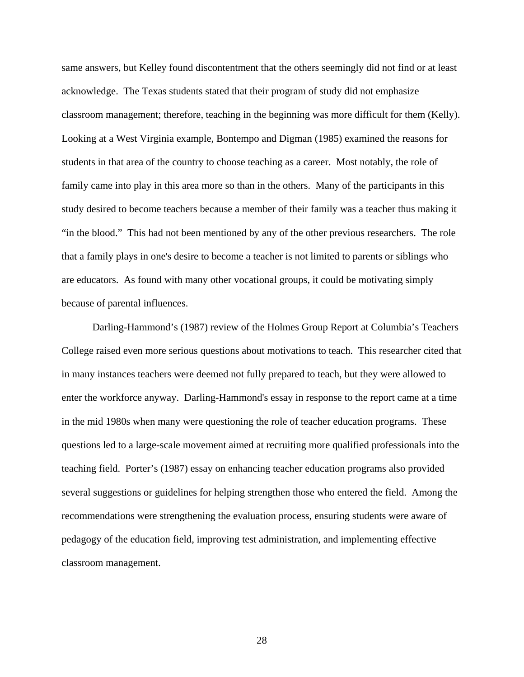same answers, but Kelley found discontentment that the others seemingly did not find or at least acknowledge. The Texas students stated that their program of study did not emphasize classroom management; therefore, teaching in the beginning was more difficult for them (Kelly). Looking at a West Virginia example, Bontempo and Digman (1985) examined the reasons for students in that area of the country to choose teaching as a career. Most notably, the role of family came into play in this area more so than in the others. Many of the participants in this study desired to become teachers because a member of their family was a teacher thus making it "in the blood." This had not been mentioned by any of the other previous researchers. The role that a family plays in one's desire to become a teacher is not limited to parents or siblings who are educators. As found with many other vocational groups, it could be motivating simply because of parental influences.

Darling-Hammond's (1987) review of the Holmes Group Report at Columbia's Teachers College raised even more serious questions about motivations to teach. This researcher cited that in many instances teachers were deemed not fully prepared to teach, but they were allowed to enter the workforce anyway. Darling-Hammond's essay in response to the report came at a time in the mid 1980s when many were questioning the role of teacher education programs. These questions led to a large-scale movement aimed at recruiting more qualified professionals into the teaching field. Porter's (1987) essay on enhancing teacher education programs also provided several suggestions or guidelines for helping strengthen those who entered the field. Among the recommendations were strengthening the evaluation process, ensuring students were aware of pedagogy of the education field, improving test administration, and implementing effective classroom management.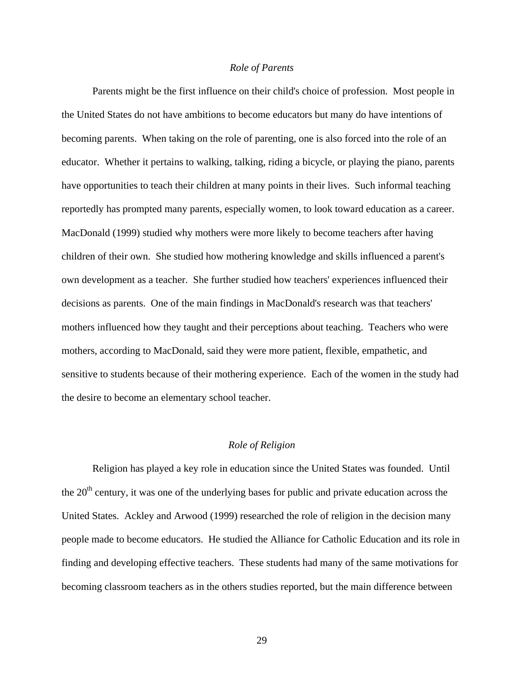#### *Role of Parents*

 Parents might be the first influence on their child's choice of profession. Most people in the United States do not have ambitions to become educators but many do have intentions of becoming parents. When taking on the role of parenting, one is also forced into the role of an educator. Whether it pertains to walking, talking, riding a bicycle, or playing the piano, parents have opportunities to teach their children at many points in their lives. Such informal teaching reportedly has prompted many parents, especially women, to look toward education as a career. MacDonald (1999) studied why mothers were more likely to become teachers after having children of their own. She studied how mothering knowledge and skills influenced a parent's own development as a teacher. She further studied how teachers' experiences influenced their decisions as parents. One of the main findings in MacDonald's research was that teachers' mothers influenced how they taught and their perceptions about teaching. Teachers who were mothers, according to MacDonald, said they were more patient, flexible, empathetic, and sensitive to students because of their mothering experience. Each of the women in the study had the desire to become an elementary school teacher.

#### *Role of Religion*

 Religion has played a key role in education since the United States was founded. Until the  $20<sup>th</sup>$  century, it was one of the underlying bases for public and private education across the United States. Ackley and Arwood (1999) researched the role of religion in the decision many people made to become educators. He studied the Alliance for Catholic Education and its role in finding and developing effective teachers. These students had many of the same motivations for becoming classroom teachers as in the others studies reported, but the main difference between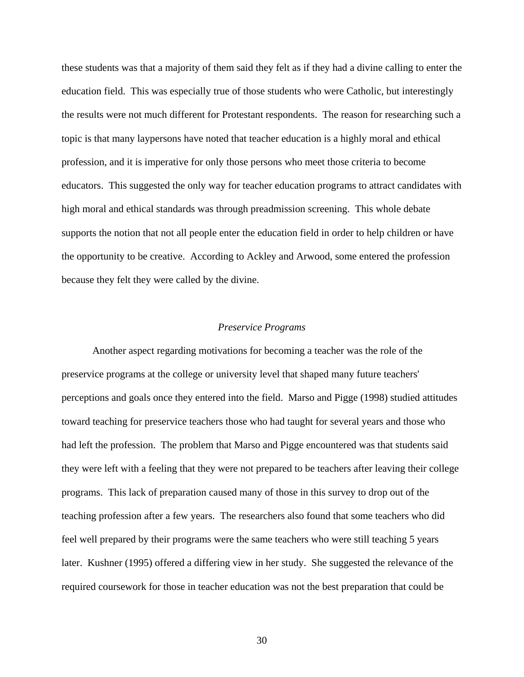these students was that a majority of them said they felt as if they had a divine calling to enter the education field. This was especially true of those students who were Catholic, but interestingly the results were not much different for Protestant respondents. The reason for researching such a topic is that many laypersons have noted that teacher education is a highly moral and ethical profession, and it is imperative for only those persons who meet those criteria to become educators. This suggested the only way for teacher education programs to attract candidates with high moral and ethical standards was through preadmission screening. This whole debate supports the notion that not all people enter the education field in order to help children or have the opportunity to be creative. According to Ackley and Arwood, some entered the profession because they felt they were called by the divine.

#### *Preservice Programs*

 Another aspect regarding motivations for becoming a teacher was the role of the preservice programs at the college or university level that shaped many future teachers' perceptions and goals once they entered into the field. Marso and Pigge (1998) studied attitudes toward teaching for preservice teachers those who had taught for several years and those who had left the profession. The problem that Marso and Pigge encountered was that students said they were left with a feeling that they were not prepared to be teachers after leaving their college programs. This lack of preparation caused many of those in this survey to drop out of the teaching profession after a few years. The researchers also found that some teachers who did feel well prepared by their programs were the same teachers who were still teaching 5 years later. Kushner (1995) offered a differing view in her study. She suggested the relevance of the required coursework for those in teacher education was not the best preparation that could be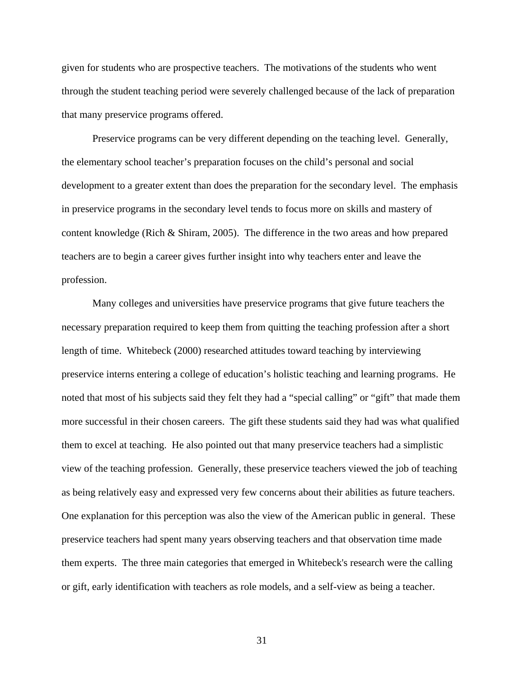given for students who are prospective teachers. The motivations of the students who went through the student teaching period were severely challenged because of the lack of preparation that many preservice programs offered.

 Preservice programs can be very different depending on the teaching level. Generally, the elementary school teacher's preparation focuses on the child's personal and social development to a greater extent than does the preparation for the secondary level. The emphasis in preservice programs in the secondary level tends to focus more on skills and mastery of content knowledge (Rich & Shiram, 2005). The difference in the two areas and how prepared teachers are to begin a career gives further insight into why teachers enter and leave the profession.

 Many colleges and universities have preservice programs that give future teachers the necessary preparation required to keep them from quitting the teaching profession after a short length of time. Whitebeck (2000) researched attitudes toward teaching by interviewing preservice interns entering a college of education's holistic teaching and learning programs. He noted that most of his subjects said they felt they had a "special calling" or "gift" that made them more successful in their chosen careers. The gift these students said they had was what qualified them to excel at teaching. He also pointed out that many preservice teachers had a simplistic view of the teaching profession. Generally, these preservice teachers viewed the job of teaching as being relatively easy and expressed very few concerns about their abilities as future teachers. One explanation for this perception was also the view of the American public in general. These preservice teachers had spent many years observing teachers and that observation time made them experts. The three main categories that emerged in Whitebeck's research were the calling or gift, early identification with teachers as role models, and a self-view as being a teacher.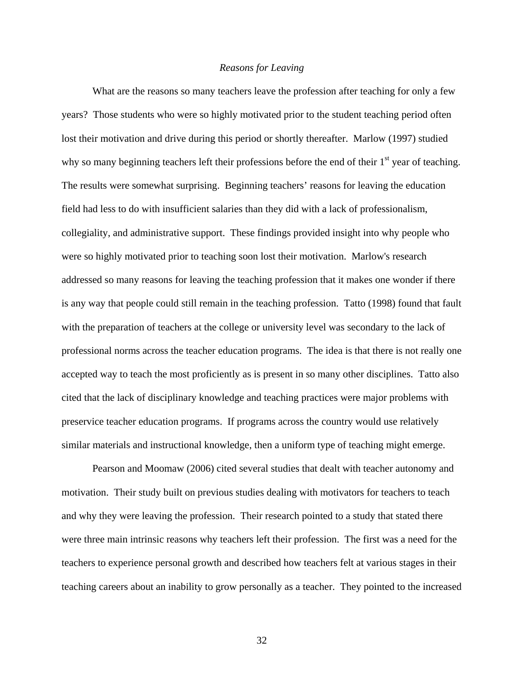#### *Reasons for Leaving*

What are the reasons so many teachers leave the profession after teaching for only a few years? Those students who were so highly motivated prior to the student teaching period often lost their motivation and drive during this period or shortly thereafter. Marlow (1997) studied why so many beginning teachers left their professions before the end of their  $1<sup>st</sup>$  year of teaching. The results were somewhat surprising. Beginning teachers' reasons for leaving the education field had less to do with insufficient salaries than they did with a lack of professionalism, collegiality, and administrative support. These findings provided insight into why people who were so highly motivated prior to teaching soon lost their motivation. Marlow's research addressed so many reasons for leaving the teaching profession that it makes one wonder if there is any way that people could still remain in the teaching profession. Tatto (1998) found that fault with the preparation of teachers at the college or university level was secondary to the lack of professional norms across the teacher education programs. The idea is that there is not really one accepted way to teach the most proficiently as is present in so many other disciplines. Tatto also cited that the lack of disciplinary knowledge and teaching practices were major problems with preservice teacher education programs. If programs across the country would use relatively similar materials and instructional knowledge, then a uniform type of teaching might emerge.

 Pearson and Moomaw (2006) cited several studies that dealt with teacher autonomy and motivation. Their study built on previous studies dealing with motivators for teachers to teach and why they were leaving the profession. Their research pointed to a study that stated there were three main intrinsic reasons why teachers left their profession. The first was a need for the teachers to experience personal growth and described how teachers felt at various stages in their teaching careers about an inability to grow personally as a teacher. They pointed to the increased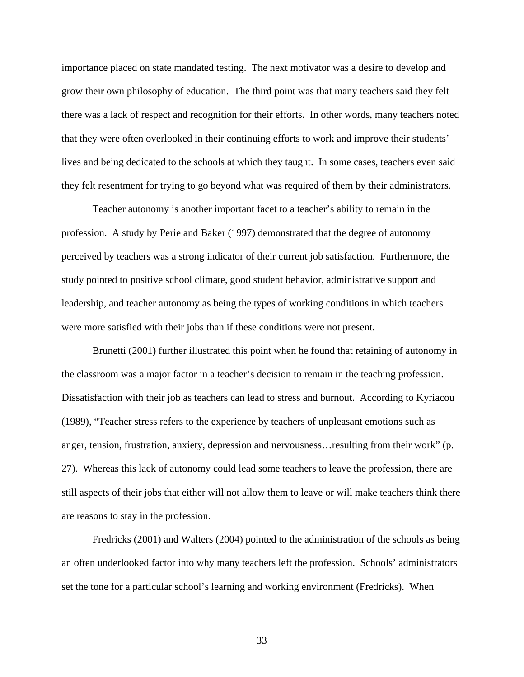importance placed on state mandated testing. The next motivator was a desire to develop and grow their own philosophy of education. The third point was that many teachers said they felt there was a lack of respect and recognition for their efforts. In other words, many teachers noted that they were often overlooked in their continuing efforts to work and improve their students' lives and being dedicated to the schools at which they taught. In some cases, teachers even said they felt resentment for trying to go beyond what was required of them by their administrators.

 Teacher autonomy is another important facet to a teacher's ability to remain in the profession. A study by Perie and Baker (1997) demonstrated that the degree of autonomy perceived by teachers was a strong indicator of their current job satisfaction. Furthermore, the study pointed to positive school climate, good student behavior, administrative support and leadership, and teacher autonomy as being the types of working conditions in which teachers were more satisfied with their jobs than if these conditions were not present.

 Brunetti (2001) further illustrated this point when he found that retaining of autonomy in the classroom was a major factor in a teacher's decision to remain in the teaching profession. Dissatisfaction with their job as teachers can lead to stress and burnout. According to Kyriacou (1989), "Teacher stress refers to the experience by teachers of unpleasant emotions such as anger, tension, frustration, anxiety, depression and nervousness…resulting from their work" (p. 27). Whereas this lack of autonomy could lead some teachers to leave the profession, there are still aspects of their jobs that either will not allow them to leave or will make teachers think there are reasons to stay in the profession.

 Fredricks (2001) and Walters (2004) pointed to the administration of the schools as being an often underlooked factor into why many teachers left the profession. Schools' administrators set the tone for a particular school's learning and working environment (Fredricks). When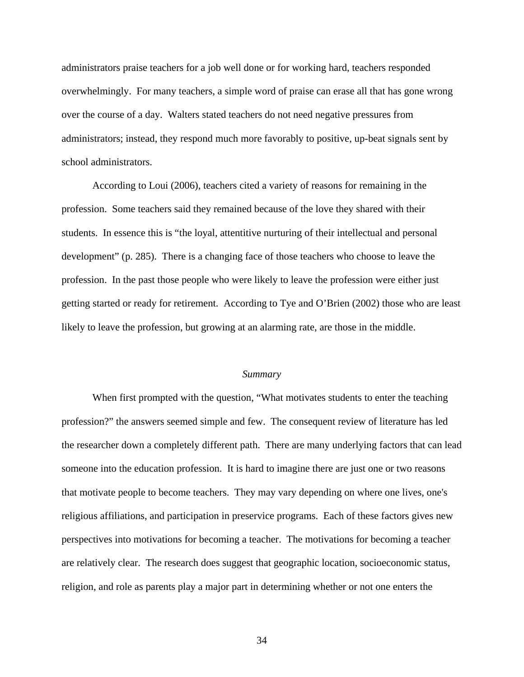administrators praise teachers for a job well done or for working hard, teachers responded overwhelmingly. For many teachers, a simple word of praise can erase all that has gone wrong over the course of a day. Walters stated teachers do not need negative pressures from administrators; instead, they respond much more favorably to positive, up-beat signals sent by school administrators.

 According to Loui (2006), teachers cited a variety of reasons for remaining in the profession. Some teachers said they remained because of the love they shared with their students. In essence this is "the loyal, attentitive nurturing of their intellectual and personal development" (p. 285). There is a changing face of those teachers who choose to leave the profession. In the past those people who were likely to leave the profession were either just getting started or ready for retirement. According to Tye and O'Brien (2002) those who are least likely to leave the profession, but growing at an alarming rate, are those in the middle.

#### *Summary*

When first prompted with the question, "What motivates students to enter the teaching profession?" the answers seemed simple and few. The consequent review of literature has led the researcher down a completely different path. There are many underlying factors that can lead someone into the education profession. It is hard to imagine there are just one or two reasons that motivate people to become teachers. They may vary depending on where one lives, one's religious affiliations, and participation in preservice programs. Each of these factors gives new perspectives into motivations for becoming a teacher. The motivations for becoming a teacher are relatively clear. The research does suggest that geographic location, socioeconomic status, religion, and role as parents play a major part in determining whether or not one enters the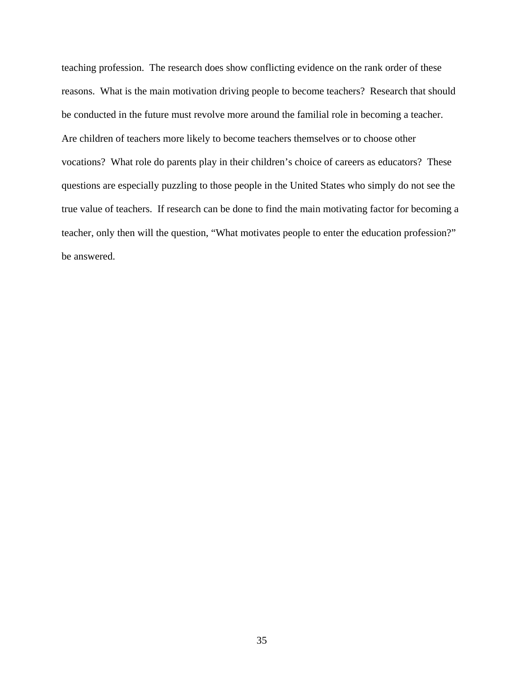teaching profession. The research does show conflicting evidence on the rank order of these reasons. What is the main motivation driving people to become teachers? Research that should be conducted in the future must revolve more around the familial role in becoming a teacher. Are children of teachers more likely to become teachers themselves or to choose other vocations? What role do parents play in their children's choice of careers as educators? These questions are especially puzzling to those people in the United States who simply do not see the true value of teachers. If research can be done to find the main motivating factor for becoming a teacher, only then will the question, "What motivates people to enter the education profession?" be answered.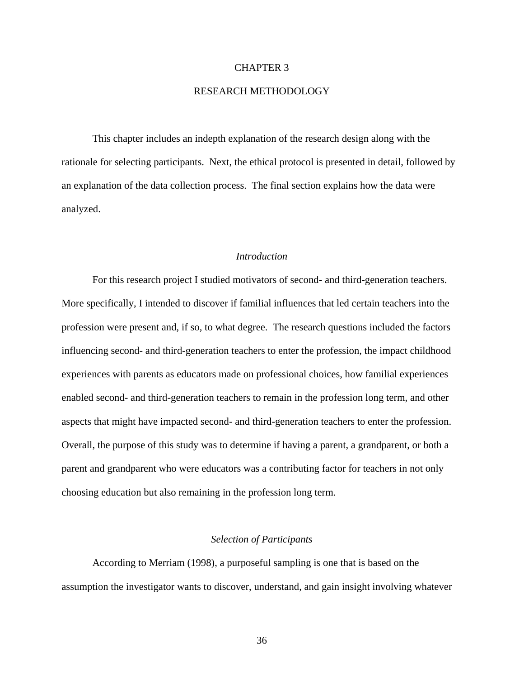#### CHAPTER 3

# RESEARCH METHODOLOGY

This chapter includes an indepth explanation of the research design along with the rationale for selecting participants. Next, the ethical protocol is presented in detail, followed by an explanation of the data collection process. The final section explains how the data were analyzed.

### *Introduction*

For this research project I studied motivators of second- and third-generation teachers. More specifically, I intended to discover if familial influences that led certain teachers into the profession were present and, if so, to what degree. The research questions included the factors influencing second- and third-generation teachers to enter the profession, the impact childhood experiences with parents as educators made on professional choices, how familial experiences enabled second- and third-generation teachers to remain in the profession long term, and other aspects that might have impacted second- and third-generation teachers to enter the profession. Overall, the purpose of this study was to determine if having a parent, a grandparent, or both a parent and grandparent who were educators was a contributing factor for teachers in not only choosing education but also remaining in the profession long term.

#### *Selection of Participants*

According to Merriam (1998), a purposeful sampling is one that is based on the assumption the investigator wants to discover, understand, and gain insight involving whatever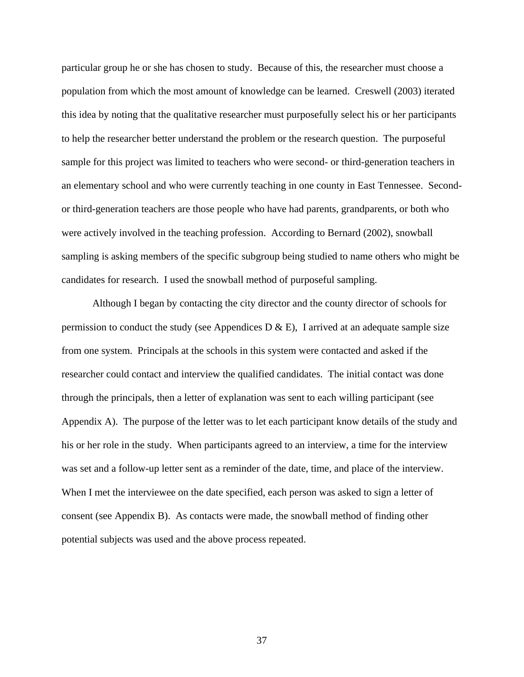particular group he or she has chosen to study. Because of this, the researcher must choose a population from which the most amount of knowledge can be learned. Creswell (2003) iterated this idea by noting that the qualitative researcher must purposefully select his or her participants to help the researcher better understand the problem or the research question. The purposeful sample for this project was limited to teachers who were second- or third-generation teachers in an elementary school and who were currently teaching in one county in East Tennessee. Secondor third-generation teachers are those people who have had parents, grandparents, or both who were actively involved in the teaching profession. According to Bernard (2002), snowball sampling is asking members of the specific subgroup being studied to name others who might be candidates for research. I used the snowball method of purposeful sampling.

Although I began by contacting the city director and the county director of schools for permission to conduct the study (see Appendices D  $\&$  E), I arrived at an adequate sample size from one system. Principals at the schools in this system were contacted and asked if the researcher could contact and interview the qualified candidates. The initial contact was done through the principals, then a letter of explanation was sent to each willing participant (see Appendix A). The purpose of the letter was to let each participant know details of the study and his or her role in the study. When participants agreed to an interview, a time for the interview was set and a follow-up letter sent as a reminder of the date, time, and place of the interview. When I met the interviewee on the date specified, each person was asked to sign a letter of consent (see Appendix B). As contacts were made, the snowball method of finding other potential subjects was used and the above process repeated.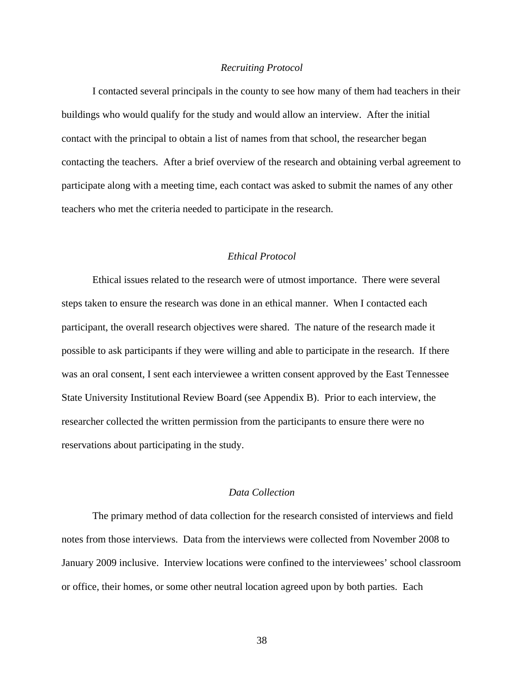#### *Recruiting Protocol*

I contacted several principals in the county to see how many of them had teachers in their buildings who would qualify for the study and would allow an interview. After the initial contact with the principal to obtain a list of names from that school, the researcher began contacting the teachers. After a brief overview of the research and obtaining verbal agreement to participate along with a meeting time, each contact was asked to submit the names of any other teachers who met the criteria needed to participate in the research.

# *Ethical Protocol*

 Ethical issues related to the research were of utmost importance. There were several steps taken to ensure the research was done in an ethical manner. When I contacted each participant, the overall research objectives were shared. The nature of the research made it possible to ask participants if they were willing and able to participate in the research. If there was an oral consent, I sent each interviewee a written consent approved by the East Tennessee State University Institutional Review Board (see Appendix B). Prior to each interview, the researcher collected the written permission from the participants to ensure there were no reservations about participating in the study.

# *Data Collection*

 The primary method of data collection for the research consisted of interviews and field notes from those interviews. Data from the interviews were collected from November 2008 to January 2009 inclusive. Interview locations were confined to the interviewees' school classroom or office, their homes, or some other neutral location agreed upon by both parties. Each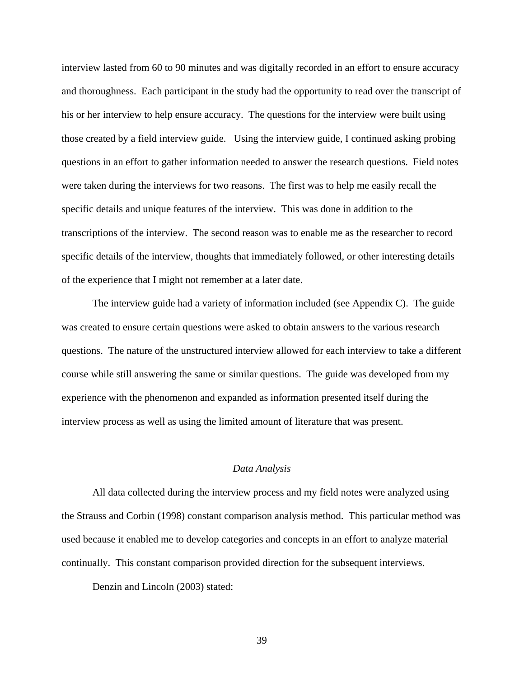interview lasted from 60 to 90 minutes and was digitally recorded in an effort to ensure accuracy and thoroughness. Each participant in the study had the opportunity to read over the transcript of his or her interview to help ensure accuracy. The questions for the interview were built using those created by a field interview guide. Using the interview guide, I continued asking probing questions in an effort to gather information needed to answer the research questions. Field notes were taken during the interviews for two reasons. The first was to help me easily recall the specific details and unique features of the interview. This was done in addition to the transcriptions of the interview. The second reason was to enable me as the researcher to record specific details of the interview, thoughts that immediately followed, or other interesting details of the experience that I might not remember at a later date.

The interview guide had a variety of information included (see Appendix C). The guide was created to ensure certain questions were asked to obtain answers to the various research questions. The nature of the unstructured interview allowed for each interview to take a different course while still answering the same or similar questions. The guide was developed from my experience with the phenomenon and expanded as information presented itself during the interview process as well as using the limited amount of literature that was present.

### *Data Analysis*

All data collected during the interview process and my field notes were analyzed using the Strauss and Corbin (1998) constant comparison analysis method. This particular method was used because it enabled me to develop categories and concepts in an effort to analyze material continually. This constant comparison provided direction for the subsequent interviews.

Denzin and Lincoln (2003) stated: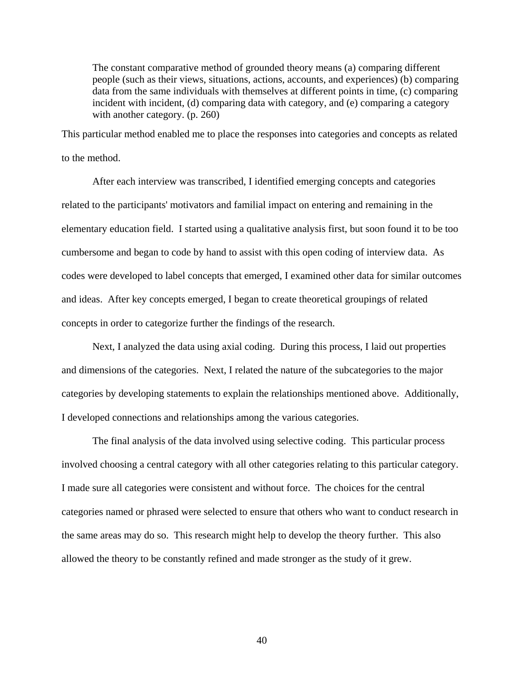The constant comparative method of grounded theory means (a) comparing different people (such as their views, situations, actions, accounts, and experiences) (b) comparing data from the same individuals with themselves at different points in time, (c) comparing incident with incident, (d) comparing data with category, and (e) comparing a category with another category. (p. 260)

This particular method enabled me to place the responses into categories and concepts as related to the method.

After each interview was transcribed, I identified emerging concepts and categories related to the participants' motivators and familial impact on entering and remaining in the elementary education field. I started using a qualitative analysis first, but soon found it to be too cumbersome and began to code by hand to assist with this open coding of interview data. As codes were developed to label concepts that emerged, I examined other data for similar outcomes and ideas. After key concepts emerged, I began to create theoretical groupings of related concepts in order to categorize further the findings of the research.

Next, I analyzed the data using axial coding. During this process, I laid out properties and dimensions of the categories. Next, I related the nature of the subcategories to the major categories by developing statements to explain the relationships mentioned above. Additionally, I developed connections and relationships among the various categories.

The final analysis of the data involved using selective coding. This particular process involved choosing a central category with all other categories relating to this particular category. I made sure all categories were consistent and without force. The choices for the central categories named or phrased were selected to ensure that others who want to conduct research in the same areas may do so. This research might help to develop the theory further. This also allowed the theory to be constantly refined and made stronger as the study of it grew.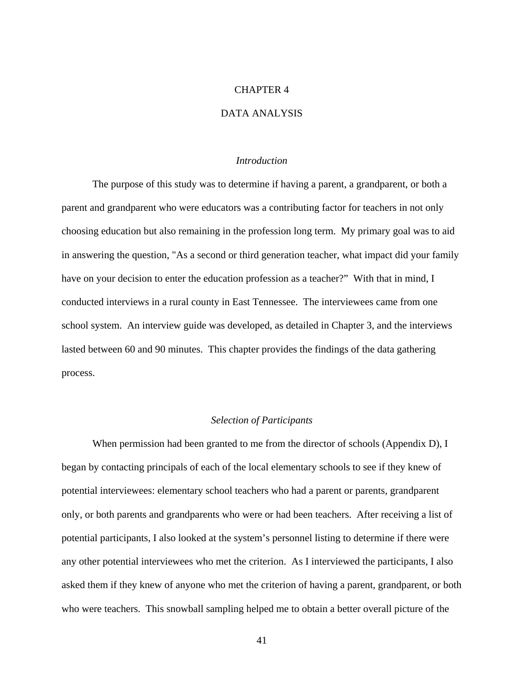## CHAPTER 4

# DATA ANALYSIS

### *Introduction*

 The purpose of this study was to determine if having a parent, a grandparent, or both a parent and grandparent who were educators was a contributing factor for teachers in not only choosing education but also remaining in the profession long term. My primary goal was to aid in answering the question, "As a second or third generation teacher, what impact did your family have on your decision to enter the education profession as a teacher?" With that in mind, I conducted interviews in a rural county in East Tennessee. The interviewees came from one school system. An interview guide was developed, as detailed in Chapter 3, and the interviews lasted between 60 and 90 minutes. This chapter provides the findings of the data gathering process.

### *Selection of Participants*

 When permission had been granted to me from the director of schools (Appendix D), I began by contacting principals of each of the local elementary schools to see if they knew of potential interviewees: elementary school teachers who had a parent or parents, grandparent only, or both parents and grandparents who were or had been teachers. After receiving a list of potential participants, I also looked at the system's personnel listing to determine if there were any other potential interviewees who met the criterion. As I interviewed the participants, I also asked them if they knew of anyone who met the criterion of having a parent, grandparent, or both who were teachers. This snowball sampling helped me to obtain a better overall picture of the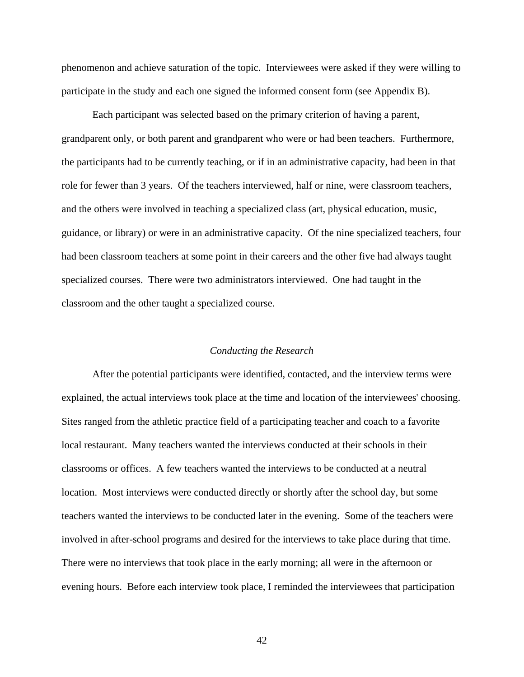phenomenon and achieve saturation of the topic. Interviewees were asked if they were willing to participate in the study and each one signed the informed consent form (see Appendix B).

Each participant was selected based on the primary criterion of having a parent, grandparent only, or both parent and grandparent who were or had been teachers. Furthermore, the participants had to be currently teaching, or if in an administrative capacity, had been in that role for fewer than 3 years. Of the teachers interviewed, half or nine, were classroom teachers, and the others were involved in teaching a specialized class (art, physical education, music, guidance, or library) or were in an administrative capacity. Of the nine specialized teachers, four had been classroom teachers at some point in their careers and the other five had always taught specialized courses. There were two administrators interviewed. One had taught in the classroom and the other taught a specialized course.

#### *Conducting the Research*

After the potential participants were identified, contacted, and the interview terms were explained, the actual interviews took place at the time and location of the interviewees' choosing. Sites ranged from the athletic practice field of a participating teacher and coach to a favorite local restaurant. Many teachers wanted the interviews conducted at their schools in their classrooms or offices. A few teachers wanted the interviews to be conducted at a neutral location. Most interviews were conducted directly or shortly after the school day, but some teachers wanted the interviews to be conducted later in the evening. Some of the teachers were involved in after-school programs and desired for the interviews to take place during that time. There were no interviews that took place in the early morning; all were in the afternoon or evening hours. Before each interview took place, I reminded the interviewees that participation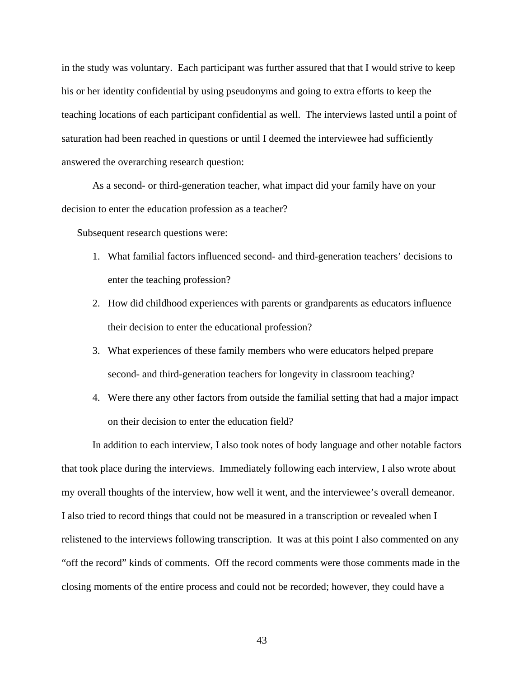in the study was voluntary. Each participant was further assured that that I would strive to keep his or her identity confidential by using pseudonyms and going to extra efforts to keep the teaching locations of each participant confidential as well. The interviews lasted until a point of saturation had been reached in questions or until I deemed the interviewee had sufficiently answered the overarching research question:

 As a second- or third-generation teacher, what impact did your family have on your decision to enter the education profession as a teacher?

Subsequent research questions were:

- 1. What familial factors influenced second- and third-generation teachers' decisions to enter the teaching profession?
- 2. How did childhood experiences with parents or grandparents as educators influence their decision to enter the educational profession?
- 3. What experiences of these family members who were educators helped prepare second- and third-generation teachers for longevity in classroom teaching?
- 4. Were there any other factors from outside the familial setting that had a major impact on their decision to enter the education field?

 In addition to each interview, I also took notes of body language and other notable factors that took place during the interviews. Immediately following each interview, I also wrote about my overall thoughts of the interview, how well it went, and the interviewee's overall demeanor. I also tried to record things that could not be measured in a transcription or revealed when I relistened to the interviews following transcription. It was at this point I also commented on any "off the record" kinds of comments. Off the record comments were those comments made in the closing moments of the entire process and could not be recorded; however, they could have a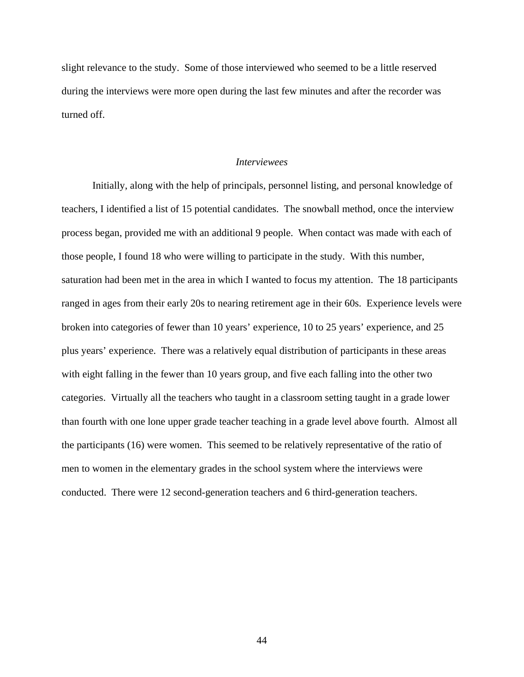slight relevance to the study. Some of those interviewed who seemed to be a little reserved during the interviews were more open during the last few minutes and after the recorder was turned off.

#### *Interviewees*

 Initially, along with the help of principals, personnel listing, and personal knowledge of teachers, I identified a list of 15 potential candidates. The snowball method, once the interview process began, provided me with an additional 9 people. When contact was made with each of those people, I found 18 who were willing to participate in the study. With this number, saturation had been met in the area in which I wanted to focus my attention. The 18 participants ranged in ages from their early 20s to nearing retirement age in their 60s. Experience levels were broken into categories of fewer than 10 years' experience, 10 to 25 years' experience, and 25 plus years' experience. There was a relatively equal distribution of participants in these areas with eight falling in the fewer than 10 years group, and five each falling into the other two categories. Virtually all the teachers who taught in a classroom setting taught in a grade lower than fourth with one lone upper grade teacher teaching in a grade level above fourth. Almost all the participants (16) were women. This seemed to be relatively representative of the ratio of men to women in the elementary grades in the school system where the interviews were conducted. There were 12 second-generation teachers and 6 third-generation teachers.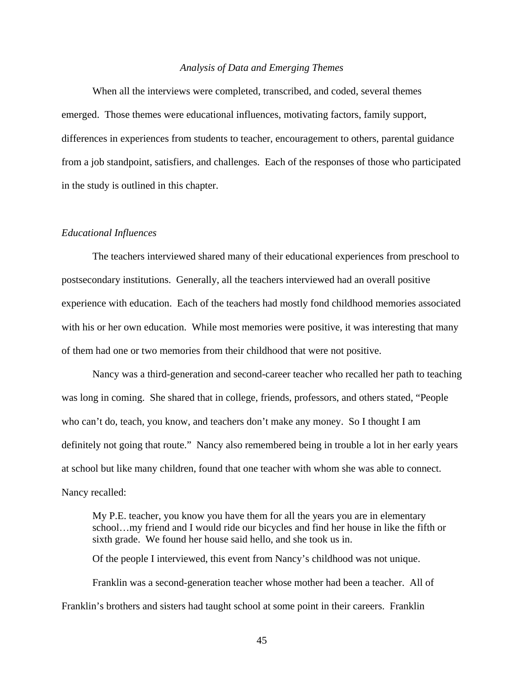## *Analysis of Data and Emerging Themes*

 When all the interviews were completed, transcribed, and coded, several themes emerged. Those themes were educational influences, motivating factors, family support, differences in experiences from students to teacher, encouragement to others, parental guidance from a job standpoint, satisfiers, and challenges. Each of the responses of those who participated in the study is outlined in this chapter.

#### *Educational Influences*

 The teachers interviewed shared many of their educational experiences from preschool to postsecondary institutions. Generally, all the teachers interviewed had an overall positive experience with education. Each of the teachers had mostly fond childhood memories associated with his or her own education. While most memories were positive, it was interesting that many of them had one or two memories from their childhood that were not positive.

Nancy was a third-generation and second-career teacher who recalled her path to teaching was long in coming. She shared that in college, friends, professors, and others stated, "People who can't do, teach, you know, and teachers don't make any money. So I thought I am definitely not going that route." Nancy also remembered being in trouble a lot in her early years at school but like many children, found that one teacher with whom she was able to connect. Nancy recalled:

My P.E. teacher, you know you have them for all the years you are in elementary school…my friend and I would ride our bicycles and find her house in like the fifth or sixth grade. We found her house said hello, and she took us in. Of the people I interviewed, this event from Nancy's childhood was not unique. Franklin was a second-generation teacher whose mother had been a teacher. All of Franklin's brothers and sisters had taught school at some point in their careers. Franklin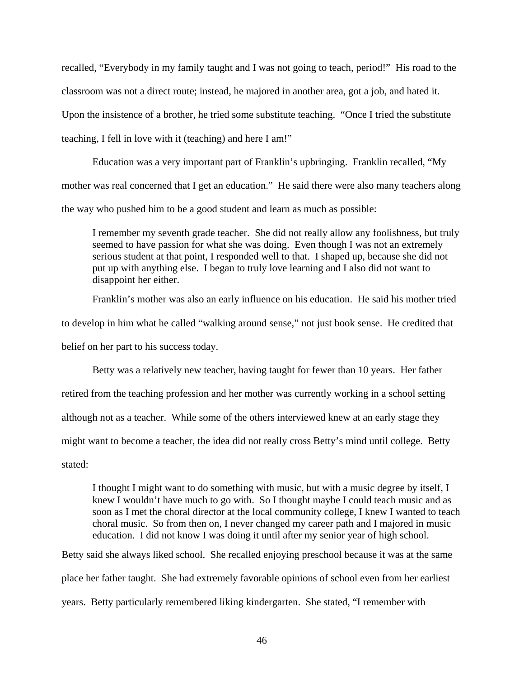recalled, "Everybody in my family taught and I was not going to teach, period!" His road to the classroom was not a direct route; instead, he majored in another area, got a job, and hated it. Upon the insistence of a brother, he tried some substitute teaching. "Once I tried the substitute teaching, I fell in love with it (teaching) and here I am!"

Education was a very important part of Franklin's upbringing. Franklin recalled, "My mother was real concerned that I get an education." He said there were also many teachers along the way who pushed him to be a good student and learn as much as possible:

I remember my seventh grade teacher. She did not really allow any foolishness, but truly seemed to have passion for what she was doing. Even though I was not an extremely serious student at that point, I responded well to that. I shaped up, because she did not put up with anything else. I began to truly love learning and I also did not want to disappoint her either.

Franklin's mother was also an early influence on his education. He said his mother tried

to develop in him what he called "walking around sense," not just book sense. He credited that belief on her part to his success today.

 Betty was a relatively new teacher, having taught for fewer than 10 years. Her father retired from the teaching profession and her mother was currently working in a school setting although not as a teacher. While some of the others interviewed knew at an early stage they might want to become a teacher, the idea did not really cross Betty's mind until college. Betty stated:

I thought I might want to do something with music, but with a music degree by itself, I knew I wouldn't have much to go with. So I thought maybe I could teach music and as soon as I met the choral director at the local community college, I knew I wanted to teach choral music. So from then on, I never changed my career path and I majored in music education. I did not know I was doing it until after my senior year of high school.

Betty said she always liked school. She recalled enjoying preschool because it was at the same place her father taught. She had extremely favorable opinions of school even from her earliest years. Betty particularly remembered liking kindergarten. She stated, "I remember with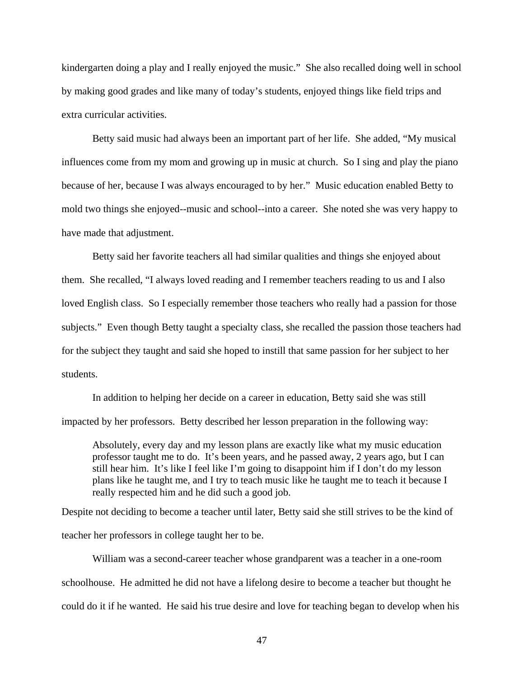kindergarten doing a play and I really enjoyed the music." She also recalled doing well in school by making good grades and like many of today's students, enjoyed things like field trips and extra curricular activities.

Betty said music had always been an important part of her life. She added, "My musical influences come from my mom and growing up in music at church. So I sing and play the piano because of her, because I was always encouraged to by her." Music education enabled Betty to mold two things she enjoyed--music and school--into a career. She noted she was very happy to have made that adjustment.

 Betty said her favorite teachers all had similar qualities and things she enjoyed about them. She recalled, "I always loved reading and I remember teachers reading to us and I also loved English class. So I especially remember those teachers who really had a passion for those subjects." Even though Betty taught a specialty class, she recalled the passion those teachers had for the subject they taught and said she hoped to instill that same passion for her subject to her students.

 In addition to helping her decide on a career in education, Betty said she was still impacted by her professors. Betty described her lesson preparation in the following way:

Absolutely, every day and my lesson plans are exactly like what my music education professor taught me to do. It's been years, and he passed away, 2 years ago, but I can still hear him. It's like I feel like I'm going to disappoint him if I don't do my lesson plans like he taught me, and I try to teach music like he taught me to teach it because I really respected him and he did such a good job.

Despite not deciding to become a teacher until later, Betty said she still strives to be the kind of teacher her professors in college taught her to be.

 William was a second-career teacher whose grandparent was a teacher in a one-room schoolhouse. He admitted he did not have a lifelong desire to become a teacher but thought he could do it if he wanted. He said his true desire and love for teaching began to develop when his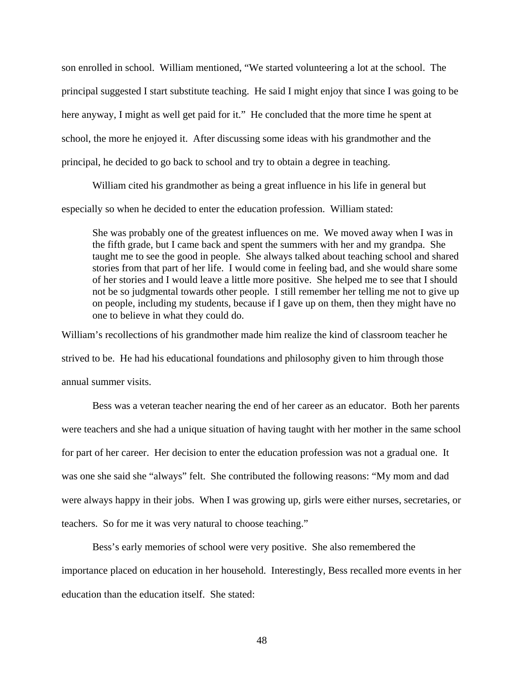son enrolled in school. William mentioned, "We started volunteering a lot at the school. The principal suggested I start substitute teaching. He said I might enjoy that since I was going to be here anyway, I might as well get paid for it." He concluded that the more time he spent at school, the more he enjoyed it. After discussing some ideas with his grandmother and the principal, he decided to go back to school and try to obtain a degree in teaching.

 William cited his grandmother as being a great influence in his life in general but especially so when he decided to enter the education profession. William stated:

She was probably one of the greatest influences on me. We moved away when I was in the fifth grade, but I came back and spent the summers with her and my grandpa. She taught me to see the good in people. She always talked about teaching school and shared stories from that part of her life. I would come in feeling bad, and she would share some of her stories and I would leave a little more positive. She helped me to see that I should not be so judgmental towards other people. I still remember her telling me not to give up on people, including my students, because if I gave up on them, then they might have no one to believe in what they could do.

William's recollections of his grandmother made him realize the kind of classroom teacher he strived to be. He had his educational foundations and philosophy given to him through those annual summer visits.

 Bess was a veteran teacher nearing the end of her career as an educator. Both her parents were teachers and she had a unique situation of having taught with her mother in the same school for part of her career. Her decision to enter the education profession was not a gradual one. It was one she said she "always" felt. She contributed the following reasons: "My mom and dad were always happy in their jobs. When I was growing up, girls were either nurses, secretaries, or teachers. So for me it was very natural to choose teaching."

 Bess's early memories of school were very positive. She also remembered the importance placed on education in her household. Interestingly, Bess recalled more events in her education than the education itself. She stated: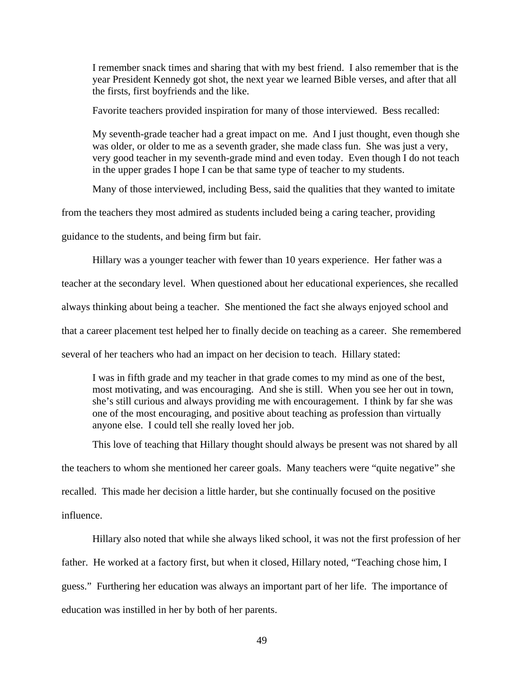I remember snack times and sharing that with my best friend. I also remember that is the year President Kennedy got shot, the next year we learned Bible verses, and after that all the firsts, first boyfriends and the like.

Favorite teachers provided inspiration for many of those interviewed. Bess recalled:

My seventh-grade teacher had a great impact on me. And I just thought, even though she was older, or older to me as a seventh grader, she made class fun. She was just a very, very good teacher in my seventh-grade mind and even today. Even though I do not teach in the upper grades I hope I can be that same type of teacher to my students.

Many of those interviewed, including Bess, said the qualities that they wanted to imitate

from the teachers they most admired as students included being a caring teacher, providing

guidance to the students, and being firm but fair.

 Hillary was a younger teacher with fewer than 10 years experience. Her father was a teacher at the secondary level. When questioned about her educational experiences, she recalled always thinking about being a teacher. She mentioned the fact she always enjoyed school and that a career placement test helped her to finally decide on teaching as a career. She remembered several of her teachers who had an impact on her decision to teach. Hillary stated:

I was in fifth grade and my teacher in that grade comes to my mind as one of the best, most motivating, and was encouraging. And she is still. When you see her out in town, she's still curious and always providing me with encouragement. I think by far she was one of the most encouraging, and positive about teaching as profession than virtually anyone else. I could tell she really loved her job.

 This love of teaching that Hillary thought should always be present was not shared by all the teachers to whom she mentioned her career goals. Many teachers were "quite negative" she recalled. This made her decision a little harder, but she continually focused on the positive influence.

 Hillary also noted that while she always liked school, it was not the first profession of her father. He worked at a factory first, but when it closed, Hillary noted, "Teaching chose him, I guess." Furthering her education was always an important part of her life. The importance of education was instilled in her by both of her parents.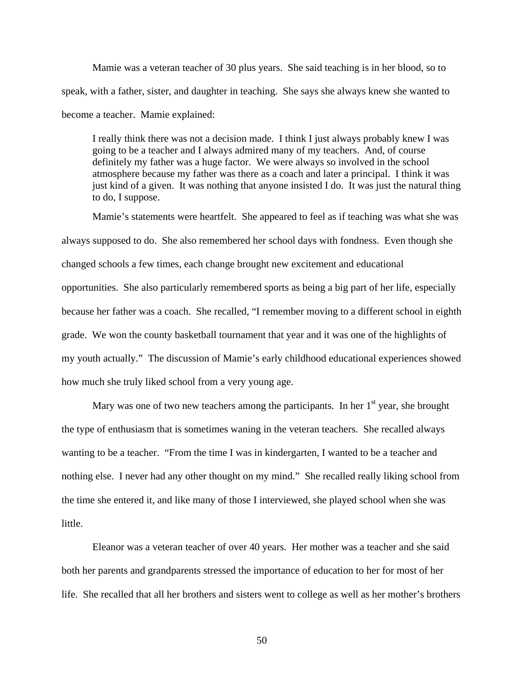Mamie was a veteran teacher of 30 plus years. She said teaching is in her blood, so to speak, with a father, sister, and daughter in teaching. She says she always knew she wanted to become a teacher. Mamie explained:

I really think there was not a decision made. I think I just always probably knew I was going to be a teacher and I always admired many of my teachers. And, of course definitely my father was a huge factor. We were always so involved in the school atmosphere because my father was there as a coach and later a principal. I think it was just kind of a given. It was nothing that anyone insisted I do. It was just the natural thing to do, I suppose.

 Mamie's statements were heartfelt. She appeared to feel as if teaching was what she was always supposed to do. She also remembered her school days with fondness. Even though she changed schools a few times, each change brought new excitement and educational opportunities. She also particularly remembered sports as being a big part of her life, especially because her father was a coach. She recalled, "I remember moving to a different school in eighth grade. We won the county basketball tournament that year and it was one of the highlights of my youth actually." The discussion of Mamie's early childhood educational experiences showed how much she truly liked school from a very young age.

Mary was one of two new teachers among the participants. In her  $1<sup>st</sup>$  year, she brought the type of enthusiasm that is sometimes waning in the veteran teachers. She recalled always wanting to be a teacher. "From the time I was in kindergarten, I wanted to be a teacher and nothing else. I never had any other thought on my mind." She recalled really liking school from the time she entered it, and like many of those I interviewed, she played school when she was little.

 Eleanor was a veteran teacher of over 40 years. Her mother was a teacher and she said both her parents and grandparents stressed the importance of education to her for most of her life. She recalled that all her brothers and sisters went to college as well as her mother's brothers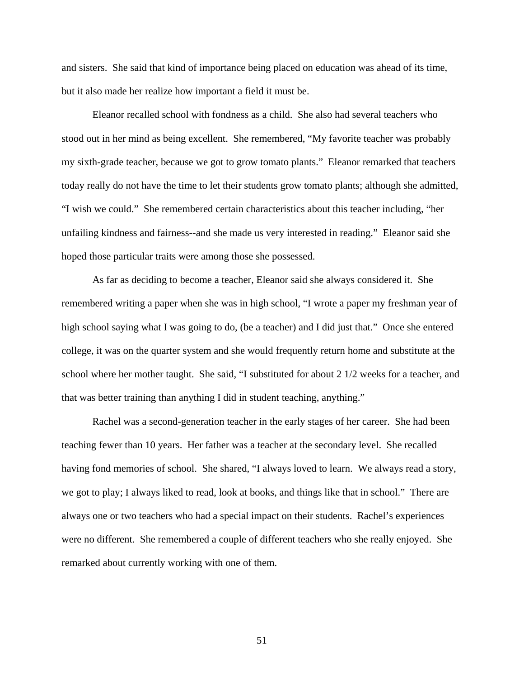and sisters. She said that kind of importance being placed on education was ahead of its time, but it also made her realize how important a field it must be.

 Eleanor recalled school with fondness as a child. She also had several teachers who stood out in her mind as being excellent. She remembered, "My favorite teacher was probably my sixth-grade teacher, because we got to grow tomato plants." Eleanor remarked that teachers today really do not have the time to let their students grow tomato plants; although she admitted, "I wish we could." She remembered certain characteristics about this teacher including, "her unfailing kindness and fairness--and she made us very interested in reading." Eleanor said she hoped those particular traits were among those she possessed.

As far as deciding to become a teacher, Eleanor said she always considered it. She remembered writing a paper when she was in high school, "I wrote a paper my freshman year of high school saying what I was going to do, (be a teacher) and I did just that." Once she entered college, it was on the quarter system and she would frequently return home and substitute at the school where her mother taught. She said, "I substituted for about 2 1/2 weeks for a teacher, and that was better training than anything I did in student teaching, anything."

Rachel was a second-generation teacher in the early stages of her career. She had been teaching fewer than 10 years. Her father was a teacher at the secondary level. She recalled having fond memories of school. She shared, "I always loved to learn. We always read a story, we got to play; I always liked to read, look at books, and things like that in school." There are always one or two teachers who had a special impact on their students. Rachel's experiences were no different. She remembered a couple of different teachers who she really enjoyed. She remarked about currently working with one of them.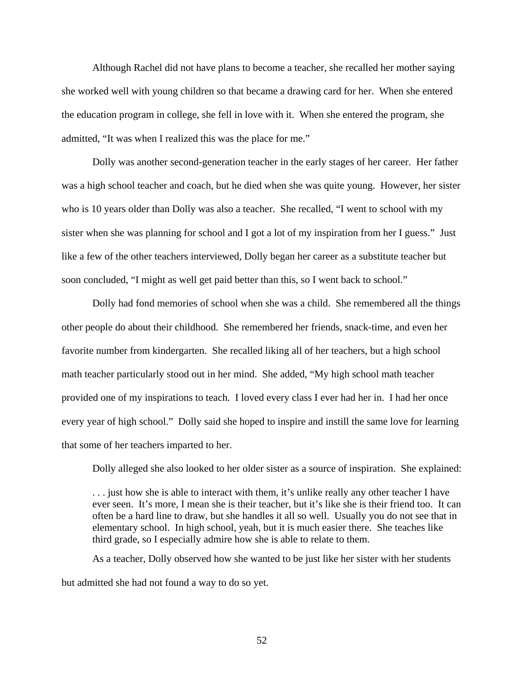Although Rachel did not have plans to become a teacher, she recalled her mother saying she worked well with young children so that became a drawing card for her. When she entered the education program in college, she fell in love with it. When she entered the program, she admitted, "It was when I realized this was the place for me."

Dolly was another second-generation teacher in the early stages of her career. Her father was a high school teacher and coach, but he died when she was quite young. However, her sister who is 10 years older than Dolly was also a teacher. She recalled, "I went to school with my sister when she was planning for school and I got a lot of my inspiration from her I guess." Just like a few of the other teachers interviewed, Dolly began her career as a substitute teacher but soon concluded, "I might as well get paid better than this, so I went back to school."

Dolly had fond memories of school when she was a child. She remembered all the things other people do about their childhood. She remembered her friends, snack-time, and even her favorite number from kindergarten. She recalled liking all of her teachers, but a high school math teacher particularly stood out in her mind. She added, "My high school math teacher provided one of my inspirations to teach. I loved every class I ever had her in. I had her once every year of high school." Dolly said she hoped to inspire and instill the same love for learning that some of her teachers imparted to her.

Dolly alleged she also looked to her older sister as a source of inspiration. She explained:

. . . just how she is able to interact with them, it's unlike really any other teacher I have ever seen. It's more, I mean she is their teacher, but it's like she is their friend too. It can often be a hard line to draw, but she handles it all so well. Usually you do not see that in elementary school. In high school, yeah, but it is much easier there. She teaches like third grade, so I especially admire how she is able to relate to them.

 As a teacher, Dolly observed how she wanted to be just like her sister with her students but admitted she had not found a way to do so yet.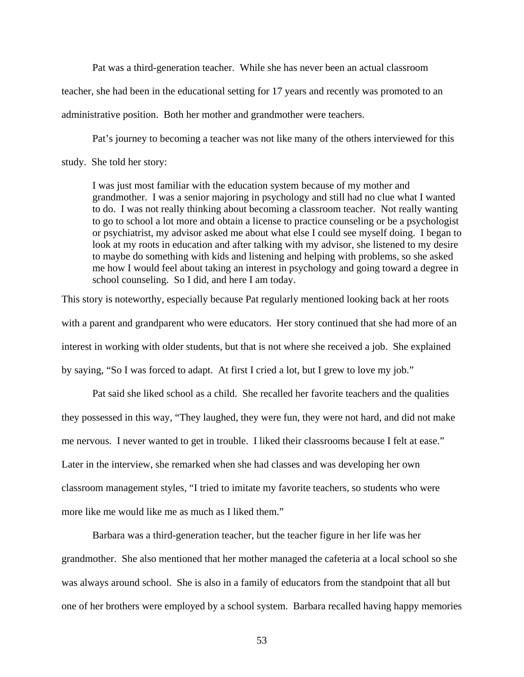Pat was a third-generation teacher. While she has never been an actual classroom teacher, she had been in the educational setting for 17 years and recently was promoted to an administrative position. Both her mother and grandmother were teachers.

 Pat's journey to becoming a teacher was not like many of the others interviewed for this study. She told her story:

I was just most familiar with the education system because of my mother and grandmother. I was a senior majoring in psychology and still had no clue what I wanted to do. I was not really thinking about becoming a classroom teacher. Not really wanting to go to school a lot more and obtain a license to practice counseling or be a psychologist or psychiatrist, my advisor asked me about what else I could see myself doing. I began to look at my roots in education and after talking with my advisor, she listened to my desire to maybe do something with kids and listening and helping with problems, so she asked me how I would feel about taking an interest in psychology and going toward a degree in school counseling. So I did, and here I am today.

This story is noteworthy, especially because Pat regularly mentioned looking back at her roots with a parent and grandparent who were educators. Her story continued that she had more of an interest in working with older students, but that is not where she received a job. She explained by saying, "So I was forced to adapt. At first I cried a lot, but I grew to love my job."

 Pat said she liked school as a child. She recalled her favorite teachers and the qualities they possessed in this way, "They laughed, they were fun, they were not hard, and did not make me nervous. I never wanted to get in trouble. I liked their classrooms because I felt at ease." Later in the interview, she remarked when she had classes and was developing her own classroom management styles, "I tried to imitate my favorite teachers, so students who were more like me would like me as much as I liked them."

 Barbara was a third-generation teacher, but the teacher figure in her life was her grandmother. She also mentioned that her mother managed the cafeteria at a local school so she was always around school. She is also in a family of educators from the standpoint that all but one of her brothers were employed by a school system. Barbara recalled having happy memories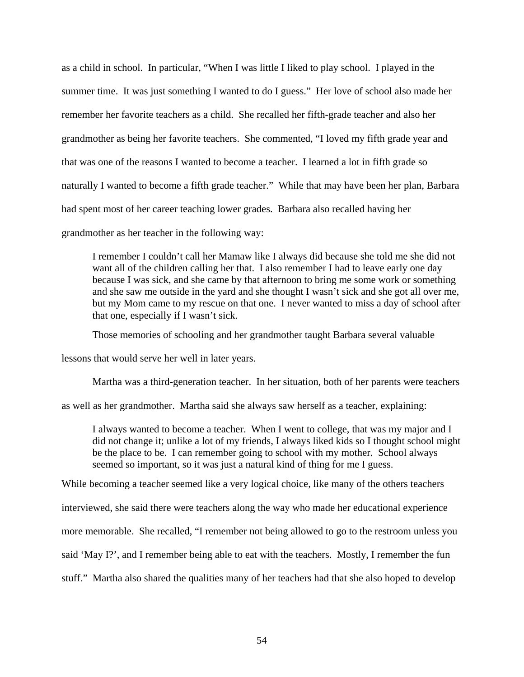as a child in school. In particular, "When I was little I liked to play school. I played in the summer time. It was just something I wanted to do I guess." Her love of school also made her remember her favorite teachers as a child. She recalled her fifth-grade teacher and also her grandmother as being her favorite teachers. She commented, "I loved my fifth grade year and that was one of the reasons I wanted to become a teacher. I learned a lot in fifth grade so naturally I wanted to become a fifth grade teacher." While that may have been her plan, Barbara had spent most of her career teaching lower grades. Barbara also recalled having her grandmother as her teacher in the following way:

I remember I couldn't call her Mamaw like I always did because she told me she did not want all of the children calling her that. I also remember I had to leave early one day because I was sick, and she came by that afternoon to bring me some work or something and she saw me outside in the yard and she thought I wasn't sick and she got all over me, but my Mom came to my rescue on that one. I never wanted to miss a day of school after that one, especially if I wasn't sick.

Those memories of schooling and her grandmother taught Barbara several valuable

lessons that would serve her well in later years.

Martha was a third-generation teacher. In her situation, both of her parents were teachers

as well as her grandmother. Martha said she always saw herself as a teacher, explaining:

I always wanted to become a teacher. When I went to college, that was my major and I did not change it; unlike a lot of my friends, I always liked kids so I thought school might be the place to be. I can remember going to school with my mother. School always seemed so important, so it was just a natural kind of thing for me I guess.

While becoming a teacher seemed like a very logical choice, like many of the others teachers

interviewed, she said there were teachers along the way who made her educational experience

more memorable. She recalled, "I remember not being allowed to go to the restroom unless you

said 'May I?', and I remember being able to eat with the teachers. Mostly, I remember the fun

stuff." Martha also shared the qualities many of her teachers had that she also hoped to develop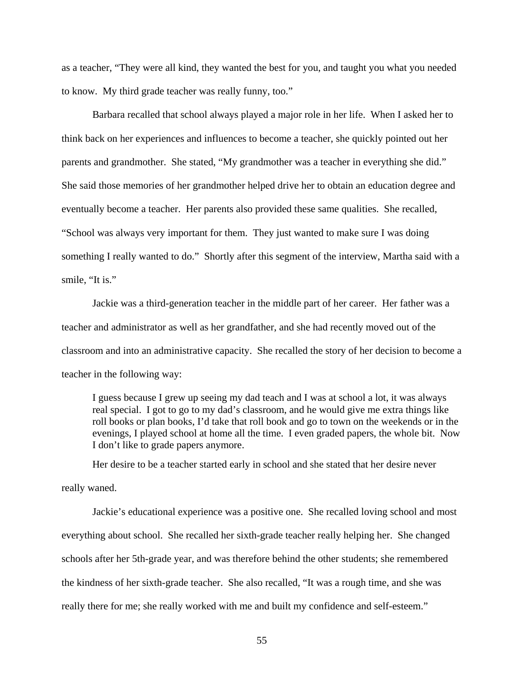as a teacher, "They were all kind, they wanted the best for you, and taught you what you needed to know. My third grade teacher was really funny, too."

 Barbara recalled that school always played a major role in her life. When I asked her to think back on her experiences and influences to become a teacher, she quickly pointed out her parents and grandmother. She stated, "My grandmother was a teacher in everything she did." She said those memories of her grandmother helped drive her to obtain an education degree and eventually become a teacher. Her parents also provided these same qualities. She recalled, "School was always very important for them. They just wanted to make sure I was doing something I really wanted to do." Shortly after this segment of the interview, Martha said with a smile, "It is."

 Jackie was a third-generation teacher in the middle part of her career. Her father was a teacher and administrator as well as her grandfather, and she had recently moved out of the classroom and into an administrative capacity. She recalled the story of her decision to become a teacher in the following way:

I guess because I grew up seeing my dad teach and I was at school a lot, it was always real special. I got to go to my dad's classroom, and he would give me extra things like roll books or plan books, I'd take that roll book and go to town on the weekends or in the evenings, I played school at home all the time. I even graded papers, the whole bit. Now I don't like to grade papers anymore.

Her desire to be a teacher started early in school and she stated that her desire never

really waned.

 Jackie's educational experience was a positive one. She recalled loving school and most everything about school. She recalled her sixth-grade teacher really helping her. She changed schools after her 5th-grade year, and was therefore behind the other students; she remembered the kindness of her sixth-grade teacher. She also recalled, "It was a rough time, and she was really there for me; she really worked with me and built my confidence and self-esteem."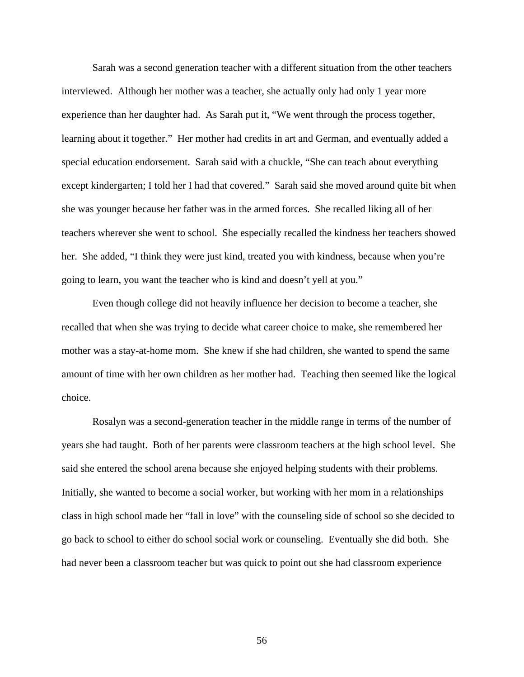Sarah was a second generation teacher with a different situation from the other teachers interviewed. Although her mother was a teacher, she actually only had only 1 year more experience than her daughter had. As Sarah put it, "We went through the process together, learning about it together." Her mother had credits in art and German, and eventually added a special education endorsement. Sarah said with a chuckle, "She can teach about everything except kindergarten; I told her I had that covered." Sarah said she moved around quite bit when she was younger because her father was in the armed forces. She recalled liking all of her teachers wherever she went to school. She especially recalled the kindness her teachers showed her. She added, "I think they were just kind, treated you with kindness, because when you're going to learn, you want the teacher who is kind and doesn't yell at you."

 Even though college did not heavily influence her decision to become a teacher, she recalled that when she was trying to decide what career choice to make, she remembered her mother was a stay-at-home mom. She knew if she had children, she wanted to spend the same amount of time with her own children as her mother had. Teaching then seemed like the logical choice.

 Rosalyn was a second-generation teacher in the middle range in terms of the number of years she had taught. Both of her parents were classroom teachers at the high school level. She said she entered the school arena because she enjoyed helping students with their problems. Initially, she wanted to become a social worker, but working with her mom in a relationships class in high school made her "fall in love" with the counseling side of school so she decided to go back to school to either do school social work or counseling. Eventually she did both. She had never been a classroom teacher but was quick to point out she had classroom experience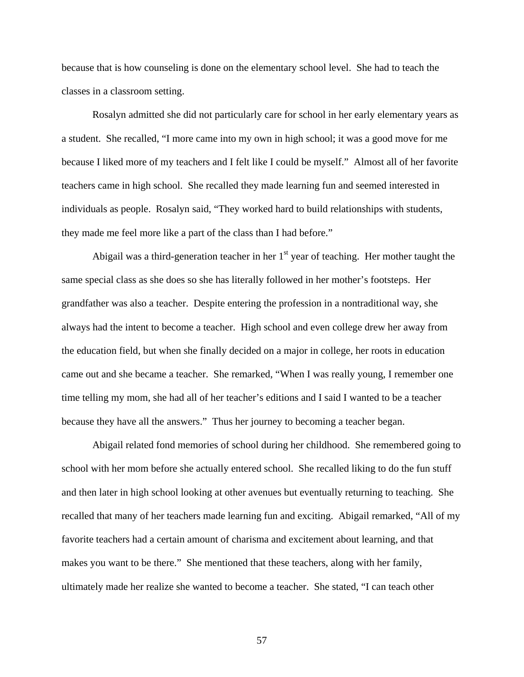because that is how counseling is done on the elementary school level. She had to teach the classes in a classroom setting.

 Rosalyn admitted she did not particularly care for school in her early elementary years as a student. She recalled, "I more came into my own in high school; it was a good move for me because I liked more of my teachers and I felt like I could be myself." Almost all of her favorite teachers came in high school. She recalled they made learning fun and seemed interested in individuals as people. Rosalyn said, "They worked hard to build relationships with students, they made me feel more like a part of the class than I had before."

Abigail was a third-generation teacher in her  $1<sup>st</sup>$  year of teaching. Her mother taught the same special class as she does so she has literally followed in her mother's footsteps. Her grandfather was also a teacher. Despite entering the profession in a nontraditional way, she always had the intent to become a teacher. High school and even college drew her away from the education field, but when she finally decided on a major in college, her roots in education came out and she became a teacher. She remarked, "When I was really young, I remember one time telling my mom, she had all of her teacher's editions and I said I wanted to be a teacher because they have all the answers." Thus her journey to becoming a teacher began.

 Abigail related fond memories of school during her childhood. She remembered going to school with her mom before she actually entered school. She recalled liking to do the fun stuff and then later in high school looking at other avenues but eventually returning to teaching. She recalled that many of her teachers made learning fun and exciting. Abigail remarked, "All of my favorite teachers had a certain amount of charisma and excitement about learning, and that makes you want to be there." She mentioned that these teachers, along with her family, ultimately made her realize she wanted to become a teacher. She stated, "I can teach other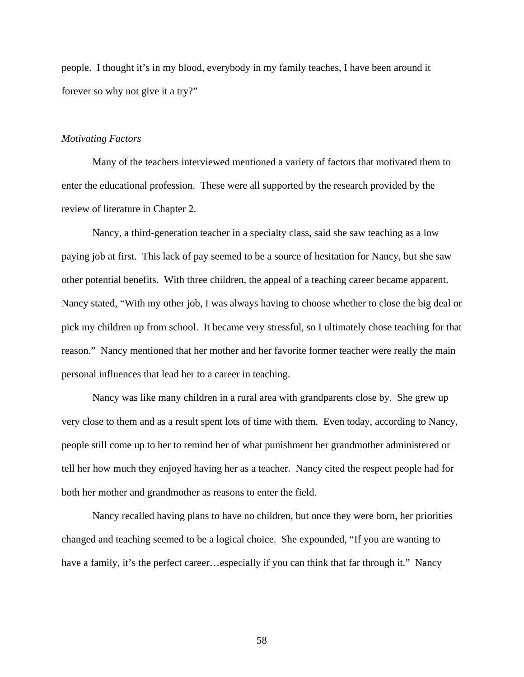people. I thought it's in my blood, everybody in my family teaches, I have been around it forever so why not give it a try?"

### *Motivating Factors*

Many of the teachers interviewed mentioned a variety of factors that motivated them to enter the educational profession. These were all supported by the research provided by the review of literature in Chapter 2.

Nancy, a third-generation teacher in a specialty class, said she saw teaching as a low paying job at first. This lack of pay seemed to be a source of hesitation for Nancy, but she saw other potential benefits. With three children, the appeal of a teaching career became apparent. Nancy stated, "With my other job, I was always having to choose whether to close the big deal or pick my children up from school. It became very stressful, so I ultimately chose teaching for that reason." Nancy mentioned that her mother and her favorite former teacher were really the main personal influences that lead her to a career in teaching.

Nancy was like many children in a rural area with grandparents close by. She grew up very close to them and as a result spent lots of time with them. Even today, according to Nancy, people still come up to her to remind her of what punishment her grandmother administered or tell her how much they enjoyed having her as a teacher. Nancy cited the respect people had for both her mother and grandmother as reasons to enter the field.

Nancy recalled having plans to have no children, but once they were born, her priorities changed and teaching seemed to be a logical choice. She expounded, "If you are wanting to have a family, it's the perfect career...especially if you can think that far through it." Nancy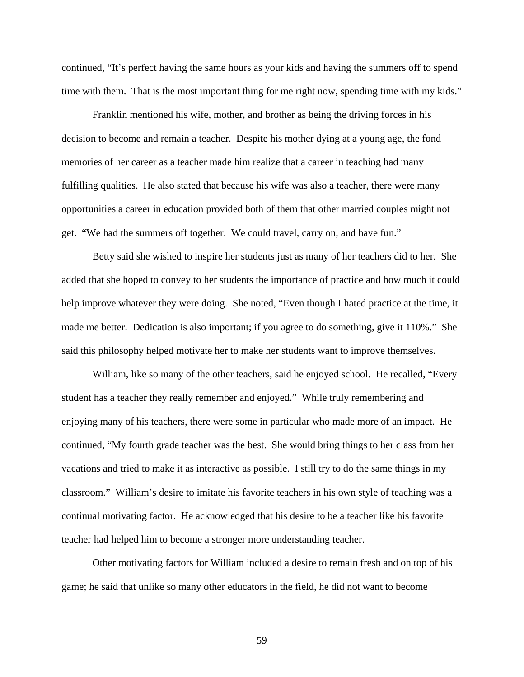continued, "It's perfect having the same hours as your kids and having the summers off to spend time with them. That is the most important thing for me right now, spending time with my kids."

Franklin mentioned his wife, mother, and brother as being the driving forces in his decision to become and remain a teacher. Despite his mother dying at a young age, the fond memories of her career as a teacher made him realize that a career in teaching had many fulfilling qualities. He also stated that because his wife was also a teacher, there were many opportunities a career in education provided both of them that other married couples might not get. "We had the summers off together. We could travel, carry on, and have fun."

Betty said she wished to inspire her students just as many of her teachers did to her. She added that she hoped to convey to her students the importance of practice and how much it could help improve whatever they were doing. She noted, "Even though I hated practice at the time, it made me better. Dedication is also important; if you agree to do something, give it 110%." She said this philosophy helped motivate her to make her students want to improve themselves.

 William, like so many of the other teachers, said he enjoyed school. He recalled, "Every student has a teacher they really remember and enjoyed." While truly remembering and enjoying many of his teachers, there were some in particular who made more of an impact. He continued, "My fourth grade teacher was the best. She would bring things to her class from her vacations and tried to make it as interactive as possible. I still try to do the same things in my classroom." William's desire to imitate his favorite teachers in his own style of teaching was a continual motivating factor. He acknowledged that his desire to be a teacher like his favorite teacher had helped him to become a stronger more understanding teacher.

Other motivating factors for William included a desire to remain fresh and on top of his game; he said that unlike so many other educators in the field, he did not want to become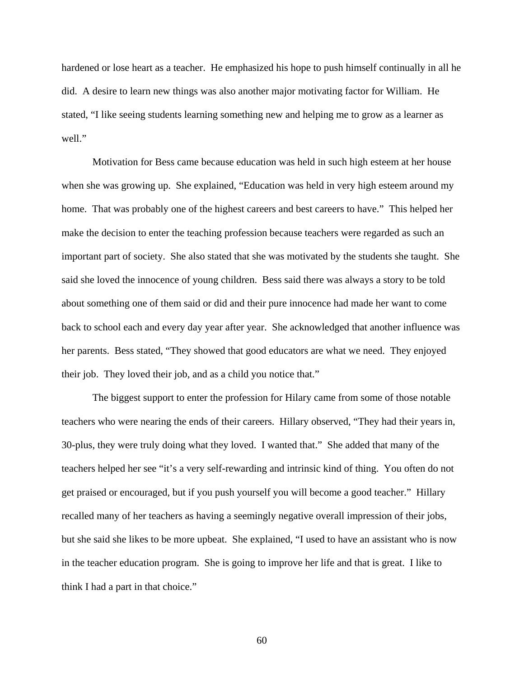hardened or lose heart as a teacher. He emphasized his hope to push himself continually in all he did. A desire to learn new things was also another major motivating factor for William. He stated, "I like seeing students learning something new and helping me to grow as a learner as well."

Motivation for Bess came because education was held in such high esteem at her house when she was growing up. She explained, "Education was held in very high esteem around my home. That was probably one of the highest careers and best careers to have." This helped her make the decision to enter the teaching profession because teachers were regarded as such an important part of society. She also stated that she was motivated by the students she taught. She said she loved the innocence of young children. Bess said there was always a story to be told about something one of them said or did and their pure innocence had made her want to come back to school each and every day year after year. She acknowledged that another influence was her parents. Bess stated, "They showed that good educators are what we need. They enjoyed their job. They loved their job, and as a child you notice that."

The biggest support to enter the profession for Hilary came from some of those notable teachers who were nearing the ends of their careers. Hillary observed, "They had their years in, 30-plus, they were truly doing what they loved. I wanted that." She added that many of the teachers helped her see "it's a very self-rewarding and intrinsic kind of thing. You often do not get praised or encouraged, but if you push yourself you will become a good teacher." Hillary recalled many of her teachers as having a seemingly negative overall impression of their jobs, but she said she likes to be more upbeat. She explained, "I used to have an assistant who is now in the teacher education program. She is going to improve her life and that is great. I like to think I had a part in that choice."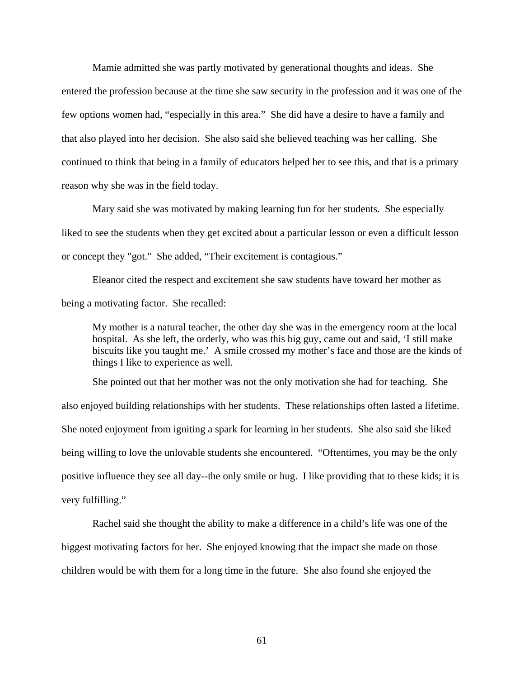Mamie admitted she was partly motivated by generational thoughts and ideas. She entered the profession because at the time she saw security in the profession and it was one of the few options women had, "especially in this area." She did have a desire to have a family and that also played into her decision. She also said she believed teaching was her calling. She continued to think that being in a family of educators helped her to see this, and that is a primary reason why she was in the field today.

Mary said she was motivated by making learning fun for her students. She especially liked to see the students when they get excited about a particular lesson or even a difficult lesson or concept they "got." She added, "Their excitement is contagious."

Eleanor cited the respect and excitement she saw students have toward her mother as being a motivating factor. She recalled:

My mother is a natural teacher, the other day she was in the emergency room at the local hospital. As she left, the orderly, who was this big guy, came out and said, 'I still make biscuits like you taught me.' A smile crossed my mother's face and those are the kinds of things I like to experience as well.

 She pointed out that her mother was not the only motivation she had for teaching. She also enjoyed building relationships with her students. These relationships often lasted a lifetime. She noted enjoyment from igniting a spark for learning in her students. She also said she liked being willing to love the unlovable students she encountered. "Oftentimes, you may be the only positive influence they see all day--the only smile or hug. I like providing that to these kids; it is very fulfilling."

 Rachel said she thought the ability to make a difference in a child's life was one of the biggest motivating factors for her. She enjoyed knowing that the impact she made on those children would be with them for a long time in the future. She also found she enjoyed the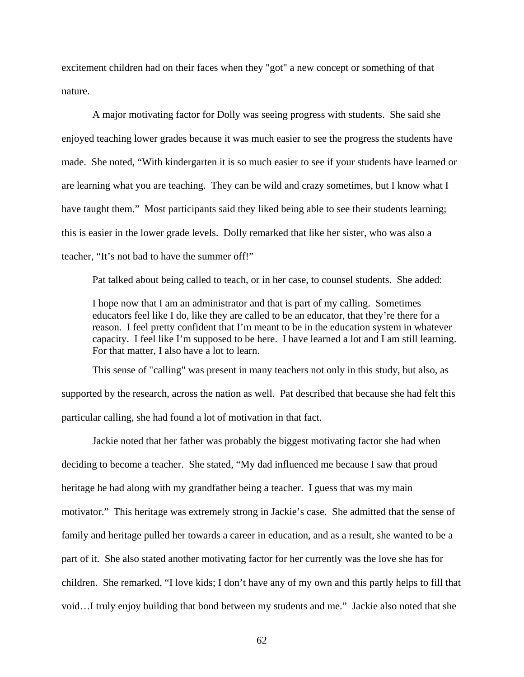excitement children had on their faces when they "got" a new concept or something of that nature.

 A major motivating factor for Dolly was seeing progress with students. She said she enjoyed teaching lower grades because it was much easier to see the progress the students have made. She noted, "With kindergarten it is so much easier to see if your students have learned or are learning what you are teaching. They can be wild and crazy sometimes, but I know what I have taught them." Most participants said they liked being able to see their students learning; this is easier in the lower grade levels. Dolly remarked that like her sister, who was also a teacher, "It's not bad to have the summer off!"

Pat talked about being called to teach, or in her case, to counsel students. She added:

I hope now that I am an administrator and that is part of my calling. Sometimes educators feel like I do, like they are called to be an educator, that they're there for a reason. I feel pretty confident that I'm meant to be in the education system in whatever capacity. I feel like I'm supposed to be here. I have learned a lot and I am still learning. For that matter, I also have a lot to learn.

 This sense of "calling" was present in many teachers not only in this study, but also, as supported by the research, across the nation as well. Pat described that because she had felt this particular calling, she had found a lot of motivation in that fact.

 Jackie noted that her father was probably the biggest motivating factor she had when deciding to become a teacher. She stated, "My dad influenced me because I saw that proud heritage he had along with my grandfather being a teacher. I guess that was my main motivator." This heritage was extremely strong in Jackie's case. She admitted that the sense of family and heritage pulled her towards a career in education, and as a result, she wanted to be a part of it. She also stated another motivating factor for her currently was the love she has for children. She remarked, "I love kids; I don't have any of my own and this partly helps to fill that void…I truly enjoy building that bond between my students and me." Jackie also noted that she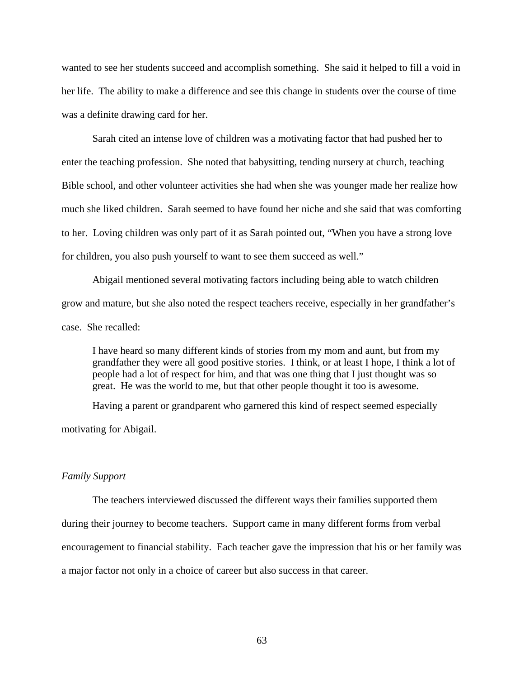wanted to see her students succeed and accomplish something. She said it helped to fill a void in her life. The ability to make a difference and see this change in students over the course of time was a definite drawing card for her.

 Sarah cited an intense love of children was a motivating factor that had pushed her to enter the teaching profession. She noted that babysitting, tending nursery at church, teaching Bible school, and other volunteer activities she had when she was younger made her realize how much she liked children. Sarah seemed to have found her niche and she said that was comforting to her. Loving children was only part of it as Sarah pointed out, "When you have a strong love for children, you also push yourself to want to see them succeed as well."

 Abigail mentioned several motivating factors including being able to watch children grow and mature, but she also noted the respect teachers receive, especially in her grandfather's case. She recalled:

I have heard so many different kinds of stories from my mom and aunt, but from my grandfather they were all good positive stories. I think, or at least I hope, I think a lot of people had a lot of respect for him, and that was one thing that I just thought was so great. He was the world to me, but that other people thought it too is awesome.

 Having a parent or grandparent who garnered this kind of respect seemed especially motivating for Abigail.

### *Family Support*

 The teachers interviewed discussed the different ways their families supported them during their journey to become teachers. Support came in many different forms from verbal encouragement to financial stability. Each teacher gave the impression that his or her family was a major factor not only in a choice of career but also success in that career.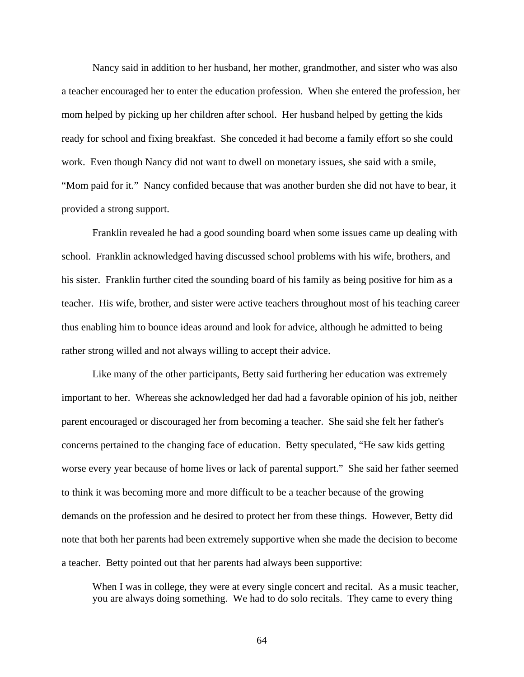Nancy said in addition to her husband, her mother, grandmother, and sister who was also a teacher encouraged her to enter the education profession. When she entered the profession, her mom helped by picking up her children after school. Her husband helped by getting the kids ready for school and fixing breakfast. She conceded it had become a family effort so she could work. Even though Nancy did not want to dwell on monetary issues, she said with a smile, "Mom paid for it." Nancy confided because that was another burden she did not have to bear, it provided a strong support.

 Franklin revealed he had a good sounding board when some issues came up dealing with school. Franklin acknowledged having discussed school problems with his wife, brothers, and his sister. Franklin further cited the sounding board of his family as being positive for him as a teacher. His wife, brother, and sister were active teachers throughout most of his teaching career thus enabling him to bounce ideas around and look for advice, although he admitted to being rather strong willed and not always willing to accept their advice.

 Like many of the other participants, Betty said furthering her education was extremely important to her. Whereas she acknowledged her dad had a favorable opinion of his job, neither parent encouraged or discouraged her from becoming a teacher. She said she felt her father's concerns pertained to the changing face of education. Betty speculated, "He saw kids getting worse every year because of home lives or lack of parental support." She said her father seemed to think it was becoming more and more difficult to be a teacher because of the growing demands on the profession and he desired to protect her from these things. However, Betty did note that both her parents had been extremely supportive when she made the decision to become a teacher. Betty pointed out that her parents had always been supportive:

When I was in college, they were at every single concert and recital. As a music teacher, you are always doing something. We had to do solo recitals. They came to every thing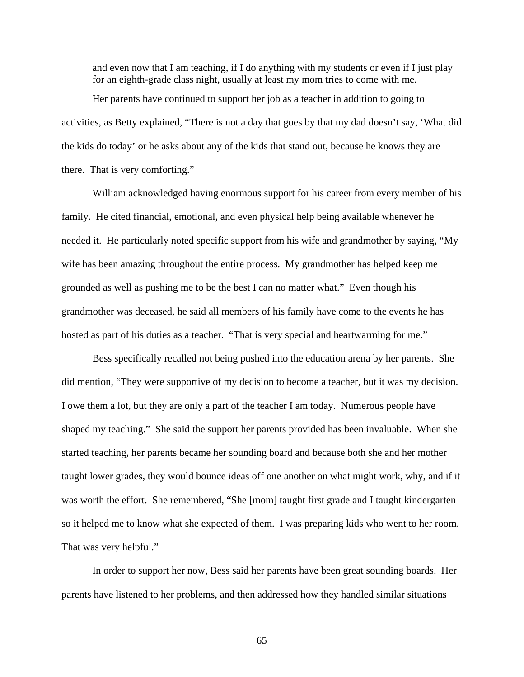and even now that I am teaching, if I do anything with my students or even if I just play for an eighth-grade class night, usually at least my mom tries to come with me.

 Her parents have continued to support her job as a teacher in addition to going to activities, as Betty explained, "There is not a day that goes by that my dad doesn't say, 'What did the kids do today' or he asks about any of the kids that stand out, because he knows they are there. That is very comforting."

 William acknowledged having enormous support for his career from every member of his family. He cited financial, emotional, and even physical help being available whenever he needed it. He particularly noted specific support from his wife and grandmother by saying, "My wife has been amazing throughout the entire process. My grandmother has helped keep me grounded as well as pushing me to be the best I can no matter what." Even though his grandmother was deceased, he said all members of his family have come to the events he has hosted as part of his duties as a teacher. "That is very special and heartwarming for me."

 Bess specifically recalled not being pushed into the education arena by her parents. She did mention, "They were supportive of my decision to become a teacher, but it was my decision. I owe them a lot, but they are only a part of the teacher I am today. Numerous people have shaped my teaching." She said the support her parents provided has been invaluable. When she started teaching, her parents became her sounding board and because both she and her mother taught lower grades, they would bounce ideas off one another on what might work, why, and if it was worth the effort. She remembered, "She [mom] taught first grade and I taught kindergarten so it helped me to know what she expected of them. I was preparing kids who went to her room. That was very helpful."

 In order to support her now, Bess said her parents have been great sounding boards. Her parents have listened to her problems, and then addressed how they handled similar situations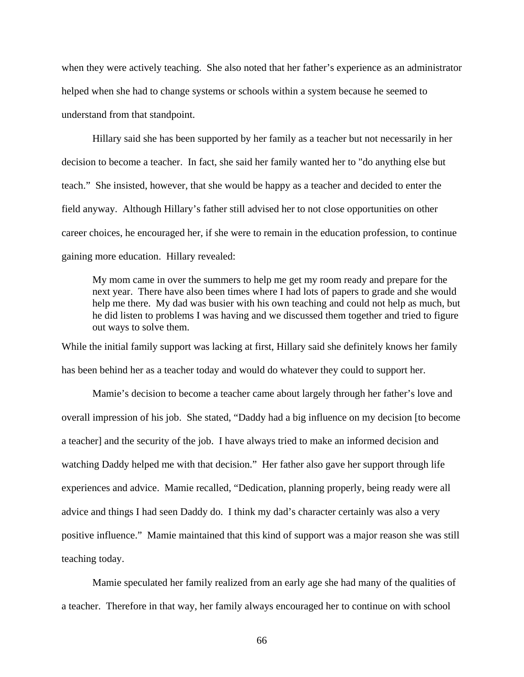when they were actively teaching. She also noted that her father's experience as an administrator helped when she had to change systems or schools within a system because he seemed to understand from that standpoint.

 Hillary said she has been supported by her family as a teacher but not necessarily in her decision to become a teacher. In fact, she said her family wanted her to "do anything else but teach." She insisted, however, that she would be happy as a teacher and decided to enter the field anyway. Although Hillary's father still advised her to not close opportunities on other career choices, he encouraged her, if she were to remain in the education profession, to continue gaining more education. Hillary revealed:

My mom came in over the summers to help me get my room ready and prepare for the next year. There have also been times where I had lots of papers to grade and she would help me there. My dad was busier with his own teaching and could not help as much, but he did listen to problems I was having and we discussed them together and tried to figure out ways to solve them.

While the initial family support was lacking at first, Hillary said she definitely knows her family has been behind her as a teacher today and would do whatever they could to support her.

 Mamie's decision to become a teacher came about largely through her father's love and overall impression of his job. She stated, "Daddy had a big influence on my decision [to become a teacher] and the security of the job. I have always tried to make an informed decision and watching Daddy helped me with that decision." Her father also gave her support through life experiences and advice. Mamie recalled, "Dedication, planning properly, being ready were all advice and things I had seen Daddy do. I think my dad's character certainly was also a very positive influence." Mamie maintained that this kind of support was a major reason she was still teaching today.

 Mamie speculated her family realized from an early age she had many of the qualities of a teacher. Therefore in that way, her family always encouraged her to continue on with school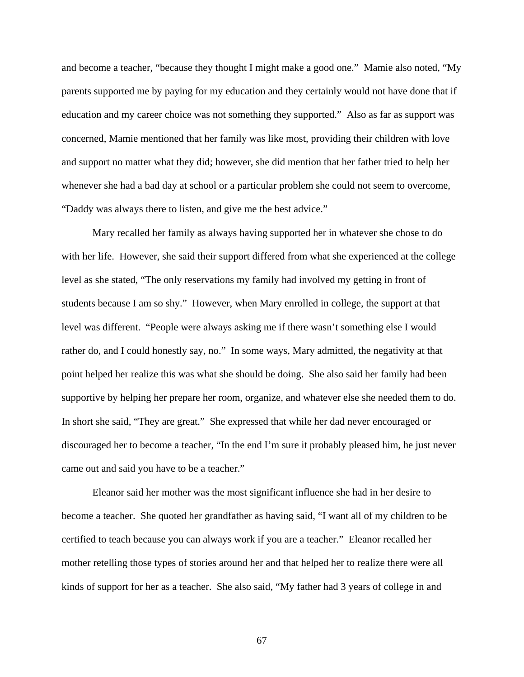and become a teacher, "because they thought I might make a good one." Mamie also noted, "My parents supported me by paying for my education and they certainly would not have done that if education and my career choice was not something they supported." Also as far as support was concerned, Mamie mentioned that her family was like most, providing their children with love and support no matter what they did; however, she did mention that her father tried to help her whenever she had a bad day at school or a particular problem she could not seem to overcome, "Daddy was always there to listen, and give me the best advice."

 Mary recalled her family as always having supported her in whatever she chose to do with her life. However, she said their support differed from what she experienced at the college level as she stated, "The only reservations my family had involved my getting in front of students because I am so shy." However, when Mary enrolled in college, the support at that level was different. "People were always asking me if there wasn't something else I would rather do, and I could honestly say, no." In some ways, Mary admitted, the negativity at that point helped her realize this was what she should be doing. She also said her family had been supportive by helping her prepare her room, organize, and whatever else she needed them to do. In short she said, "They are great." She expressed that while her dad never encouraged or discouraged her to become a teacher, "In the end I'm sure it probably pleased him, he just never came out and said you have to be a teacher."

 Eleanor said her mother was the most significant influence she had in her desire to become a teacher. She quoted her grandfather as having said, "I want all of my children to be certified to teach because you can always work if you are a teacher." Eleanor recalled her mother retelling those types of stories around her and that helped her to realize there were all kinds of support for her as a teacher. She also said, "My father had 3 years of college in and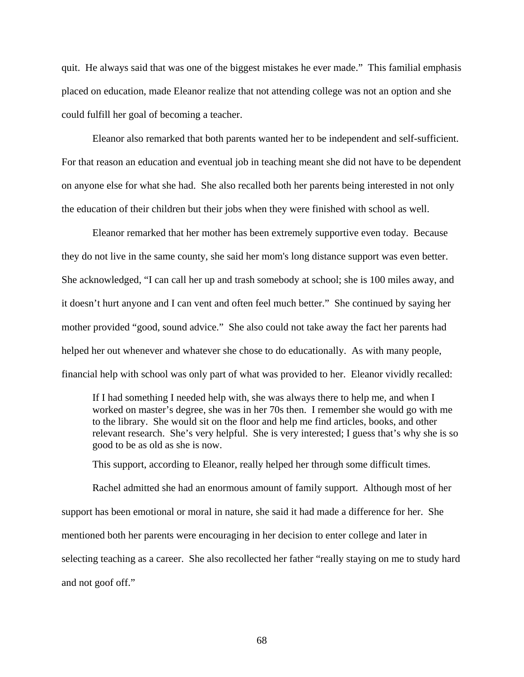quit. He always said that was one of the biggest mistakes he ever made." This familial emphasis placed on education, made Eleanor realize that not attending college was not an option and she could fulfill her goal of becoming a teacher.

 Eleanor also remarked that both parents wanted her to be independent and self-sufficient. For that reason an education and eventual job in teaching meant she did not have to be dependent on anyone else for what she had. She also recalled both her parents being interested in not only the education of their children but their jobs when they were finished with school as well.

 Eleanor remarked that her mother has been extremely supportive even today. Because they do not live in the same county, she said her mom's long distance support was even better. She acknowledged, "I can call her up and trash somebody at school; she is 100 miles away, and it doesn't hurt anyone and I can vent and often feel much better." She continued by saying her mother provided "good, sound advice." She also could not take away the fact her parents had helped her out whenever and whatever she chose to do educationally. As with many people, financial help with school was only part of what was provided to her. Eleanor vividly recalled:

If I had something I needed help with, she was always there to help me, and when I worked on master's degree, she was in her 70s then. I remember she would go with me to the library. She would sit on the floor and help me find articles, books, and other relevant research. She's very helpful. She is very interested; I guess that's why she is so good to be as old as she is now.

This support, according to Eleanor, really helped her through some difficult times.

 Rachel admitted she had an enormous amount of family support. Although most of her support has been emotional or moral in nature, she said it had made a difference for her. She mentioned both her parents were encouraging in her decision to enter college and later in selecting teaching as a career. She also recollected her father "really staying on me to study hard and not goof off."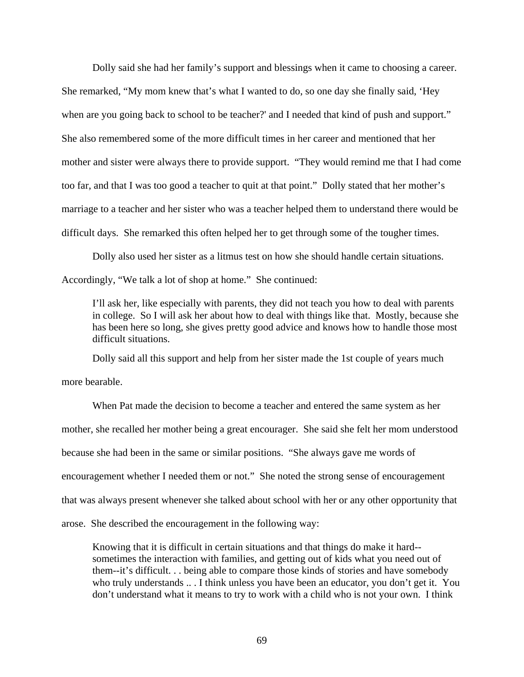Dolly said she had her family's support and blessings when it came to choosing a career. She remarked, "My mom knew that's what I wanted to do, so one day she finally said, 'Hey when are you going back to school to be teacher?' and I needed that kind of push and support." She also remembered some of the more difficult times in her career and mentioned that her mother and sister were always there to provide support. "They would remind me that I had come too far, and that I was too good a teacher to quit at that point." Dolly stated that her mother's marriage to a teacher and her sister who was a teacher helped them to understand there would be difficult days. She remarked this often helped her to get through some of the tougher times.

 Dolly also used her sister as a litmus test on how she should handle certain situations. Accordingly, "We talk a lot of shop at home." She continued:

I'll ask her, like especially with parents, they did not teach you how to deal with parents in college. So I will ask her about how to deal with things like that. Mostly, because she has been here so long, she gives pretty good advice and knows how to handle those most difficult situations.

Dolly said all this support and help from her sister made the 1st couple of years much

more bearable.

 When Pat made the decision to become a teacher and entered the same system as her mother, she recalled her mother being a great encourager. She said she felt her mom understood because she had been in the same or similar positions. "She always gave me words of encouragement whether I needed them or not." She noted the strong sense of encouragement that was always present whenever she talked about school with her or any other opportunity that arose. She described the encouragement in the following way:

Knowing that it is difficult in certain situations and that things do make it hard- sometimes the interaction with families, and getting out of kids what you need out of them--it's difficult. . . being able to compare those kinds of stories and have somebody who truly understands .. . I think unless you have been an educator, you don't get it. You don't understand what it means to try to work with a child who is not your own. I think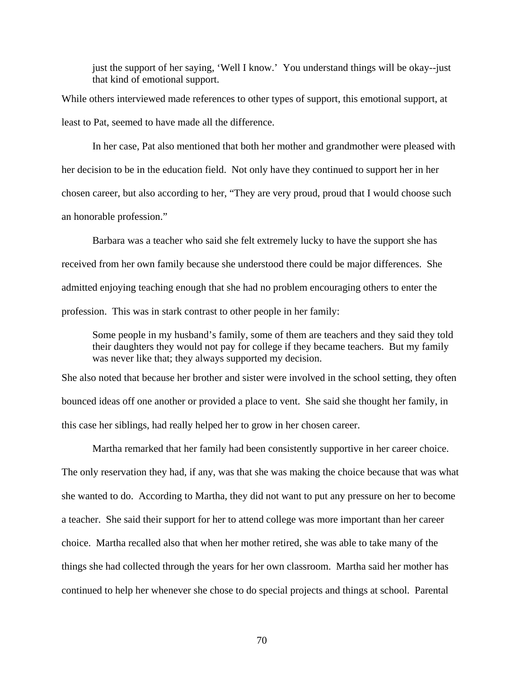just the support of her saying, 'Well I know.' You understand things will be okay--just that kind of emotional support.

While others interviewed made references to other types of support, this emotional support, at least to Pat, seemed to have made all the difference.

 In her case, Pat also mentioned that both her mother and grandmother were pleased with her decision to be in the education field. Not only have they continued to support her in her chosen career, but also according to her, "They are very proud, proud that I would choose such an honorable profession."

 Barbara was a teacher who said she felt extremely lucky to have the support she has received from her own family because she understood there could be major differences. She admitted enjoying teaching enough that she had no problem encouraging others to enter the profession. This was in stark contrast to other people in her family:

Some people in my husband's family, some of them are teachers and they said they told their daughters they would not pay for college if they became teachers. But my family was never like that; they always supported my decision.

She also noted that because her brother and sister were involved in the school setting, they often bounced ideas off one another or provided a place to vent. She said she thought her family, in this case her siblings, had really helped her to grow in her chosen career.

 Martha remarked that her family had been consistently supportive in her career choice. The only reservation they had, if any, was that she was making the choice because that was what she wanted to do. According to Martha, they did not want to put any pressure on her to become a teacher. She said their support for her to attend college was more important than her career choice. Martha recalled also that when her mother retired, she was able to take many of the things she had collected through the years for her own classroom. Martha said her mother has continued to help her whenever she chose to do special projects and things at school. Parental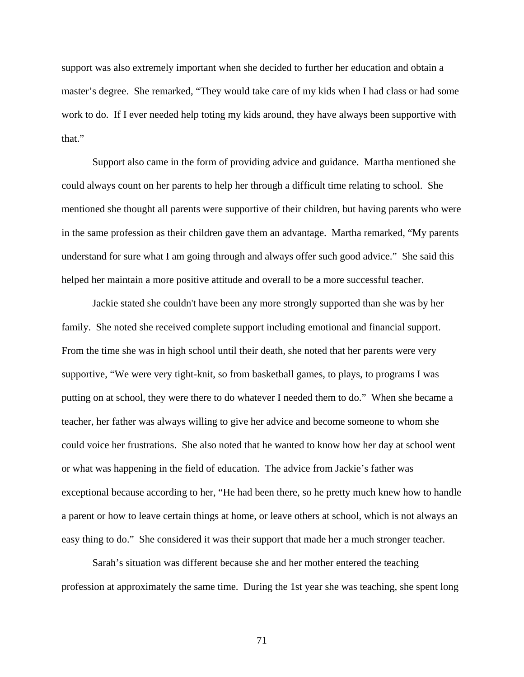support was also extremely important when she decided to further her education and obtain a master's degree. She remarked, "They would take care of my kids when I had class or had some work to do. If I ever needed help toting my kids around, they have always been supportive with that."

 Support also came in the form of providing advice and guidance. Martha mentioned she could always count on her parents to help her through a difficult time relating to school. She mentioned she thought all parents were supportive of their children, but having parents who were in the same profession as their children gave them an advantage. Martha remarked, "My parents understand for sure what I am going through and always offer such good advice." She said this helped her maintain a more positive attitude and overall to be a more successful teacher.

 Jackie stated she couldn't have been any more strongly supported than she was by her family. She noted she received complete support including emotional and financial support. From the time she was in high school until their death, she noted that her parents were very supportive, "We were very tight-knit, so from basketball games, to plays, to programs I was putting on at school, they were there to do whatever I needed them to do." When she became a teacher, her father was always willing to give her advice and become someone to whom she could voice her frustrations. She also noted that he wanted to know how her day at school went or what was happening in the field of education. The advice from Jackie's father was exceptional because according to her, "He had been there, so he pretty much knew how to handle a parent or how to leave certain things at home, or leave others at school, which is not always an easy thing to do." She considered it was their support that made her a much stronger teacher.

 Sarah's situation was different because she and her mother entered the teaching profession at approximately the same time. During the 1st year she was teaching, she spent long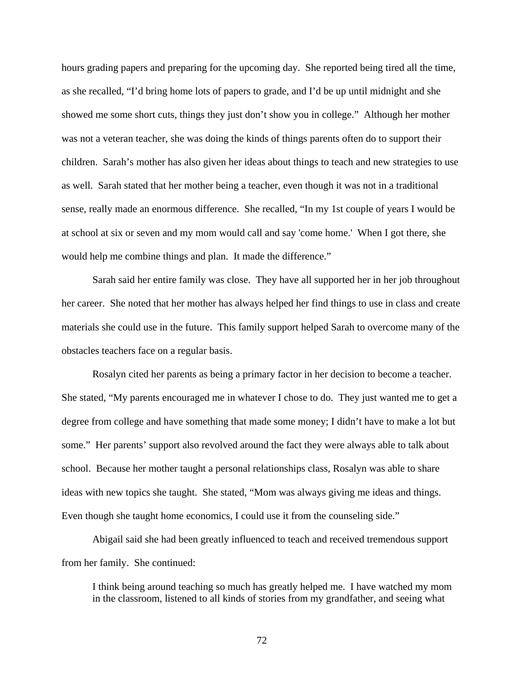hours grading papers and preparing for the upcoming day. She reported being tired all the time, as she recalled, "I'd bring home lots of papers to grade, and I'd be up until midnight and she showed me some short cuts, things they just don't show you in college." Although her mother was not a veteran teacher, she was doing the kinds of things parents often do to support their children. Sarah's mother has also given her ideas about things to teach and new strategies to use as well. Sarah stated that her mother being a teacher, even though it was not in a traditional sense, really made an enormous difference. She recalled, "In my 1st couple of years I would be at school at six or seven and my mom would call and say 'come home.' When I got there, she would help me combine things and plan. It made the difference."

 Sarah said her entire family was close. They have all supported her in her job throughout her career. She noted that her mother has always helped her find things to use in class and create materials she could use in the future. This family support helped Sarah to overcome many of the obstacles teachers face on a regular basis.

 Rosalyn cited her parents as being a primary factor in her decision to become a teacher. She stated, "My parents encouraged me in whatever I chose to do. They just wanted me to get a degree from college and have something that made some money; I didn't have to make a lot but some." Her parents' support also revolved around the fact they were always able to talk about school. Because her mother taught a personal relationships class, Rosalyn was able to share ideas with new topics she taught. She stated, "Mom was always giving me ideas and things. Even though she taught home economics, I could use it from the counseling side."

 Abigail said she had been greatly influenced to teach and received tremendous support from her family. She continued:

I think being around teaching so much has greatly helped me. I have watched my mom in the classroom, listened to all kinds of stories from my grandfather, and seeing what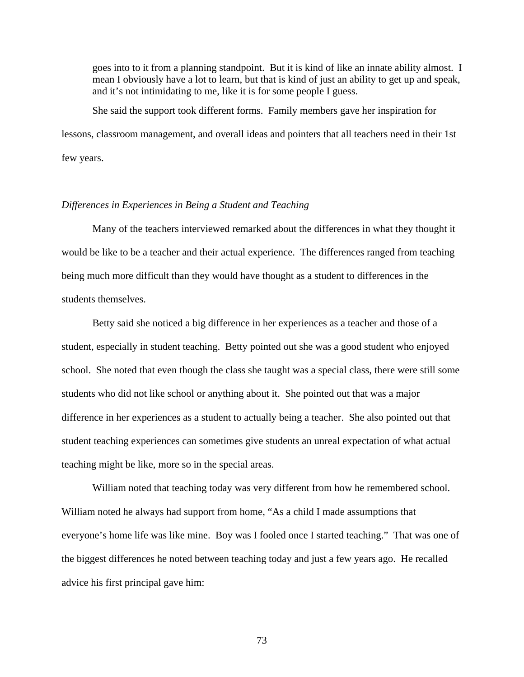goes into to it from a planning standpoint. But it is kind of like an innate ability almost. I mean I obviously have a lot to learn, but that is kind of just an ability to get up and speak, and it's not intimidating to me, like it is for some people I guess.

 She said the support took different forms. Family members gave her inspiration for lessons, classroom management, and overall ideas and pointers that all teachers need in their 1st few years.

### *Differences in Experiences in Being a Student and Teaching*

 Many of the teachers interviewed remarked about the differences in what they thought it would be like to be a teacher and their actual experience. The differences ranged from teaching being much more difficult than they would have thought as a student to differences in the students themselves.

 Betty said she noticed a big difference in her experiences as a teacher and those of a student, especially in student teaching. Betty pointed out she was a good student who enjoyed school. She noted that even though the class she taught was a special class, there were still some students who did not like school or anything about it. She pointed out that was a major difference in her experiences as a student to actually being a teacher. She also pointed out that student teaching experiences can sometimes give students an unreal expectation of what actual teaching might be like, more so in the special areas.

 William noted that teaching today was very different from how he remembered school. William noted he always had support from home, "As a child I made assumptions that everyone's home life was like mine. Boy was I fooled once I started teaching." That was one of the biggest differences he noted between teaching today and just a few years ago. He recalled advice his first principal gave him: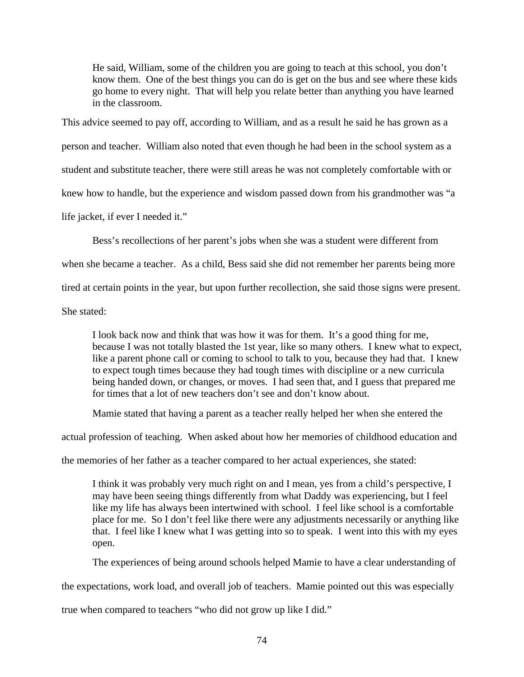He said, William, some of the children you are going to teach at this school, you don't know them. One of the best things you can do is get on the bus and see where these kids go home to every night. That will help you relate better than anything you have learned in the classroom.

This advice seemed to pay off, according to William, and as a result he said he has grown as a person and teacher. William also noted that even though he had been in the school system as a student and substitute teacher, there were still areas he was not completely comfortable with or knew how to handle, but the experience and wisdom passed down from his grandmother was "a life jacket, if ever I needed it."

Bess's recollections of her parent's jobs when she was a student were different from

when she became a teacher. As a child, Bess said she did not remember her parents being more

tired at certain points in the year, but upon further recollection, she said those signs were present.

She stated:

I look back now and think that was how it was for them. It's a good thing for me, because I was not totally blasted the 1st year, like so many others. I knew what to expect, like a parent phone call or coming to school to talk to you, because they had that. I knew to expect tough times because they had tough times with discipline or a new curricula being handed down, or changes, or moves. I had seen that, and I guess that prepared me for times that a lot of new teachers don't see and don't know about.

Mamie stated that having a parent as a teacher really helped her when she entered the

actual profession of teaching. When asked about how her memories of childhood education and

the memories of her father as a teacher compared to her actual experiences, she stated:

I think it was probably very much right on and I mean, yes from a child's perspective, I may have been seeing things differently from what Daddy was experiencing, but I feel like my life has always been intertwined with school. I feel like school is a comfortable place for me. So I don't feel like there were any adjustments necessarily or anything like that. I feel like I knew what I was getting into so to speak. I went into this with my eyes open.

The experiences of being around schools helped Mamie to have a clear understanding of

the expectations, work load, and overall job of teachers. Mamie pointed out this was especially

true when compared to teachers "who did not grow up like I did."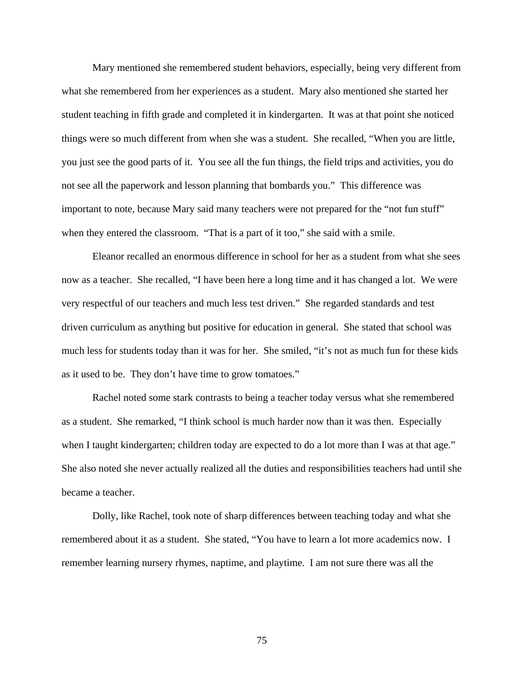Mary mentioned she remembered student behaviors, especially, being very different from what she remembered from her experiences as a student. Mary also mentioned she started her student teaching in fifth grade and completed it in kindergarten. It was at that point she noticed things were so much different from when she was a student. She recalled, "When you are little, you just see the good parts of it. You see all the fun things, the field trips and activities, you do not see all the paperwork and lesson planning that bombards you." This difference was important to note, because Mary said many teachers were not prepared for the "not fun stuff" when they entered the classroom. "That is a part of it too," she said with a smile.

 Eleanor recalled an enormous difference in school for her as a student from what she sees now as a teacher. She recalled, "I have been here a long time and it has changed a lot. We were very respectful of our teachers and much less test driven." She regarded standards and test driven curriculum as anything but positive for education in general. She stated that school was much less for students today than it was for her. She smiled, "it's not as much fun for these kids as it used to be. They don't have time to grow tomatoes."

 Rachel noted some stark contrasts to being a teacher today versus what she remembered as a student. She remarked, "I think school is much harder now than it was then. Especially when I taught kindergarten; children today are expected to do a lot more than I was at that age." She also noted she never actually realized all the duties and responsibilities teachers had until she became a teacher.

 Dolly, like Rachel, took note of sharp differences between teaching today and what she remembered about it as a student. She stated, "You have to learn a lot more academics now. I remember learning nursery rhymes, naptime, and playtime. I am not sure there was all the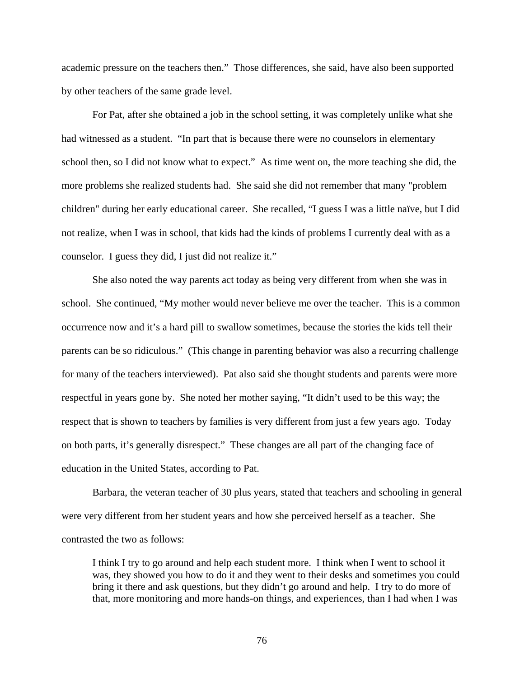academic pressure on the teachers then." Those differences, she said, have also been supported by other teachers of the same grade level.

 For Pat, after she obtained a job in the school setting, it was completely unlike what she had witnessed as a student. "In part that is because there were no counselors in elementary school then, so I did not know what to expect." As time went on, the more teaching she did, the more problems she realized students had. She said she did not remember that many "problem children" during her early educational career. She recalled, "I guess I was a little naïve, but I did not realize, when I was in school, that kids had the kinds of problems I currently deal with as a counselor. I guess they did, I just did not realize it."

 She also noted the way parents act today as being very different from when she was in school. She continued, "My mother would never believe me over the teacher. This is a common occurrence now and it's a hard pill to swallow sometimes, because the stories the kids tell their parents can be so ridiculous." (This change in parenting behavior was also a recurring challenge for many of the teachers interviewed). Pat also said she thought students and parents were more respectful in years gone by. She noted her mother saying, "It didn't used to be this way; the respect that is shown to teachers by families is very different from just a few years ago. Today on both parts, it's generally disrespect." These changes are all part of the changing face of education in the United States, according to Pat.

 Barbara, the veteran teacher of 30 plus years, stated that teachers and schooling in general were very different from her student years and how she perceived herself as a teacher. She contrasted the two as follows:

I think I try to go around and help each student more. I think when I went to school it was, they showed you how to do it and they went to their desks and sometimes you could bring it there and ask questions, but they didn't go around and help. I try to do more of that, more monitoring and more hands-on things, and experiences, than I had when I was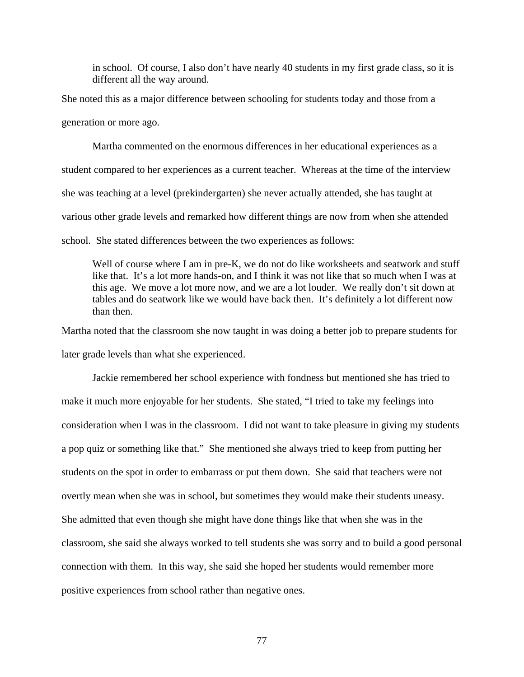in school. Of course, I also don't have nearly 40 students in my first grade class, so it is different all the way around.

She noted this as a major difference between schooling for students today and those from a generation or more ago.

 Martha commented on the enormous differences in her educational experiences as a student compared to her experiences as a current teacher. Whereas at the time of the interview she was teaching at a level (prekindergarten) she never actually attended, she has taught at various other grade levels and remarked how different things are now from when she attended school. She stated differences between the two experiences as follows:

Well of course where I am in pre-K, we do not do like worksheets and seatwork and stuff like that. It's a lot more hands-on, and I think it was not like that so much when I was at this age. We move a lot more now, and we are a lot louder. We really don't sit down at tables and do seatwork like we would have back then. It's definitely a lot different now than then.

Martha noted that the classroom she now taught in was doing a better job to prepare students for later grade levels than what she experienced.

 Jackie remembered her school experience with fondness but mentioned she has tried to make it much more enjoyable for her students. She stated, "I tried to take my feelings into consideration when I was in the classroom. I did not want to take pleasure in giving my students a pop quiz or something like that." She mentioned she always tried to keep from putting her students on the spot in order to embarrass or put them down. She said that teachers were not overtly mean when she was in school, but sometimes they would make their students uneasy. She admitted that even though she might have done things like that when she was in the classroom, she said she always worked to tell students she was sorry and to build a good personal connection with them. In this way, she said she hoped her students would remember more positive experiences from school rather than negative ones.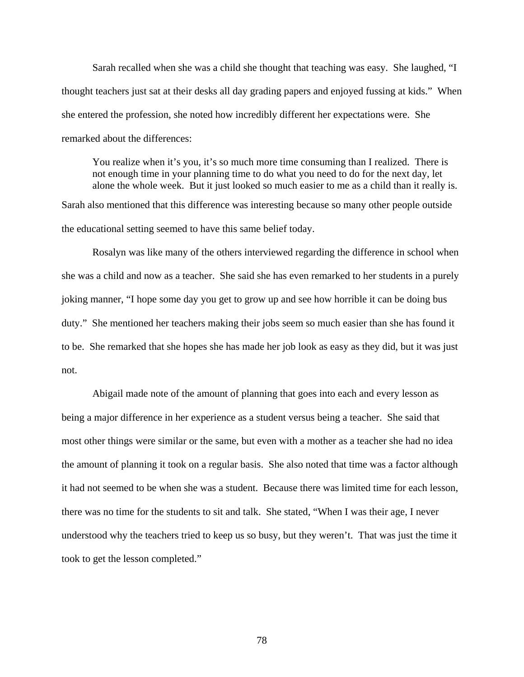Sarah recalled when she was a child she thought that teaching was easy. She laughed, "I thought teachers just sat at their desks all day grading papers and enjoyed fussing at kids." When she entered the profession, she noted how incredibly different her expectations were. She remarked about the differences:

You realize when it's you, it's so much more time consuming than I realized. There is not enough time in your planning time to do what you need to do for the next day, let alone the whole week. But it just looked so much easier to me as a child than it really is. Sarah also mentioned that this difference was interesting because so many other people outside the educational setting seemed to have this same belief today.

 Rosalyn was like many of the others interviewed regarding the difference in school when she was a child and now as a teacher. She said she has even remarked to her students in a purely joking manner, "I hope some day you get to grow up and see how horrible it can be doing bus duty." She mentioned her teachers making their jobs seem so much easier than she has found it to be. She remarked that she hopes she has made her job look as easy as they did, but it was just not.

 Abigail made note of the amount of planning that goes into each and every lesson as being a major difference in her experience as a student versus being a teacher. She said that most other things were similar or the same, but even with a mother as a teacher she had no idea the amount of planning it took on a regular basis. She also noted that time was a factor although it had not seemed to be when she was a student. Because there was limited time for each lesson, there was no time for the students to sit and talk. She stated, "When I was their age, I never understood why the teachers tried to keep us so busy, but they weren't. That was just the time it took to get the lesson completed."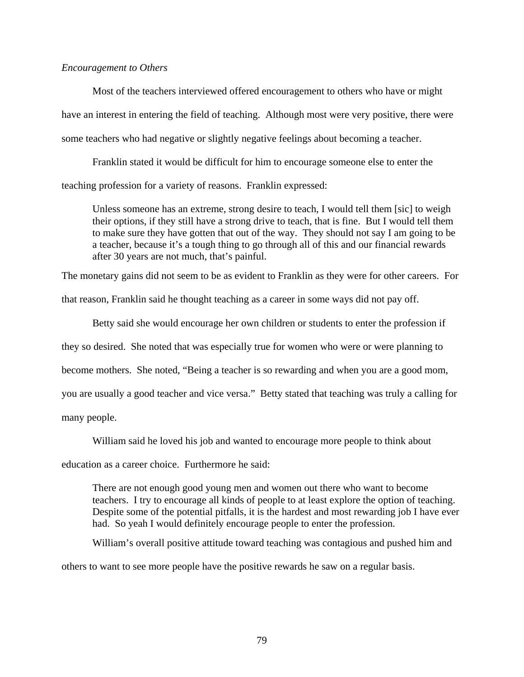### *Encouragement to Others*

 Most of the teachers interviewed offered encouragement to others who have or might have an interest in entering the field of teaching. Although most were very positive, there were some teachers who had negative or slightly negative feelings about becoming a teacher.

Franklin stated it would be difficult for him to encourage someone else to enter the teaching profession for a variety of reasons. Franklin expressed:

Unless someone has an extreme, strong desire to teach, I would tell them [sic] to weigh their options, if they still have a strong drive to teach, that is fine. But I would tell them to make sure they have gotten that out of the way. They should not say I am going to be a teacher, because it's a tough thing to go through all of this and our financial rewards after 30 years are not much, that's painful.

The monetary gains did not seem to be as evident to Franklin as they were for other careers. For

that reason, Franklin said he thought teaching as a career in some ways did not pay off.

Betty said she would encourage her own children or students to enter the profession if

they so desired. She noted that was especially true for women who were or were planning to

become mothers. She noted, "Being a teacher is so rewarding and when you are a good mom,

you are usually a good teacher and vice versa." Betty stated that teaching was truly a calling for

many people.

William said he loved his job and wanted to encourage more people to think about

education as a career choice. Furthermore he said:

There are not enough good young men and women out there who want to become teachers. I try to encourage all kinds of people to at least explore the option of teaching. Despite some of the potential pitfalls, it is the hardest and most rewarding job I have ever had. So yeah I would definitely encourage people to enter the profession.

William's overall positive attitude toward teaching was contagious and pushed him and

others to want to see more people have the positive rewards he saw on a regular basis.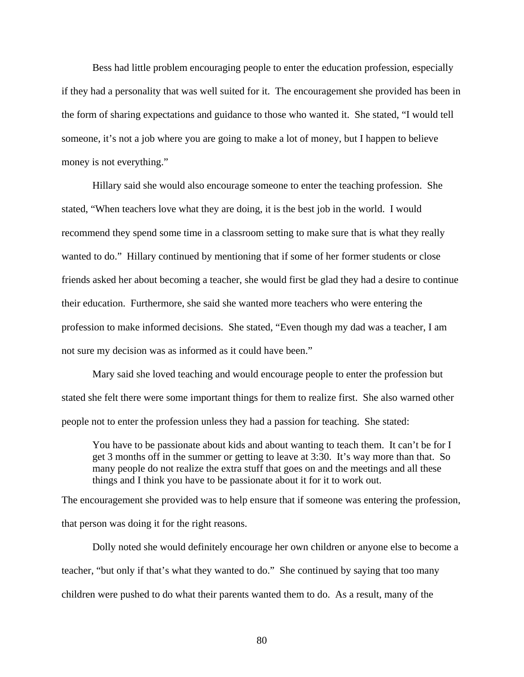Bess had little problem encouraging people to enter the education profession, especially if they had a personality that was well suited for it. The encouragement she provided has been in the form of sharing expectations and guidance to those who wanted it. She stated, "I would tell someone, it's not a job where you are going to make a lot of money, but I happen to believe money is not everything."

 Hillary said she would also encourage someone to enter the teaching profession. She stated, "When teachers love what they are doing, it is the best job in the world. I would recommend they spend some time in a classroom setting to make sure that is what they really wanted to do." Hillary continued by mentioning that if some of her former students or close friends asked her about becoming a teacher, she would first be glad they had a desire to continue their education. Furthermore, she said she wanted more teachers who were entering the profession to make informed decisions. She stated, "Even though my dad was a teacher, I am not sure my decision was as informed as it could have been."

Mary said she loved teaching and would encourage people to enter the profession but stated she felt there were some important things for them to realize first. She also warned other people not to enter the profession unless they had a passion for teaching. She stated:

You have to be passionate about kids and about wanting to teach them. It can't be for I get 3 months off in the summer or getting to leave at 3:30. It's way more than that. So many people do not realize the extra stuff that goes on and the meetings and all these things and I think you have to be passionate about it for it to work out.

The encouragement she provided was to help ensure that if someone was entering the profession, that person was doing it for the right reasons.

 Dolly noted she would definitely encourage her own children or anyone else to become a teacher, "but only if that's what they wanted to do." She continued by saying that too many children were pushed to do what their parents wanted them to do. As a result, many of the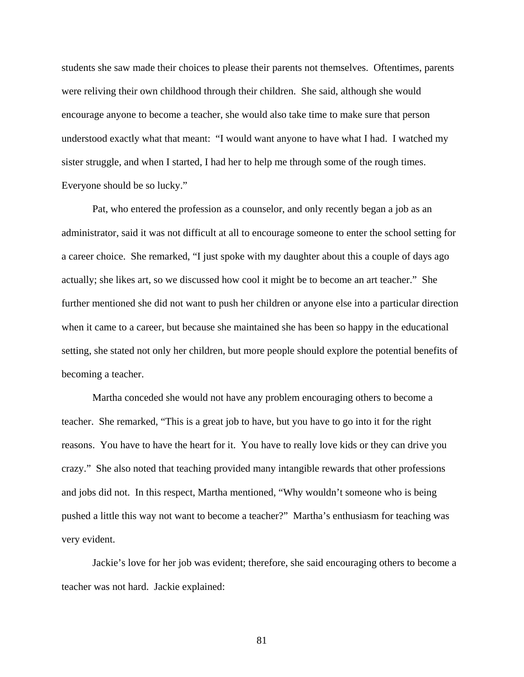students she saw made their choices to please their parents not themselves. Oftentimes, parents were reliving their own childhood through their children. She said, although she would encourage anyone to become a teacher, she would also take time to make sure that person understood exactly what that meant: "I would want anyone to have what I had. I watched my sister struggle, and when I started, I had her to help me through some of the rough times. Everyone should be so lucky."

 Pat, who entered the profession as a counselor, and only recently began a job as an administrator, said it was not difficult at all to encourage someone to enter the school setting for a career choice. She remarked, "I just spoke with my daughter about this a couple of days ago actually; she likes art, so we discussed how cool it might be to become an art teacher." She further mentioned she did not want to push her children or anyone else into a particular direction when it came to a career, but because she maintained she has been so happy in the educational setting, she stated not only her children, but more people should explore the potential benefits of becoming a teacher.

 Martha conceded she would not have any problem encouraging others to become a teacher. She remarked, "This is a great job to have, but you have to go into it for the right reasons. You have to have the heart for it. You have to really love kids or they can drive you crazy." She also noted that teaching provided many intangible rewards that other professions and jobs did not. In this respect, Martha mentioned, "Why wouldn't someone who is being pushed a little this way not want to become a teacher?" Martha's enthusiasm for teaching was very evident.

 Jackie's love for her job was evident; therefore, she said encouraging others to become a teacher was not hard. Jackie explained: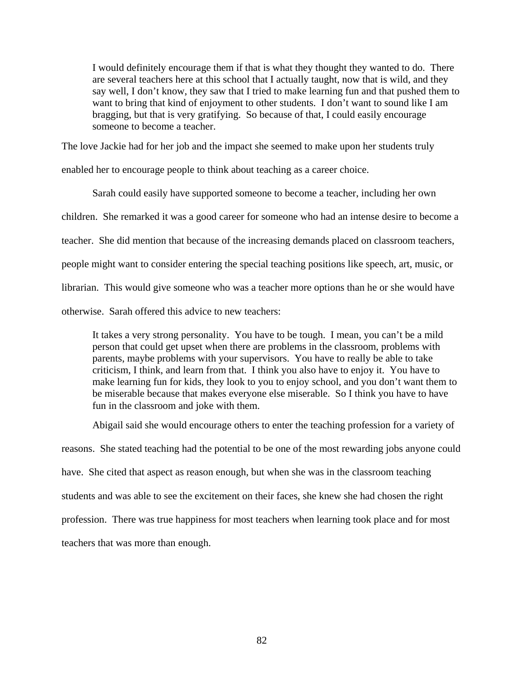I would definitely encourage them if that is what they thought they wanted to do. There are several teachers here at this school that I actually taught, now that is wild, and they say well, I don't know, they saw that I tried to make learning fun and that pushed them to want to bring that kind of enjoyment to other students. I don't want to sound like I am bragging, but that is very gratifying. So because of that, I could easily encourage someone to become a teacher.

The love Jackie had for her job and the impact she seemed to make upon her students truly

enabled her to encourage people to think about teaching as a career choice.

 Sarah could easily have supported someone to become a teacher, including her own children. She remarked it was a good career for someone who had an intense desire to become a teacher. She did mention that because of the increasing demands placed on classroom teachers, people might want to consider entering the special teaching positions like speech, art, music, or librarian. This would give someone who was a teacher more options than he or she would have otherwise. Sarah offered this advice to new teachers:

It takes a very strong personality. You have to be tough. I mean, you can't be a mild person that could get upset when there are problems in the classroom, problems with parents, maybe problems with your supervisors. You have to really be able to take criticism, I think, and learn from that. I think you also have to enjoy it. You have to make learning fun for kids, they look to you to enjoy school, and you don't want them to be miserable because that makes everyone else miserable. So I think you have to have fun in the classroom and joke with them.

 Abigail said she would encourage others to enter the teaching profession for a variety of reasons. She stated teaching had the potential to be one of the most rewarding jobs anyone could have. She cited that aspect as reason enough, but when she was in the classroom teaching students and was able to see the excitement on their faces, she knew she had chosen the right profession. There was true happiness for most teachers when learning took place and for most teachers that was more than enough.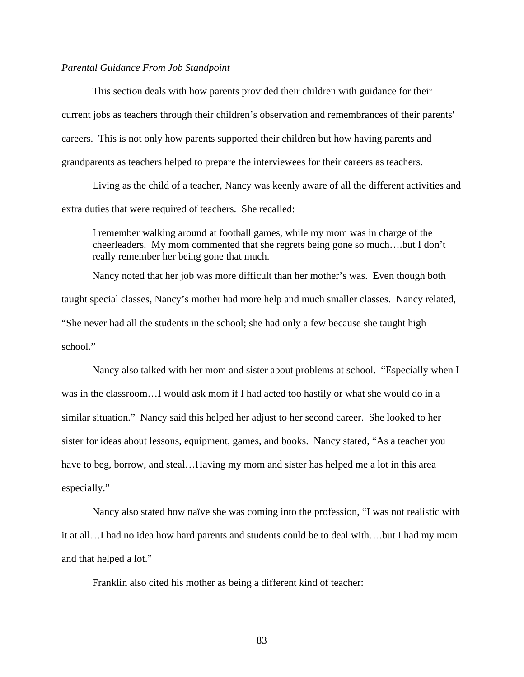## *Parental Guidance From Job Standpoint*

This section deals with how parents provided their children with guidance for their current jobs as teachers through their children's observation and remembrances of their parents' careers. This is not only how parents supported their children but how having parents and grandparents as teachers helped to prepare the interviewees for their careers as teachers.

Living as the child of a teacher, Nancy was keenly aware of all the different activities and extra duties that were required of teachers. She recalled:

I remember walking around at football games, while my mom was in charge of the cheerleaders. My mom commented that she regrets being gone so much….but I don't really remember her being gone that much.

 Nancy noted that her job was more difficult than her mother's was. Even though both taught special classes, Nancy's mother had more help and much smaller classes. Nancy related, "She never had all the students in the school; she had only a few because she taught high school."

Nancy also talked with her mom and sister about problems at school. "Especially when I was in the classroom…I would ask mom if I had acted too hastily or what she would do in a similar situation." Nancy said this helped her adjust to her second career. She looked to her sister for ideas about lessons, equipment, games, and books. Nancy stated, "As a teacher you have to beg, borrow, and steal...Having my mom and sister has helped me a lot in this area especially."

Nancy also stated how naïve she was coming into the profession, "I was not realistic with it at all…I had no idea how hard parents and students could be to deal with….but I had my mom and that helped a lot."

Franklin also cited his mother as being a different kind of teacher: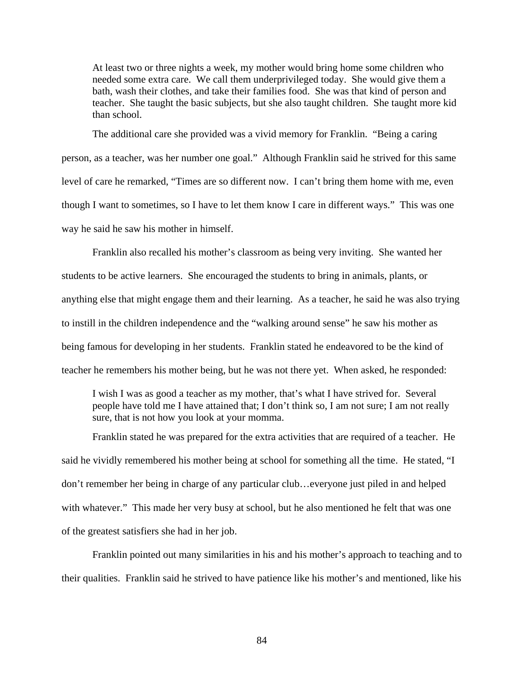At least two or three nights a week, my mother would bring home some children who needed some extra care. We call them underprivileged today. She would give them a bath, wash their clothes, and take their families food. She was that kind of person and teacher. She taught the basic subjects, but she also taught children. She taught more kid than school.

 The additional care she provided was a vivid memory for Franklin. "Being a caring person, as a teacher, was her number one goal." Although Franklin said he strived for this same level of care he remarked, "Times are so different now. I can't bring them home with me, even though I want to sometimes, so I have to let them know I care in different ways." This was one way he said he saw his mother in himself.

Franklin also recalled his mother's classroom as being very inviting. She wanted her students to be active learners. She encouraged the students to bring in animals, plants, or anything else that might engage them and their learning. As a teacher, he said he was also trying to instill in the children independence and the "walking around sense" he saw his mother as being famous for developing in her students. Franklin stated he endeavored to be the kind of teacher he remembers his mother being, but he was not there yet. When asked, he responded:

I wish I was as good a teacher as my mother, that's what I have strived for. Several people have told me I have attained that; I don't think so, I am not sure; I am not really sure, that is not how you look at your momma.

Franklin stated he was prepared for the extra activities that are required of a teacher. He said he vividly remembered his mother being at school for something all the time. He stated, "I don't remember her being in charge of any particular club…everyone just piled in and helped with whatever." This made her very busy at school, but he also mentioned he felt that was one of the greatest satisfiers she had in her job.

Franklin pointed out many similarities in his and his mother's approach to teaching and to their qualities. Franklin said he strived to have patience like his mother's and mentioned, like his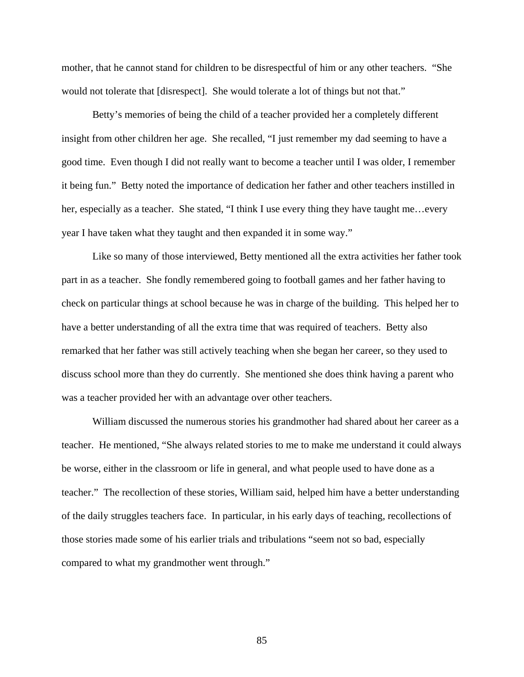mother, that he cannot stand for children to be disrespectful of him or any other teachers. "She would not tolerate that [disrespect]. She would tolerate a lot of things but not that."

Betty's memories of being the child of a teacher provided her a completely different insight from other children her age. She recalled, "I just remember my dad seeming to have a good time. Even though I did not really want to become a teacher until I was older, I remember it being fun." Betty noted the importance of dedication her father and other teachers instilled in her, especially as a teacher. She stated, "I think I use every thing they have taught me... every year I have taken what they taught and then expanded it in some way."

Like so many of those interviewed, Betty mentioned all the extra activities her father took part in as a teacher. She fondly remembered going to football games and her father having to check on particular things at school because he was in charge of the building. This helped her to have a better understanding of all the extra time that was required of teachers. Betty also remarked that her father was still actively teaching when she began her career, so they used to discuss school more than they do currently. She mentioned she does think having a parent who was a teacher provided her with an advantage over other teachers.

William discussed the numerous stories his grandmother had shared about her career as a teacher. He mentioned, "She always related stories to me to make me understand it could always be worse, either in the classroom or life in general, and what people used to have done as a teacher." The recollection of these stories, William said, helped him have a better understanding of the daily struggles teachers face. In particular, in his early days of teaching, recollections of those stories made some of his earlier trials and tribulations "seem not so bad, especially compared to what my grandmother went through."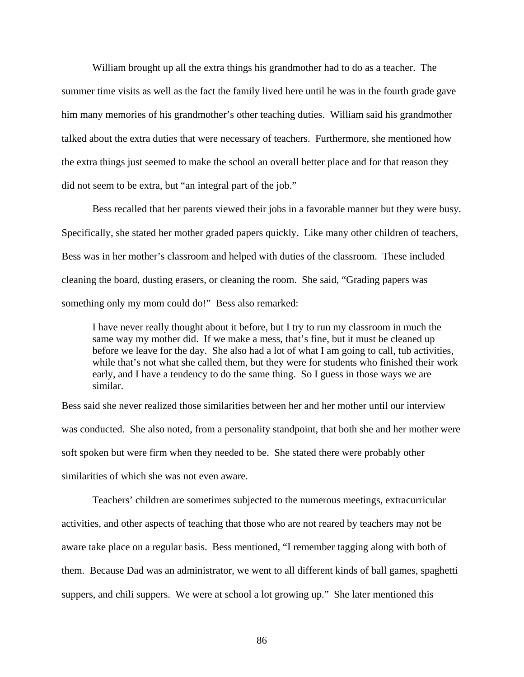William brought up all the extra things his grandmother had to do as a teacher. The summer time visits as well as the fact the family lived here until he was in the fourth grade gave him many memories of his grandmother's other teaching duties. William said his grandmother talked about the extra duties that were necessary of teachers. Furthermore, she mentioned how the extra things just seemed to make the school an overall better place and for that reason they did not seem to be extra, but "an integral part of the job."

Bess recalled that her parents viewed their jobs in a favorable manner but they were busy. Specifically, she stated her mother graded papers quickly. Like many other children of teachers, Bess was in her mother's classroom and helped with duties of the classroom. These included cleaning the board, dusting erasers, or cleaning the room. She said, "Grading papers was something only my mom could do!" Bess also remarked:

I have never really thought about it before, but I try to run my classroom in much the same way my mother did. If we make a mess, that's fine, but it must be cleaned up before we leave for the day. She also had a lot of what I am going to call, tub activities, while that's not what she called them, but they were for students who finished their work early, and I have a tendency to do the same thing. So I guess in those ways we are similar.

Bess said she never realized those similarities between her and her mother until our interview was conducted. She also noted, from a personality standpoint, that both she and her mother were soft spoken but were firm when they needed to be. She stated there were probably other similarities of which she was not even aware.

 Teachers' children are sometimes subjected to the numerous meetings, extracurricular activities, and other aspects of teaching that those who are not reared by teachers may not be aware take place on a regular basis. Bess mentioned, "I remember tagging along with both of them. Because Dad was an administrator, we went to all different kinds of ball games, spaghetti suppers, and chili suppers. We were at school a lot growing up." She later mentioned this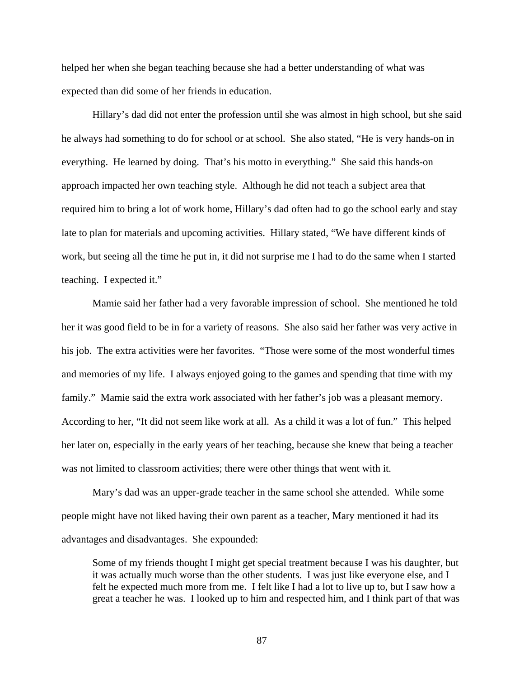helped her when she began teaching because she had a better understanding of what was expected than did some of her friends in education.

 Hillary's dad did not enter the profession until she was almost in high school, but she said he always had something to do for school or at school. She also stated, "He is very hands-on in everything. He learned by doing. That's his motto in everything." She said this hands-on approach impacted her own teaching style. Although he did not teach a subject area that required him to bring a lot of work home, Hillary's dad often had to go the school early and stay late to plan for materials and upcoming activities. Hillary stated, "We have different kinds of work, but seeing all the time he put in, it did not surprise me I had to do the same when I started teaching. I expected it."

 Mamie said her father had a very favorable impression of school. She mentioned he told her it was good field to be in for a variety of reasons. She also said her father was very active in his job. The extra activities were her favorites. "Those were some of the most wonderful times and memories of my life. I always enjoyed going to the games and spending that time with my family." Mamie said the extra work associated with her father's job was a pleasant memory. According to her, "It did not seem like work at all. As a child it was a lot of fun." This helped her later on, especially in the early years of her teaching, because she knew that being a teacher was not limited to classroom activities; there were other things that went with it.

Mary's dad was an upper-grade teacher in the same school she attended. While some people might have not liked having their own parent as a teacher, Mary mentioned it had its advantages and disadvantages. She expounded:

Some of my friends thought I might get special treatment because I was his daughter, but it was actually much worse than the other students. I was just like everyone else, and I felt he expected much more from me. I felt like I had a lot to live up to, but I saw how a great a teacher he was. I looked up to him and respected him, and I think part of that was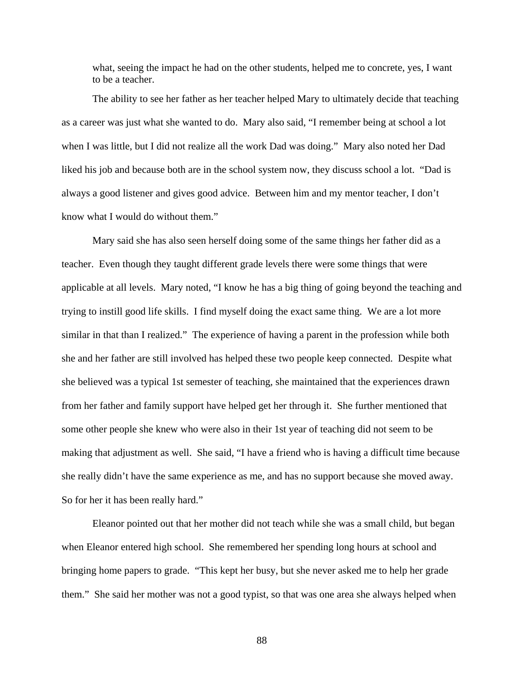what, seeing the impact he had on the other students, helped me to concrete, yes, I want to be a teacher.

 The ability to see her father as her teacher helped Mary to ultimately decide that teaching as a career was just what she wanted to do. Mary also said, "I remember being at school a lot when I was little, but I did not realize all the work Dad was doing." Mary also noted her Dad liked his job and because both are in the school system now, they discuss school a lot. "Dad is always a good listener and gives good advice. Between him and my mentor teacher, I don't know what I would do without them."

Mary said she has also seen herself doing some of the same things her father did as a teacher. Even though they taught different grade levels there were some things that were applicable at all levels. Mary noted, "I know he has a big thing of going beyond the teaching and trying to instill good life skills. I find myself doing the exact same thing. We are a lot more similar in that than I realized." The experience of having a parent in the profession while both she and her father are still involved has helped these two people keep connected. Despite what she believed was a typical 1st semester of teaching, she maintained that the experiences drawn from her father and family support have helped get her through it. She further mentioned that some other people she knew who were also in their 1st year of teaching did not seem to be making that adjustment as well. She said, "I have a friend who is having a difficult time because she really didn't have the same experience as me, and has no support because she moved away. So for her it has been really hard."

Eleanor pointed out that her mother did not teach while she was a small child, but began when Eleanor entered high school. She remembered her spending long hours at school and bringing home papers to grade. "This kept her busy, but she never asked me to help her grade them." She said her mother was not a good typist, so that was one area she always helped when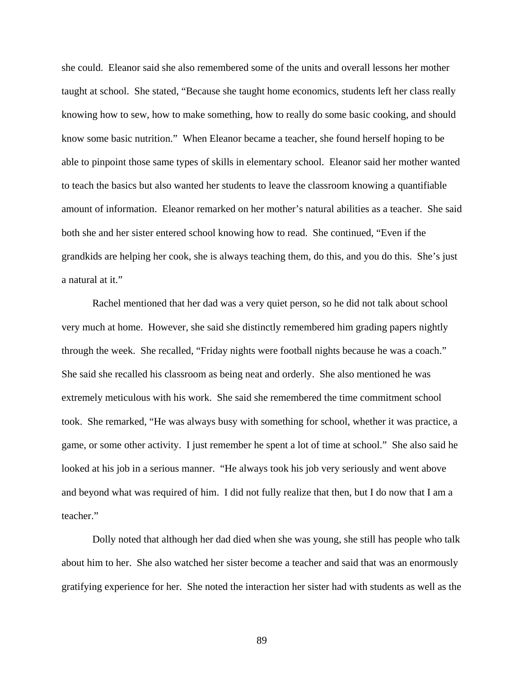she could. Eleanor said she also remembered some of the units and overall lessons her mother taught at school. She stated, "Because she taught home economics, students left her class really knowing how to sew, how to make something, how to really do some basic cooking, and should know some basic nutrition." When Eleanor became a teacher, she found herself hoping to be able to pinpoint those same types of skills in elementary school. Eleanor said her mother wanted to teach the basics but also wanted her students to leave the classroom knowing a quantifiable amount of information. Eleanor remarked on her mother's natural abilities as a teacher. She said both she and her sister entered school knowing how to read. She continued, "Even if the grandkids are helping her cook, she is always teaching them, do this, and you do this. She's just a natural at it."

Rachel mentioned that her dad was a very quiet person, so he did not talk about school very much at home. However, she said she distinctly remembered him grading papers nightly through the week. She recalled, "Friday nights were football nights because he was a coach." She said she recalled his classroom as being neat and orderly. She also mentioned he was extremely meticulous with his work. She said she remembered the time commitment school took. She remarked, "He was always busy with something for school, whether it was practice, a game, or some other activity. I just remember he spent a lot of time at school." She also said he looked at his job in a serious manner. "He always took his job very seriously and went above and beyond what was required of him. I did not fully realize that then, but I do now that I am a teacher."

Dolly noted that although her dad died when she was young, she still has people who talk about him to her. She also watched her sister become a teacher and said that was an enormously gratifying experience for her. She noted the interaction her sister had with students as well as the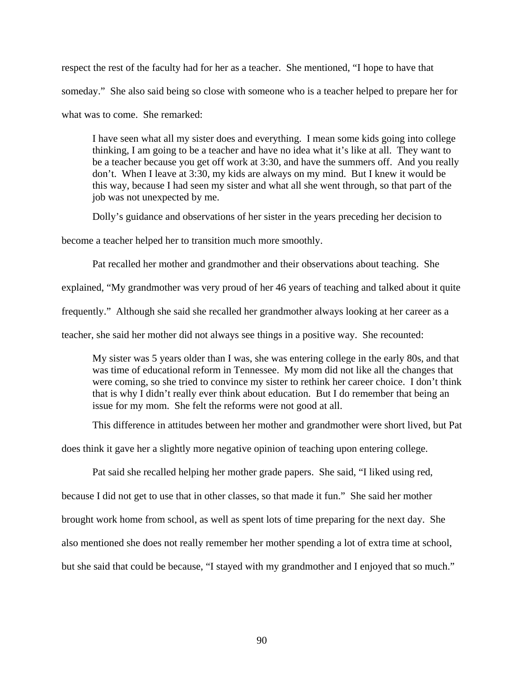respect the rest of the faculty had for her as a teacher. She mentioned, "I hope to have that someday." She also said being so close with someone who is a teacher helped to prepare her for what was to come. She remarked:

I have seen what all my sister does and everything. I mean some kids going into college thinking, I am going to be a teacher and have no idea what it's like at all. They want to be a teacher because you get off work at 3:30, and have the summers off. And you really don't. When I leave at 3:30, my kids are always on my mind. But I knew it would be this way, because I had seen my sister and what all she went through, so that part of the job was not unexpected by me.

Dolly's guidance and observations of her sister in the years preceding her decision to

become a teacher helped her to transition much more smoothly.

Pat recalled her mother and grandmother and their observations about teaching. She

explained, "My grandmother was very proud of her 46 years of teaching and talked about it quite

frequently." Although she said she recalled her grandmother always looking at her career as a

teacher, she said her mother did not always see things in a positive way. She recounted:

My sister was 5 years older than I was, she was entering college in the early 80s, and that was time of educational reform in Tennessee. My mom did not like all the changes that were coming, so she tried to convince my sister to rethink her career choice. I don't think that is why I didn't really ever think about education. But I do remember that being an issue for my mom. She felt the reforms were not good at all.

This difference in attitudes between her mother and grandmother were short lived, but Pat

does think it gave her a slightly more negative opinion of teaching upon entering college.

Pat said she recalled helping her mother grade papers. She said, "I liked using red,

because I did not get to use that in other classes, so that made it fun." She said her mother

brought work home from school, as well as spent lots of time preparing for the next day. She

also mentioned she does not really remember her mother spending a lot of extra time at school,

but she said that could be because, "I stayed with my grandmother and I enjoyed that so much."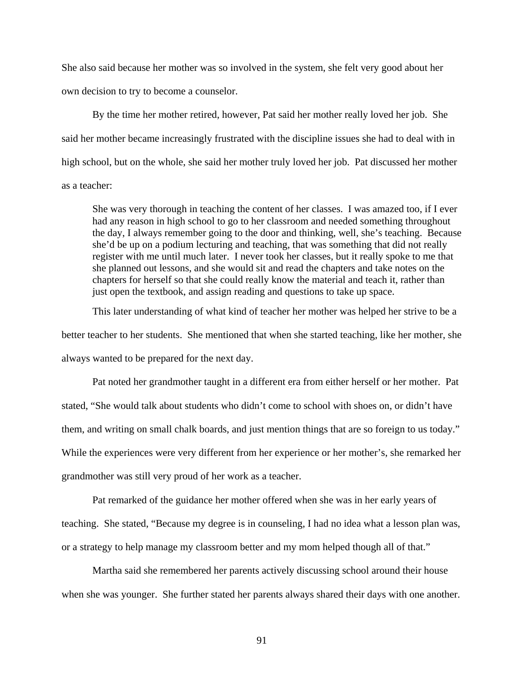She also said because her mother was so involved in the system, she felt very good about her own decision to try to become a counselor.

 By the time her mother retired, however, Pat said her mother really loved her job. She said her mother became increasingly frustrated with the discipline issues she had to deal with in high school, but on the whole, she said her mother truly loved her job. Pat discussed her mother as a teacher:

She was very thorough in teaching the content of her classes. I was amazed too, if I ever had any reason in high school to go to her classroom and needed something throughout the day, I always remember going to the door and thinking, well, she's teaching. Because she'd be up on a podium lecturing and teaching, that was something that did not really register with me until much later. I never took her classes, but it really spoke to me that she planned out lessons, and she would sit and read the chapters and take notes on the chapters for herself so that she could really know the material and teach it, rather than just open the textbook, and assign reading and questions to take up space.

 This later understanding of what kind of teacher her mother was helped her strive to be a better teacher to her students. She mentioned that when she started teaching, like her mother, she always wanted to be prepared for the next day.

 Pat noted her grandmother taught in a different era from either herself or her mother. Pat stated, "She would talk about students who didn't come to school with shoes on, or didn't have them, and writing on small chalk boards, and just mention things that are so foreign to us today." While the experiences were very different from her experience or her mother's, she remarked her grandmother was still very proud of her work as a teacher.

 Pat remarked of the guidance her mother offered when she was in her early years of teaching. She stated, "Because my degree is in counseling, I had no idea what a lesson plan was, or a strategy to help manage my classroom better and my mom helped though all of that."

 Martha said she remembered her parents actively discussing school around their house when she was younger. She further stated her parents always shared their days with one another.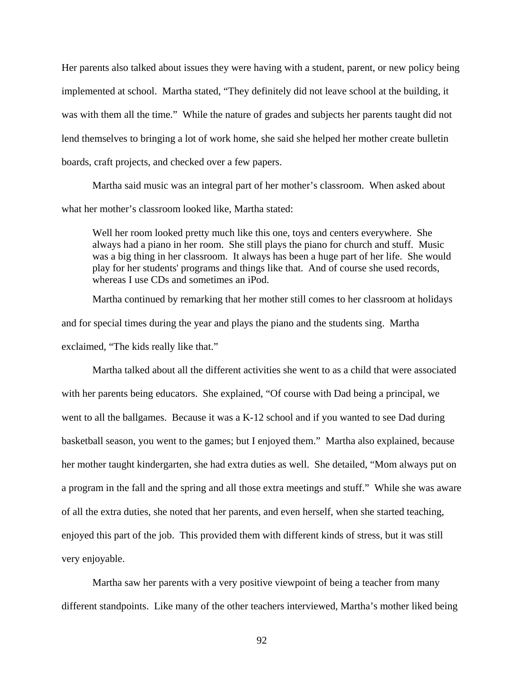Her parents also talked about issues they were having with a student, parent, or new policy being implemented at school. Martha stated, "They definitely did not leave school at the building, it was with them all the time." While the nature of grades and subjects her parents taught did not lend themselves to bringing a lot of work home, she said she helped her mother create bulletin boards, craft projects, and checked over a few papers.

 Martha said music was an integral part of her mother's classroom. When asked about what her mother's classroom looked like, Martha stated:

Well her room looked pretty much like this one, toys and centers everywhere. She always had a piano in her room. She still plays the piano for church and stuff. Music was a big thing in her classroom. It always has been a huge part of her life. She would play for her students' programs and things like that. And of course she used records, whereas I use CDs and sometimes an iPod.

 Martha continued by remarking that her mother still comes to her classroom at holidays and for special times during the year and plays the piano and the students sing. Martha exclaimed, "The kids really like that."

 Martha talked about all the different activities she went to as a child that were associated with her parents being educators. She explained, "Of course with Dad being a principal, we went to all the ballgames. Because it was a K-12 school and if you wanted to see Dad during basketball season, you went to the games; but I enjoyed them." Martha also explained, because her mother taught kindergarten, she had extra duties as well. She detailed, "Mom always put on a program in the fall and the spring and all those extra meetings and stuff." While she was aware of all the extra duties, she noted that her parents, and even herself, when she started teaching, enjoyed this part of the job. This provided them with different kinds of stress, but it was still very enjoyable.

 Martha saw her parents with a very positive viewpoint of being a teacher from many different standpoints. Like many of the other teachers interviewed, Martha's mother liked being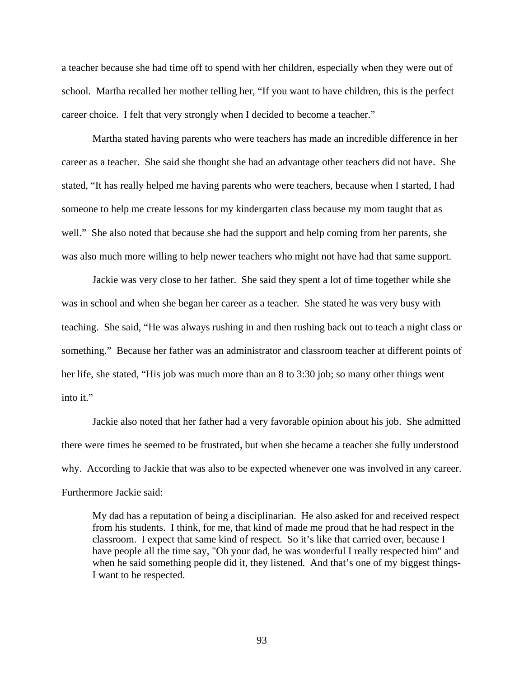a teacher because she had time off to spend with her children, especially when they were out of school. Martha recalled her mother telling her, "If you want to have children, this is the perfect career choice. I felt that very strongly when I decided to become a teacher."

 Martha stated having parents who were teachers has made an incredible difference in her career as a teacher. She said she thought she had an advantage other teachers did not have. She stated, "It has really helped me having parents who were teachers, because when I started, I had someone to help me create lessons for my kindergarten class because my mom taught that as well." She also noted that because she had the support and help coming from her parents, she was also much more willing to help newer teachers who might not have had that same support.

 Jackie was very close to her father. She said they spent a lot of time together while she was in school and when she began her career as a teacher. She stated he was very busy with teaching. She said, "He was always rushing in and then rushing back out to teach a night class or something." Because her father was an administrator and classroom teacher at different points of her life, she stated, "His job was much more than an 8 to 3:30 job; so many other things went into it."

 Jackie also noted that her father had a very favorable opinion about his job. She admitted there were times he seemed to be frustrated, but when she became a teacher she fully understood why. According to Jackie that was also to be expected whenever one was involved in any career. Furthermore Jackie said:

My dad has a reputation of being a disciplinarian. He also asked for and received respect from his students. I think, for me, that kind of made me proud that he had respect in the classroom. I expect that same kind of respect. So it's like that carried over, because I have people all the time say, "Oh your dad, he was wonderful I really respected him" and when he said something people did it, they listened. And that's one of my biggest things-I want to be respected.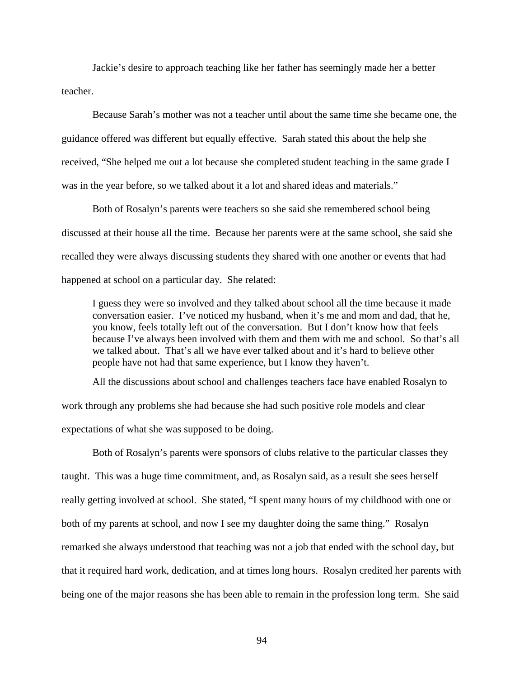Jackie's desire to approach teaching like her father has seemingly made her a better teacher.

 Because Sarah's mother was not a teacher until about the same time she became one, the guidance offered was different but equally effective. Sarah stated this about the help she received, "She helped me out a lot because she completed student teaching in the same grade I was in the year before, so we talked about it a lot and shared ideas and materials."

 Both of Rosalyn's parents were teachers so she said she remembered school being discussed at their house all the time. Because her parents were at the same school, she said she recalled they were always discussing students they shared with one another or events that had happened at school on a particular day. She related:

I guess they were so involved and they talked about school all the time because it made conversation easier. I've noticed my husband, when it's me and mom and dad, that he, you know, feels totally left out of the conversation. But I don't know how that feels because I've always been involved with them and them with me and school. So that's all we talked about. That's all we have ever talked about and it's hard to believe other people have not had that same experience, but I know they haven't.

 All the discussions about school and challenges teachers face have enabled Rosalyn to work through any problems she had because she had such positive role models and clear expectations of what she was supposed to be doing.

 Both of Rosalyn's parents were sponsors of clubs relative to the particular classes they taught. This was a huge time commitment, and, as Rosalyn said, as a result she sees herself really getting involved at school. She stated, "I spent many hours of my childhood with one or both of my parents at school, and now I see my daughter doing the same thing." Rosalyn remarked she always understood that teaching was not a job that ended with the school day, but that it required hard work, dedication, and at times long hours. Rosalyn credited her parents with being one of the major reasons she has been able to remain in the profession long term. She said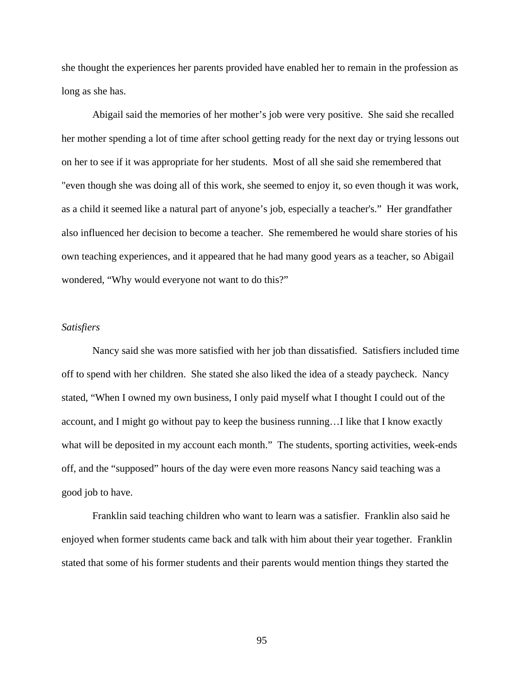she thought the experiences her parents provided have enabled her to remain in the profession as long as she has.

 Abigail said the memories of her mother's job were very positive. She said she recalled her mother spending a lot of time after school getting ready for the next day or trying lessons out on her to see if it was appropriate for her students. Most of all she said she remembered that "even though she was doing all of this work, she seemed to enjoy it, so even though it was work, as a child it seemed like a natural part of anyone's job, especially a teacher's." Her grandfather also influenced her decision to become a teacher. She remembered he would share stories of his own teaching experiences, and it appeared that he had many good years as a teacher, so Abigail wondered, "Why would everyone not want to do this?"

# *Satisfiers*

 Nancy said she was more satisfied with her job than dissatisfied. Satisfiers included time off to spend with her children. She stated she also liked the idea of a steady paycheck. Nancy stated, "When I owned my own business, I only paid myself what I thought I could out of the account, and I might go without pay to keep the business running…I like that I know exactly what will be deposited in my account each month." The students, sporting activities, week-ends off, and the "supposed" hours of the day were even more reasons Nancy said teaching was a good job to have.

 Franklin said teaching children who want to learn was a satisfier. Franklin also said he enjoyed when former students came back and talk with him about their year together. Franklin stated that some of his former students and their parents would mention things they started the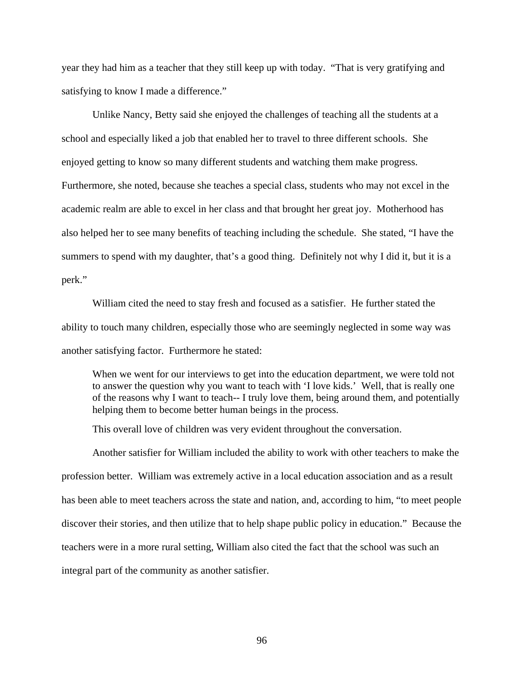year they had him as a teacher that they still keep up with today. "That is very gratifying and satisfying to know I made a difference."

 Unlike Nancy, Betty said she enjoyed the challenges of teaching all the students at a school and especially liked a job that enabled her to travel to three different schools. She enjoyed getting to know so many different students and watching them make progress. Furthermore, she noted, because she teaches a special class, students who may not excel in the academic realm are able to excel in her class and that brought her great joy. Motherhood has also helped her to see many benefits of teaching including the schedule. She stated, "I have the summers to spend with my daughter, that's a good thing. Definitely not why I did it, but it is a perk."

 William cited the need to stay fresh and focused as a satisfier. He further stated the ability to touch many children, especially those who are seemingly neglected in some way was another satisfying factor. Furthermore he stated:

When we went for our interviews to get into the education department, we were told not to answer the question why you want to teach with 'I love kids.' Well, that is really one of the reasons why I want to teach-- I truly love them, being around them, and potentially helping them to become better human beings in the process.

This overall love of children was very evident throughout the conversation.

 Another satisfier for William included the ability to work with other teachers to make the profession better. William was extremely active in a local education association and as a result has been able to meet teachers across the state and nation, and, according to him, "to meet people discover their stories, and then utilize that to help shape public policy in education." Because the teachers were in a more rural setting, William also cited the fact that the school was such an integral part of the community as another satisfier.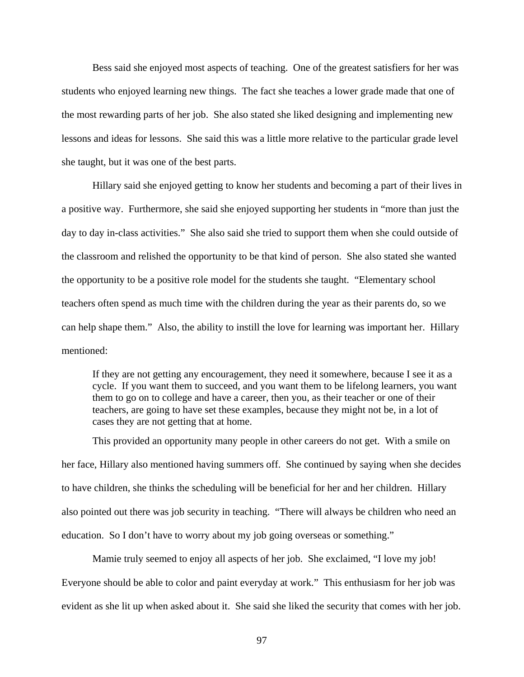Bess said she enjoyed most aspects of teaching. One of the greatest satisfiers for her was students who enjoyed learning new things. The fact she teaches a lower grade made that one of the most rewarding parts of her job. She also stated she liked designing and implementing new lessons and ideas for lessons. She said this was a little more relative to the particular grade level she taught, but it was one of the best parts.

 Hillary said she enjoyed getting to know her students and becoming a part of their lives in a positive way. Furthermore, she said she enjoyed supporting her students in "more than just the day to day in-class activities." She also said she tried to support them when she could outside of the classroom and relished the opportunity to be that kind of person. She also stated she wanted the opportunity to be a positive role model for the students she taught. "Elementary school teachers often spend as much time with the children during the year as their parents do, so we can help shape them." Also, the ability to instill the love for learning was important her. Hillary mentioned:

If they are not getting any encouragement, they need it somewhere, because I see it as a cycle. If you want them to succeed, and you want them to be lifelong learners, you want them to go on to college and have a career, then you, as their teacher or one of their teachers, are going to have set these examples, because they might not be, in a lot of cases they are not getting that at home.

 This provided an opportunity many people in other careers do not get. With a smile on her face, Hillary also mentioned having summers off. She continued by saying when she decides to have children, she thinks the scheduling will be beneficial for her and her children. Hillary also pointed out there was job security in teaching. "There will always be children who need an education. So I don't have to worry about my job going overseas or something."

 Mamie truly seemed to enjoy all aspects of her job. She exclaimed, "I love my job! Everyone should be able to color and paint everyday at work." This enthusiasm for her job was evident as she lit up when asked about it. She said she liked the security that comes with her job.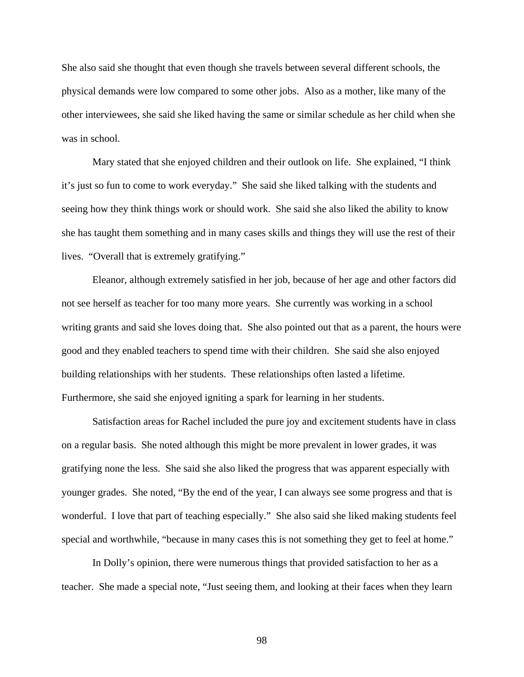She also said she thought that even though she travels between several different schools, the physical demands were low compared to some other jobs. Also as a mother, like many of the other interviewees, she said she liked having the same or similar schedule as her child when she was in school.

 Mary stated that she enjoyed children and their outlook on life. She explained, "I think it's just so fun to come to work everyday." She said she liked talking with the students and seeing how they think things work or should work. She said she also liked the ability to know she has taught them something and in many cases skills and things they will use the rest of their lives. "Overall that is extremely gratifying."

 Eleanor, although extremely satisfied in her job, because of her age and other factors did not see herself as teacher for too many more years. She currently was working in a school writing grants and said she loves doing that. She also pointed out that as a parent, the hours were good and they enabled teachers to spend time with their children. She said she also enjoyed building relationships with her students. These relationships often lasted a lifetime. Furthermore, she said she enjoyed igniting a spark for learning in her students.

 Satisfaction areas for Rachel included the pure joy and excitement students have in class on a regular basis. She noted although this might be more prevalent in lower grades, it was gratifying none the less. She said she also liked the progress that was apparent especially with younger grades. She noted, "By the end of the year, I can always see some progress and that is wonderful. I love that part of teaching especially." She also said she liked making students feel special and worthwhile, "because in many cases this is not something they get to feel at home."

 In Dolly's opinion, there were numerous things that provided satisfaction to her as a teacher. She made a special note, "Just seeing them, and looking at their faces when they learn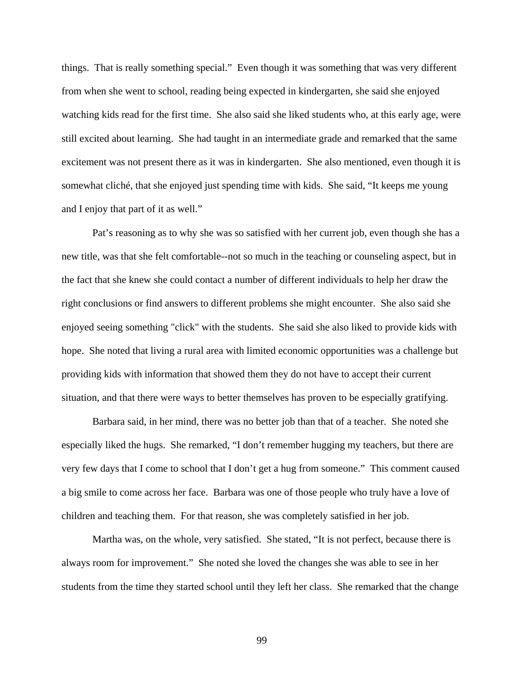things. That is really something special." Even though it was something that was very different from when she went to school, reading being expected in kindergarten, she said she enjoyed watching kids read for the first time. She also said she liked students who, at this early age, were still excited about learning. She had taught in an intermediate grade and remarked that the same excitement was not present there as it was in kindergarten. She also mentioned, even though it is somewhat cliché, that she enjoyed just spending time with kids. She said, "It keeps me young and I enjoy that part of it as well."

 Pat's reasoning as to why she was so satisfied with her current job, even though she has a new title, was that she felt comfortable--not so much in the teaching or counseling aspect, but in the fact that she knew she could contact a number of different individuals to help her draw the right conclusions or find answers to different problems she might encounter. She also said she enjoyed seeing something "click" with the students. She said she also liked to provide kids with hope. She noted that living a rural area with limited economic opportunities was a challenge but providing kids with information that showed them they do not have to accept their current situation, and that there were ways to better themselves has proven to be especially gratifying.

 Barbara said, in her mind, there was no better job than that of a teacher. She noted she especially liked the hugs. She remarked, "I don't remember hugging my teachers, but there are very few days that I come to school that I don't get a hug from someone." This comment caused a big smile to come across her face. Barbara was one of those people who truly have a love of children and teaching them. For that reason, she was completely satisfied in her job.

 Martha was, on the whole, very satisfied. She stated, "It is not perfect, because there is always room for improvement." She noted she loved the changes she was able to see in her students from the time they started school until they left her class. She remarked that the change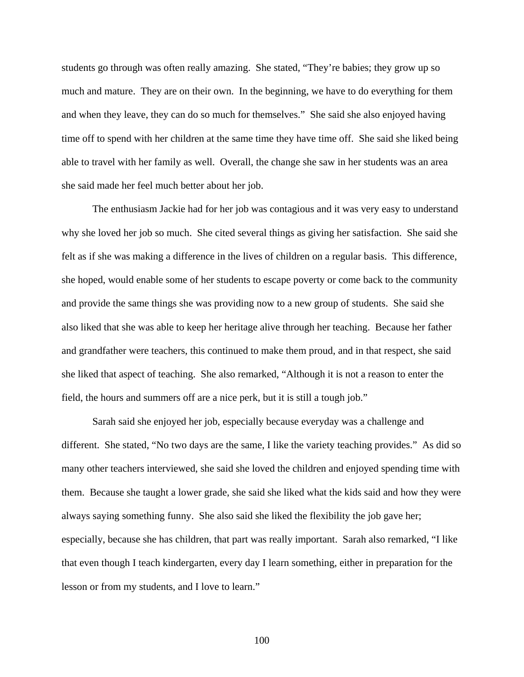students go through was often really amazing. She stated, "They're babies; they grow up so much and mature. They are on their own. In the beginning, we have to do everything for them and when they leave, they can do so much for themselves." She said she also enjoyed having time off to spend with her children at the same time they have time off. She said she liked being able to travel with her family as well. Overall, the change she saw in her students was an area she said made her feel much better about her job.

 The enthusiasm Jackie had for her job was contagious and it was very easy to understand why she loved her job so much. She cited several things as giving her satisfaction. She said she felt as if she was making a difference in the lives of children on a regular basis. This difference, she hoped, would enable some of her students to escape poverty or come back to the community and provide the same things she was providing now to a new group of students. She said she also liked that she was able to keep her heritage alive through her teaching. Because her father and grandfather were teachers, this continued to make them proud, and in that respect, she said she liked that aspect of teaching. She also remarked, "Although it is not a reason to enter the field, the hours and summers off are a nice perk, but it is still a tough job."

 Sarah said she enjoyed her job, especially because everyday was a challenge and different. She stated, "No two days are the same, I like the variety teaching provides." As did so many other teachers interviewed, she said she loved the children and enjoyed spending time with them. Because she taught a lower grade, she said she liked what the kids said and how they were always saying something funny. She also said she liked the flexibility the job gave her; especially, because she has children, that part was really important. Sarah also remarked, "I like that even though I teach kindergarten, every day I learn something, either in preparation for the lesson or from my students, and I love to learn."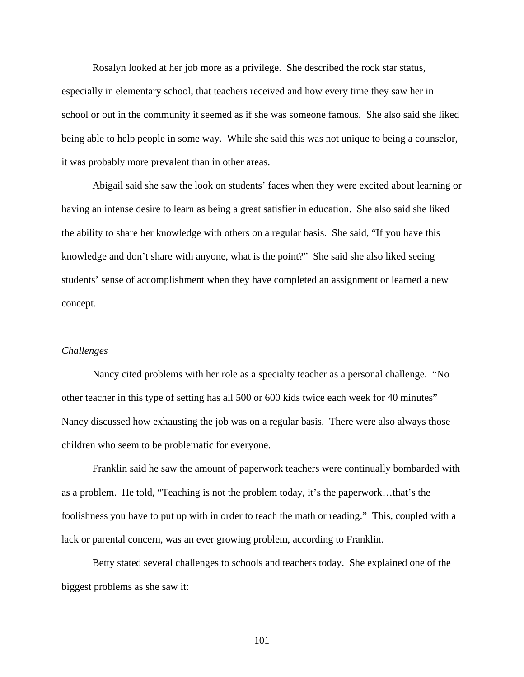Rosalyn looked at her job more as a privilege. She described the rock star status, especially in elementary school, that teachers received and how every time they saw her in school or out in the community it seemed as if she was someone famous. She also said she liked being able to help people in some way. While she said this was not unique to being a counselor, it was probably more prevalent than in other areas.

 Abigail said she saw the look on students' faces when they were excited about learning or having an intense desire to learn as being a great satisfier in education. She also said she liked the ability to share her knowledge with others on a regular basis. She said, "If you have this knowledge and don't share with anyone, what is the point?" She said she also liked seeing students' sense of accomplishment when they have completed an assignment or learned a new concept.

### *Challenges*

Nancy cited problems with her role as a specialty teacher as a personal challenge. "No other teacher in this type of setting has all 500 or 600 kids twice each week for 40 minutes" Nancy discussed how exhausting the job was on a regular basis. There were also always those children who seem to be problematic for everyone.

 Franklin said he saw the amount of paperwork teachers were continually bombarded with as a problem. He told, "Teaching is not the problem today, it's the paperwork…that's the foolishness you have to put up with in order to teach the math or reading." This, coupled with a lack or parental concern, was an ever growing problem, according to Franklin.

 Betty stated several challenges to schools and teachers today. She explained one of the biggest problems as she saw it: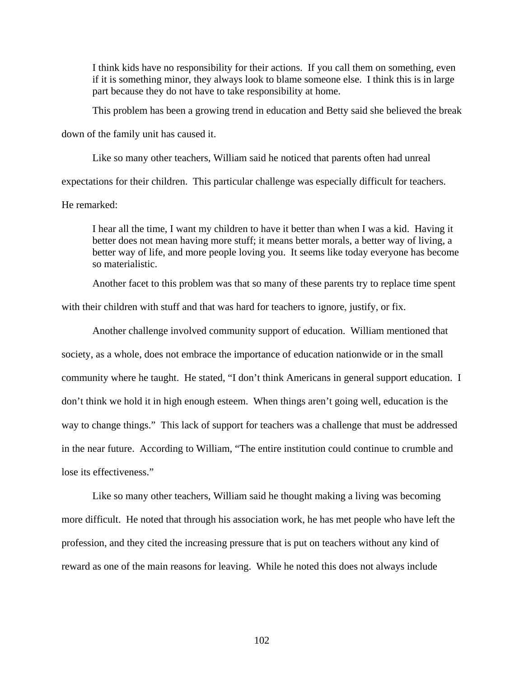I think kids have no responsibility for their actions. If you call them on something, even if it is something minor, they always look to blame someone else. I think this is in large part because they do not have to take responsibility at home.

This problem has been a growing trend in education and Betty said she believed the break

down of the family unit has caused it.

 Like so many other teachers, William said he noticed that parents often had unreal expectations for their children. This particular challenge was especially difficult for teachers.

He remarked:

I hear all the time, I want my children to have it better than when I was a kid. Having it better does not mean having more stuff; it means better morals, a better way of living, a better way of life, and more people loving you. It seems like today everyone has become so materialistic.

 Another facet to this problem was that so many of these parents try to replace time spent with their children with stuff and that was hard for teachers to ignore, justify, or fix.

 Another challenge involved community support of education. William mentioned that society, as a whole, does not embrace the importance of education nationwide or in the small community where he taught. He stated, "I don't think Americans in general support education. I don't think we hold it in high enough esteem. When things aren't going well, education is the way to change things." This lack of support for teachers was a challenge that must be addressed in the near future. According to William, "The entire institution could continue to crumble and lose its effectiveness."

 Like so many other teachers, William said he thought making a living was becoming more difficult. He noted that through his association work, he has met people who have left the profession, and they cited the increasing pressure that is put on teachers without any kind of reward as one of the main reasons for leaving. While he noted this does not always include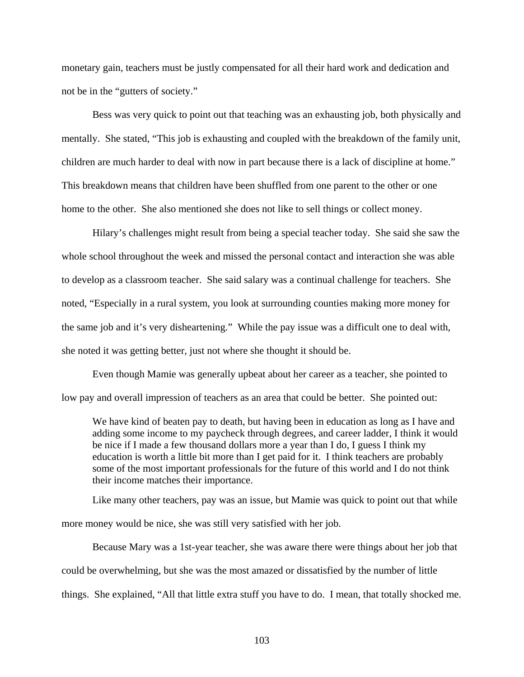monetary gain, teachers must be justly compensated for all their hard work and dedication and not be in the "gutters of society."

 Bess was very quick to point out that teaching was an exhausting job, both physically and mentally. She stated, "This job is exhausting and coupled with the breakdown of the family unit, children are much harder to deal with now in part because there is a lack of discipline at home." This breakdown means that children have been shuffled from one parent to the other or one home to the other. She also mentioned she does not like to sell things or collect money.

 Hilary's challenges might result from being a special teacher today. She said she saw the whole school throughout the week and missed the personal contact and interaction she was able to develop as a classroom teacher. She said salary was a continual challenge for teachers. She noted, "Especially in a rural system, you look at surrounding counties making more money for the same job and it's very disheartening." While the pay issue was a difficult one to deal with, she noted it was getting better, just not where she thought it should be.

 Even though Mamie was generally upbeat about her career as a teacher, she pointed to low pay and overall impression of teachers as an area that could be better. She pointed out:

We have kind of beaten pay to death, but having been in education as long as I have and adding some income to my paycheck through degrees, and career ladder, I think it would be nice if I made a few thousand dollars more a year than I do, I guess I think my education is worth a little bit more than I get paid for it. I think teachers are probably some of the most important professionals for the future of this world and I do not think their income matches their importance.

 Like many other teachers, pay was an issue, but Mamie was quick to point out that while more money would be nice, she was still very satisfied with her job.

 Because Mary was a 1st-year teacher, she was aware there were things about her job that could be overwhelming, but she was the most amazed or dissatisfied by the number of little things. She explained, "All that little extra stuff you have to do. I mean, that totally shocked me.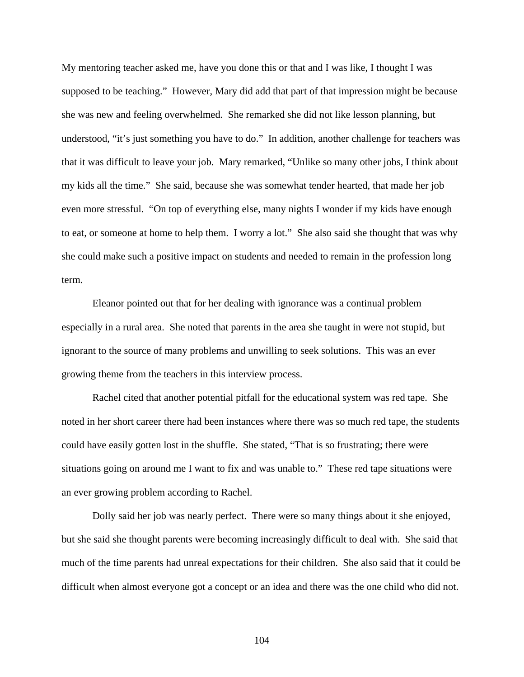My mentoring teacher asked me, have you done this or that and I was like, I thought I was supposed to be teaching." However, Mary did add that part of that impression might be because she was new and feeling overwhelmed. She remarked she did not like lesson planning, but understood, "it's just something you have to do." In addition, another challenge for teachers was that it was difficult to leave your job. Mary remarked, "Unlike so many other jobs, I think about my kids all the time." She said, because she was somewhat tender hearted, that made her job even more stressful. "On top of everything else, many nights I wonder if my kids have enough to eat, or someone at home to help them. I worry a lot." She also said she thought that was why she could make such a positive impact on students and needed to remain in the profession long term.

 Eleanor pointed out that for her dealing with ignorance was a continual problem especially in a rural area. She noted that parents in the area she taught in were not stupid, but ignorant to the source of many problems and unwilling to seek solutions. This was an ever growing theme from the teachers in this interview process.

 Rachel cited that another potential pitfall for the educational system was red tape. She noted in her short career there had been instances where there was so much red tape, the students could have easily gotten lost in the shuffle. She stated, "That is so frustrating; there were situations going on around me I want to fix and was unable to." These red tape situations were an ever growing problem according to Rachel.

 Dolly said her job was nearly perfect. There were so many things about it she enjoyed, but she said she thought parents were becoming increasingly difficult to deal with. She said that much of the time parents had unreal expectations for their children. She also said that it could be difficult when almost everyone got a concept or an idea and there was the one child who did not.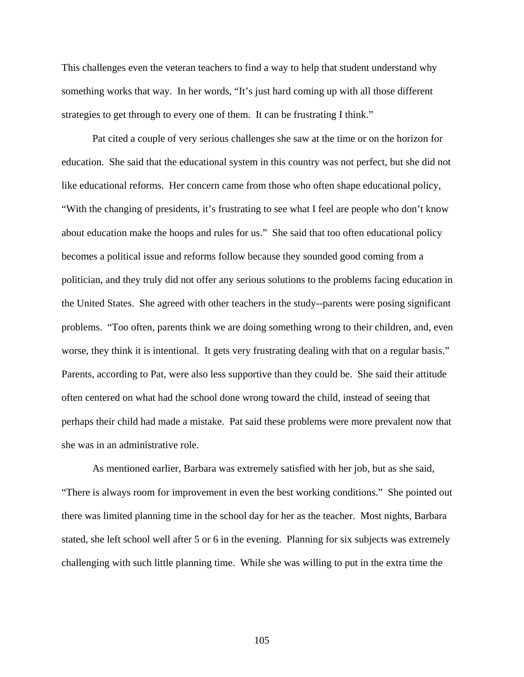This challenges even the veteran teachers to find a way to help that student understand why something works that way. In her words, "It's just hard coming up with all those different strategies to get through to every one of them. It can be frustrating I think."

 Pat cited a couple of very serious challenges she saw at the time or on the horizon for education. She said that the educational system in this country was not perfect, but she did not like educational reforms. Her concern came from those who often shape educational policy, "With the changing of presidents, it's frustrating to see what I feel are people who don't know about education make the hoops and rules for us." She said that too often educational policy becomes a political issue and reforms follow because they sounded good coming from a politician, and they truly did not offer any serious solutions to the problems facing education in the United States. She agreed with other teachers in the study--parents were posing significant problems. "Too often, parents think we are doing something wrong to their children, and, even worse, they think it is intentional. It gets very frustrating dealing with that on a regular basis." Parents, according to Pat, were also less supportive than they could be. She said their attitude often centered on what had the school done wrong toward the child, instead of seeing that perhaps their child had made a mistake. Pat said these problems were more prevalent now that she was in an administrative role.

 As mentioned earlier, Barbara was extremely satisfied with her job, but as she said, "There is always room for improvement in even the best working conditions." She pointed out there was limited planning time in the school day for her as the teacher. Most nights, Barbara stated, she left school well after 5 or 6 in the evening. Planning for six subjects was extremely challenging with such little planning time. While she was willing to put in the extra time the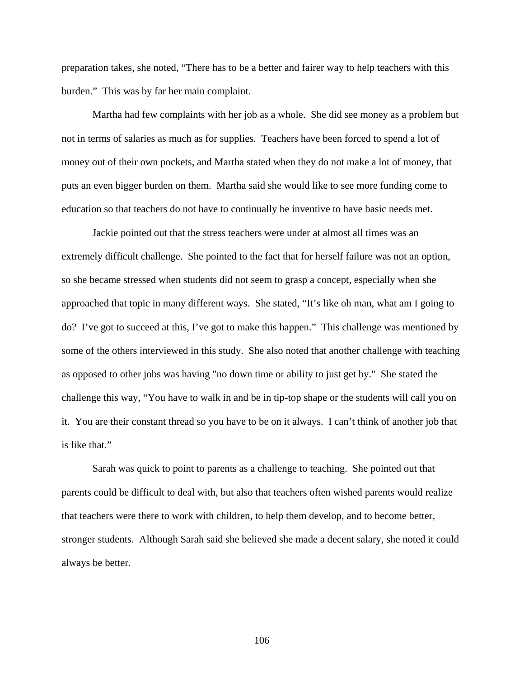preparation takes, she noted, "There has to be a better and fairer way to help teachers with this burden." This was by far her main complaint.

 Martha had few complaints with her job as a whole. She did see money as a problem but not in terms of salaries as much as for supplies. Teachers have been forced to spend a lot of money out of their own pockets, and Martha stated when they do not make a lot of money, that puts an even bigger burden on them. Martha said she would like to see more funding come to education so that teachers do not have to continually be inventive to have basic needs met.

 Jackie pointed out that the stress teachers were under at almost all times was an extremely difficult challenge. She pointed to the fact that for herself failure was not an option, so she became stressed when students did not seem to grasp a concept, especially when she approached that topic in many different ways. She stated, "It's like oh man, what am I going to do? I've got to succeed at this, I've got to make this happen." This challenge was mentioned by some of the others interviewed in this study. She also noted that another challenge with teaching as opposed to other jobs was having "no down time or ability to just get by." She stated the challenge this way, "You have to walk in and be in tip-top shape or the students will call you on it. You are their constant thread so you have to be on it always. I can't think of another job that is like that."

 Sarah was quick to point to parents as a challenge to teaching. She pointed out that parents could be difficult to deal with, but also that teachers often wished parents would realize that teachers were there to work with children, to help them develop, and to become better, stronger students. Although Sarah said she believed she made a decent salary, she noted it could always be better.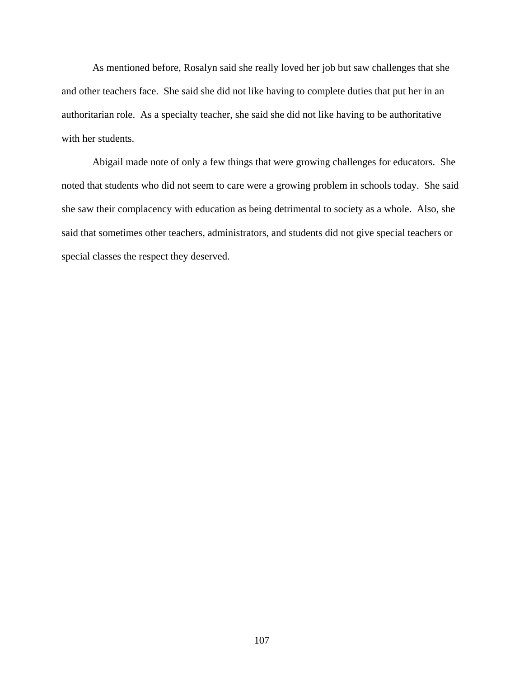As mentioned before, Rosalyn said she really loved her job but saw challenges that she and other teachers face. She said she did not like having to complete duties that put her in an authoritarian role. As a specialty teacher, she said she did not like having to be authoritative with her students.

Abigail made note of only a few things that were growing challenges for educators. She noted that students who did not seem to care were a growing problem in schools today. She said she saw their complacency with education as being detrimental to society as a whole. Also, she said that sometimes other teachers, administrators, and students did not give special teachers or special classes the respect they deserved.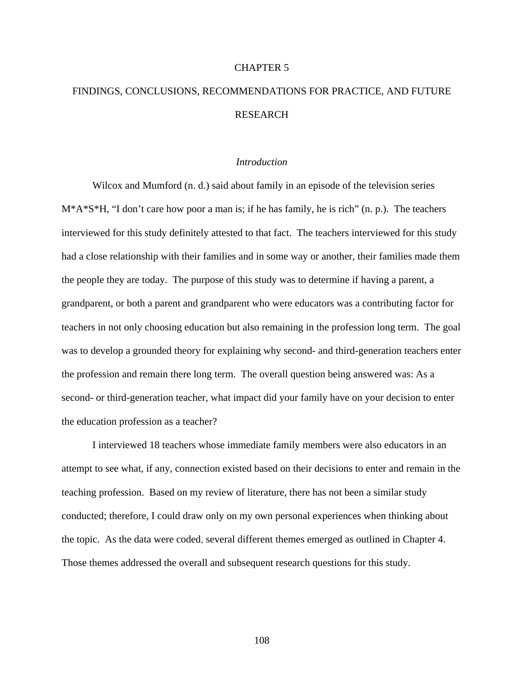#### CHAPTER 5

# FINDINGS, CONCLUSIONS, RECOMMENDATIONS FOR PRACTICE, AND FUTURE **RESEARCH**

#### *Introduction*

Wilcox and Mumford (n. d.) said about family in an episode of the television series  $M^*A^*S^*H$ , "I don't care how poor a man is; if he has family, he is rich" (n. p.). The teachers interviewed for this study definitely attested to that fact. The teachers interviewed for this study had a close relationship with their families and in some way or another, their families made them the people they are today. The purpose of this study was to determine if having a parent, a grandparent, or both a parent and grandparent who were educators was a contributing factor for teachers in not only choosing education but also remaining in the profession long term. The goal was to develop a grounded theory for explaining why second- and third-generation teachers enter the profession and remain there long term. The overall question being answered was: As a second- or third-generation teacher, what impact did your family have on your decision to enter the education profession as a teacher?

 I interviewed 18 teachers whose immediate family members were also educators in an attempt to see what, if any, connection existed based on their decisions to enter and remain in the teaching profession. Based on my review of literature, there has not been a similar study conducted; therefore, I could draw only on my own personal experiences when thinking about the topic. As the data were coded, several different themes emerged as outlined in Chapter 4. Those themes addressed the overall and subsequent research questions for this study.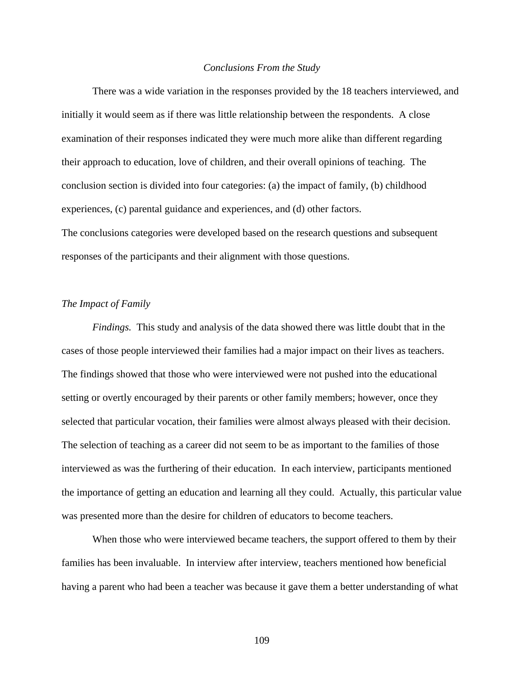#### *Conclusions From the Study*

 There was a wide variation in the responses provided by the 18 teachers interviewed, and initially it would seem as if there was little relationship between the respondents. A close examination of their responses indicated they were much more alike than different regarding their approach to education, love of children, and their overall opinions of teaching. The conclusion section is divided into four categories: (a) the impact of family, (b) childhood experiences, (c) parental guidance and experiences, and (d) other factors. The conclusions categories were developed based on the research questions and subsequent responses of the participants and their alignment with those questions.

#### *The Impact of Family*

*Findings.* This study and analysis of the data showed there was little doubt that in the cases of those people interviewed their families had a major impact on their lives as teachers. The findings showed that those who were interviewed were not pushed into the educational setting or overtly encouraged by their parents or other family members; however, once they selected that particular vocation, their families were almost always pleased with their decision. The selection of teaching as a career did not seem to be as important to the families of those interviewed as was the furthering of their education. In each interview, participants mentioned the importance of getting an education and learning all they could. Actually, this particular value was presented more than the desire for children of educators to become teachers.

 When those who were interviewed became teachers, the support offered to them by their families has been invaluable. In interview after interview, teachers mentioned how beneficial having a parent who had been a teacher was because it gave them a better understanding of what

109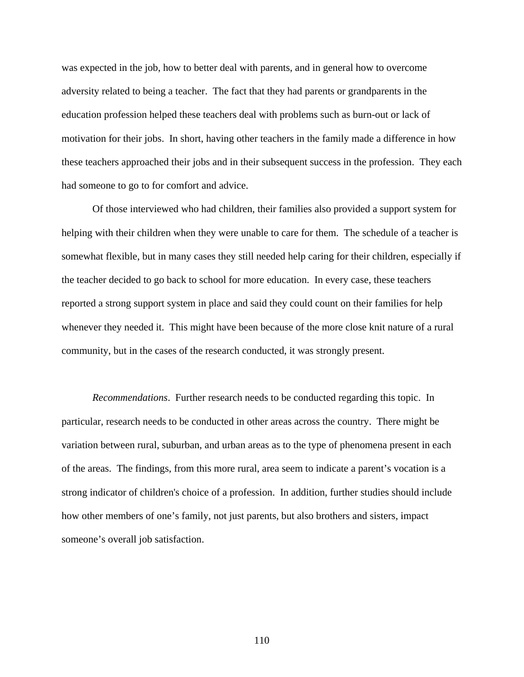was expected in the job, how to better deal with parents, and in general how to overcome adversity related to being a teacher. The fact that they had parents or grandparents in the education profession helped these teachers deal with problems such as burn-out or lack of motivation for their jobs. In short, having other teachers in the family made a difference in how these teachers approached their jobs and in their subsequent success in the profession. They each had someone to go to for comfort and advice.

 Of those interviewed who had children, their families also provided a support system for helping with their children when they were unable to care for them. The schedule of a teacher is somewhat flexible, but in many cases they still needed help caring for their children, especially if the teacher decided to go back to school for more education. In every case, these teachers reported a strong support system in place and said they could count on their families for help whenever they needed it. This might have been because of the more close knit nature of a rural community, but in the cases of the research conducted, it was strongly present.

*Recommendations*. Further research needs to be conducted regarding this topic. In particular, research needs to be conducted in other areas across the country. There might be variation between rural, suburban, and urban areas as to the type of phenomena present in each of the areas. The findings, from this more rural, area seem to indicate a parent's vocation is a strong indicator of children's choice of a profession. In addition, further studies should include how other members of one's family, not just parents, but also brothers and sisters, impact someone's overall job satisfaction.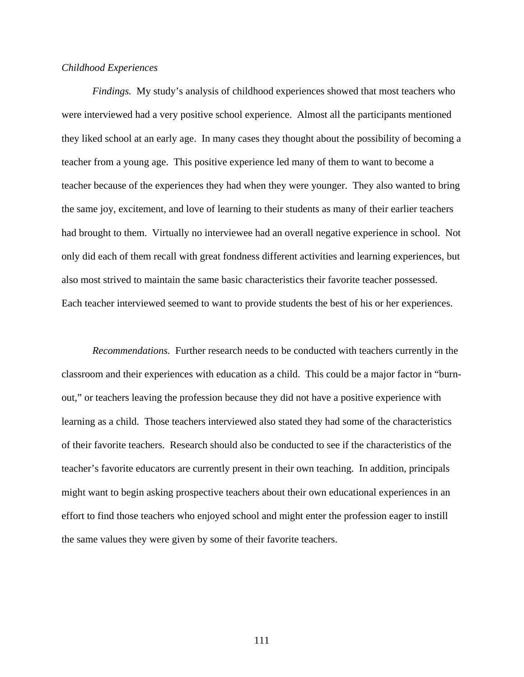#### *Childhood Experiences*

*Findings.* My study's analysis of childhood experiences showed that most teachers who were interviewed had a very positive school experience. Almost all the participants mentioned they liked school at an early age. In many cases they thought about the possibility of becoming a teacher from a young age. This positive experience led many of them to want to become a teacher because of the experiences they had when they were younger. They also wanted to bring the same joy, excitement, and love of learning to their students as many of their earlier teachers had brought to them. Virtually no interviewee had an overall negative experience in school. Not only did each of them recall with great fondness different activities and learning experiences, but also most strived to maintain the same basic characteristics their favorite teacher possessed. Each teacher interviewed seemed to want to provide students the best of his or her experiences.

*Recommendations.* Further research needs to be conducted with teachers currently in the classroom and their experiences with education as a child. This could be a major factor in "burnout," or teachers leaving the profession because they did not have a positive experience with learning as a child. Those teachers interviewed also stated they had some of the characteristics of their favorite teachers. Research should also be conducted to see if the characteristics of the teacher's favorite educators are currently present in their own teaching. In addition, principals might want to begin asking prospective teachers about their own educational experiences in an effort to find those teachers who enjoyed school and might enter the profession eager to instill the same values they were given by some of their favorite teachers.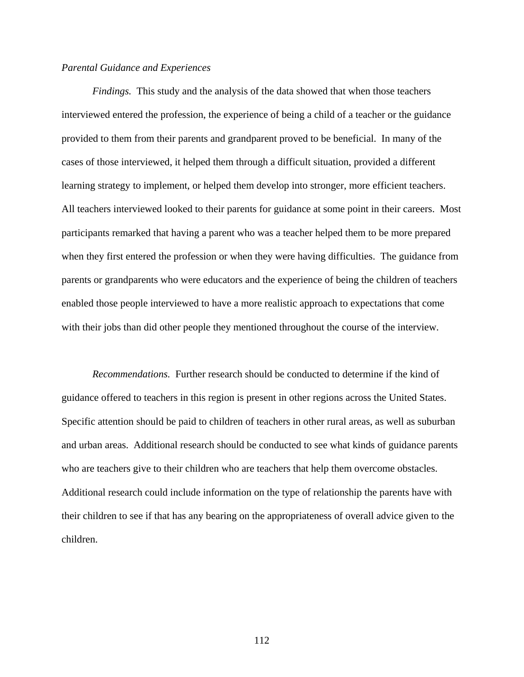#### *Parental Guidance and Experiences*

*Findings.* This study and the analysis of the data showed that when those teachers interviewed entered the profession, the experience of being a child of a teacher or the guidance provided to them from their parents and grandparent proved to be beneficial. In many of the cases of those interviewed, it helped them through a difficult situation, provided a different learning strategy to implement, or helped them develop into stronger, more efficient teachers. All teachers interviewed looked to their parents for guidance at some point in their careers. Most participants remarked that having a parent who was a teacher helped them to be more prepared when they first entered the profession or when they were having difficulties. The guidance from parents or grandparents who were educators and the experience of being the children of teachers enabled those people interviewed to have a more realistic approach to expectations that come with their jobs than did other people they mentioned throughout the course of the interview.

*Recommendations.* Further research should be conducted to determine if the kind of guidance offered to teachers in this region is present in other regions across the United States. Specific attention should be paid to children of teachers in other rural areas, as well as suburban and urban areas. Additional research should be conducted to see what kinds of guidance parents who are teachers give to their children who are teachers that help them overcome obstacles. Additional research could include information on the type of relationship the parents have with their children to see if that has any bearing on the appropriateness of overall advice given to the children.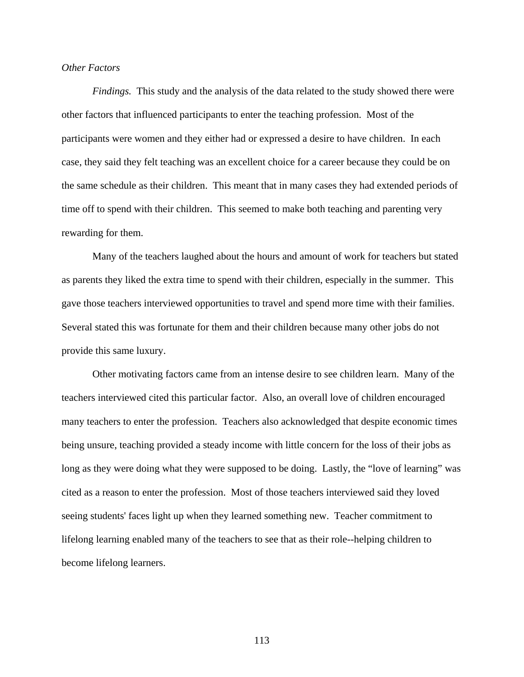#### *Other Factors*

*Findings.* This study and the analysis of the data related to the study showed there were other factors that influenced participants to enter the teaching profession. Most of the participants were women and they either had or expressed a desire to have children. In each case, they said they felt teaching was an excellent choice for a career because they could be on the same schedule as their children. This meant that in many cases they had extended periods of time off to spend with their children. This seemed to make both teaching and parenting very rewarding for them.

Many of the teachers laughed about the hours and amount of work for teachers but stated as parents they liked the extra time to spend with their children, especially in the summer. This gave those teachers interviewed opportunities to travel and spend more time with their families. Several stated this was fortunate for them and their children because many other jobs do not provide this same luxury.

Other motivating factors came from an intense desire to see children learn. Many of the teachers interviewed cited this particular factor. Also, an overall love of children encouraged many teachers to enter the profession. Teachers also acknowledged that despite economic times being unsure, teaching provided a steady income with little concern for the loss of their jobs as long as they were doing what they were supposed to be doing. Lastly, the "love of learning" was cited as a reason to enter the profession. Most of those teachers interviewed said they loved seeing students' faces light up when they learned something new. Teacher commitment to lifelong learning enabled many of the teachers to see that as their role--helping children to become lifelong learners.

113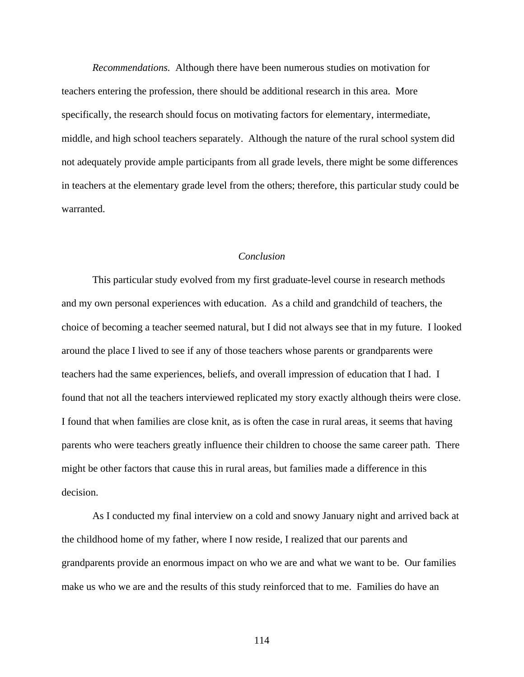*Recommendations.* Although there have been numerous studies on motivation for teachers entering the profession, there should be additional research in this area. More specifically, the research should focus on motivating factors for elementary, intermediate, middle, and high school teachers separately. Although the nature of the rural school system did not adequately provide ample participants from all grade levels, there might be some differences in teachers at the elementary grade level from the others; therefore, this particular study could be warranted.

#### *Conclusion*

This particular study evolved from my first graduate-level course in research methods and my own personal experiences with education. As a child and grandchild of teachers, the choice of becoming a teacher seemed natural, but I did not always see that in my future. I looked around the place I lived to see if any of those teachers whose parents or grandparents were teachers had the same experiences, beliefs, and overall impression of education that I had. I found that not all the teachers interviewed replicated my story exactly although theirs were close. I found that when families are close knit, as is often the case in rural areas, it seems that having parents who were teachers greatly influence their children to choose the same career path. There might be other factors that cause this in rural areas, but families made a difference in this decision.

 As I conducted my final interview on a cold and snowy January night and arrived back at the childhood home of my father, where I now reside, I realized that our parents and grandparents provide an enormous impact on who we are and what we want to be. Our families make us who we are and the results of this study reinforced that to me. Families do have an

114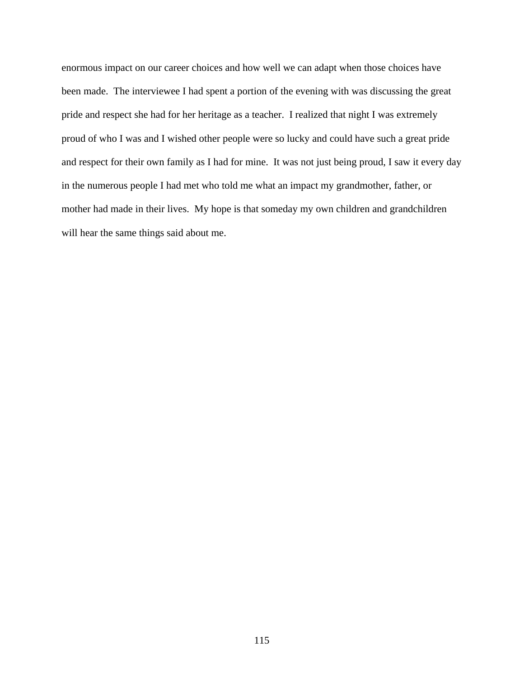enormous impact on our career choices and how well we can adapt when those choices have been made. The interviewee I had spent a portion of the evening with was discussing the great pride and respect she had for her heritage as a teacher. I realized that night I was extremely proud of who I was and I wished other people were so lucky and could have such a great pride and respect for their own family as I had for mine. It was not just being proud, I saw it every day in the numerous people I had met who told me what an impact my grandmother, father, or mother had made in their lives. My hope is that someday my own children and grandchildren will hear the same things said about me.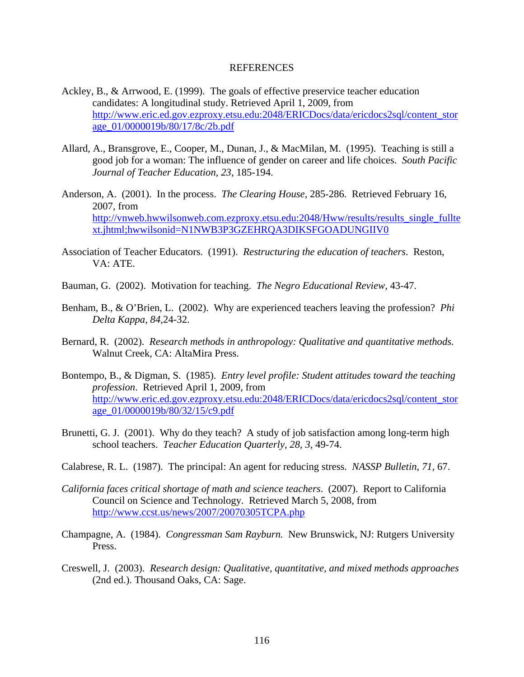#### REFERENCES

- Ackley, B., & Arrwood, E. (1999). The goals of effective preservice teacher education candidates: A longitudinal study. Retrieved April 1, 2009, from http://www.eric.ed.gov.ezproxy.etsu.edu:2048/ERICDocs/data/ericdocs2sql/content\_stor age\_01/0000019b/80/17/8c/2b.pdf
- Allard, A., Bransgrove, E., Cooper, M., Dunan, J., & MacMilan, M. (1995). Teaching is still a good job for a woman: The influence of gender on career and life choices. *South Pacific Journal of Teacher Education, 23*, 185-194.
- Anderson, A. (2001). In the process. *The Clearing House*, 285-286. Retrieved February 16, 2007, from http://vnweb.hwwilsonweb.com.ezproxy.etsu.edu:2048/Hww/results/results\_single\_fullte xt.jhtml;hwwilsonid=N1NWB3P3GZEHRQA3DIKSFGOADUNGIIV0
- Association of Teacher Educators. (1991). *Restructuring the education of teachers*. Reston, VA: ATE.
- Bauman, G. (2002). Motivation for teaching. *The Negro Educational Review,* 43-47.
- Benham, B., & O'Brien, L. (2002). Why are experienced teachers leaving the profession? *Phi Delta Kappa, 84,*24-32.
- Bernard, R. (2002). *Research methods in anthropology: Qualitative and quantitative methods.* Walnut Creek, CA: AltaMira Press.
- Bontempo, B., & Digman, S. (1985). *Entry level profile: Student attitudes toward the teaching profession*. Retrieved April 1, 2009, from http://www.eric.ed.gov.ezproxy.etsu.edu:2048/ERICDocs/data/ericdocs2sql/content\_stor age\_01/0000019b/80/32/15/c9.pdf
- Brunetti, G. J. (2001). Why do they teach? A study of job satisfaction among long-term high school teachers. *Teacher Education Quarterly*, *28, 3,* 49-74.
- Calabrese, R. L. (1987). The principal: An agent for reducing stress. *NASSP Bulletin, 71,* 67.
- *California faces critical shortage of math and science teachers*. (2007). Report to California Council on Science and Technology. Retrieved March 5, 2008, from http://www.ccst.us/news/2007/20070305TCPA.php
- Champagne, A. (1984). *Congressman Sam Rayburn.* New Brunswick, NJ: Rutgers University Press.
- Creswell, J. (2003). *Research design: Qualitative, quantitative, and mixed methods approaches* (2nd ed.). Thousand Oaks, CA: Sage.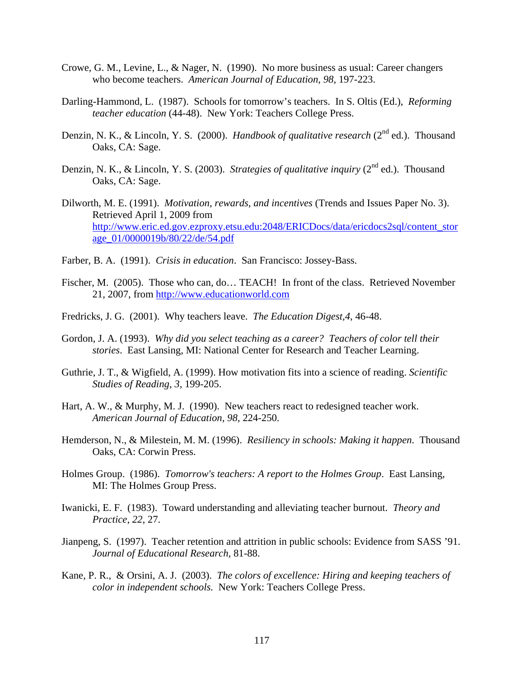- Crowe, G. M., Levine, L., & Nager, N. (1990). No more business as usual: Career changers who become teachers. *American Journal of Education*, *98,* 197-223.
- Darling-Hammond, L. (1987). Schools for tomorrow's teachers. In S. Oltis (Ed.), *Reforming teacher education* (44-48). New York: Teachers College Press.
- Denzin, N. K., & Lincoln, Y. S. (2000). *Handbook of qualitative research* (2<sup>nd</sup> ed.). Thousand Oaks, CA: Sage.
- Denzin, N. K., & Lincoln, Y. S. (2003). *Strategies of qualitative inquiry* (2<sup>nd</sup> ed.). Thousand Oaks, CA: Sage.
- Dilworth, M. E. (1991). *Motivation, rewards, and incentives* (Trends and Issues Paper No. 3). Retrieved April 1, 2009 from http://www.eric.ed.gov.ezproxy.etsu.edu:2048/ERICDocs/data/ericdocs2sql/content\_stor age\_01/0000019b/80/22/de/54.pdf
- Farber, B. A. (1991). *Crisis in education*. San Francisco: Jossey-Bass.
- Fischer, M. (2005). Those who can, do… TEACH! In front of the class. Retrieved November 21, 2007, from http://www.educationworld.com
- Fredricks, J. G. (2001). Why teachers leave. *The Education Digest,4*, 46-48.
- Gordon, J. A. (1993). *Why did you select teaching as a career? Teachers of color tell their stories*. East Lansing, MI: National Center for Research and Teacher Learning.
- Guthrie, J. T., & Wigfield, A. (1999). How motivation fits into a science of reading. *Scientific Studies of Reading, 3,* 199-205.
- Hart, A. W., & Murphy, M. J. (1990). New teachers react to redesigned teacher work. *American Journal of Education, 98,* 224-250.
- Hemderson, N., & Milestein, M. M. (1996). *Resiliency in schools: Making it happen*. Thousand Oaks, CA: Corwin Press.
- Holmes Group. (1986). *Tomorrow's teachers: A report to the Holmes Group*. East Lansing, MI: The Holmes Group Press.
- Iwanicki, E. F. (1983). Toward understanding and alleviating teacher burnout. *Theory and Practice, 22,* 27.
- Jianpeng, S. (1997). Teacher retention and attrition in public schools: Evidence from SASS '91. *Journal of Educational Research,* 81-88.
- Kane, P. R., & Orsini, A. J. (2003). *The colors of excellence: Hiring and keeping teachers of color in independent schools.* New York: Teachers College Press.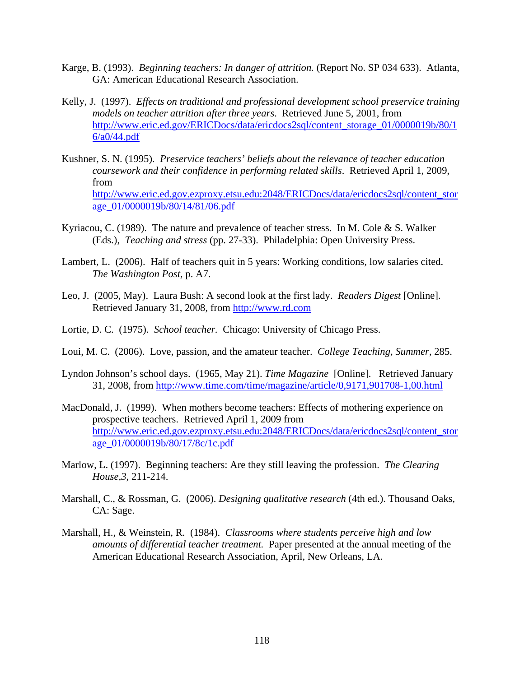- Karge, B. (1993). *Beginning teachers: In danger of attrition.* (Report No. SP 034 633). Atlanta, GA: American Educational Research Association.
- Kelly, J. (1997). *Effects on traditional and professional development school preservice training models on teacher attrition after three years*. Retrieved June 5, 2001, from http://www.eric.ed.gov/ERICDocs/data/ericdocs2sql/content\_storage\_01/0000019b/80/1 6/a0/44.pdf
- Kushner, S. N. (1995). *Preservice teachers' beliefs about the relevance of teacher education coursework and their confidence in performing related skills*. Retrieved April 1, 2009, from http://www.eric.ed.gov.ezproxy.etsu.edu:2048/ERICDocs/data/ericdocs2sql/content\_stor age\_01/0000019b/80/14/81/06.pdf
- Kyriacou, C. (1989). The nature and prevalence of teacher stress. In M. Cole & S. Walker (Eds.), *Teaching and stress* (pp. 27-33). Philadelphia: Open University Press.
- Lambert, L. (2006). Half of teachers quit in 5 years: Working conditions, low salaries cited. *The Washington Post,* p. A7.
- Leo, J. (2005, May). Laura Bush: A second look at the first lady. *Readers Digest* [Online]. Retrieved January 31, 2008, from http://www.rd.com
- Lortie, D. C. (1975). *School teacher.* Chicago: University of Chicago Press.
- Loui, M. C. (2006). Love, passion, and the amateur teacher. *College Teaching*, *Summer,* 285.
- Lyndon Johnson's school days. (1965, May 21). *Time Magazine* [Online]. Retrieved January 31, 2008, from http://www.time.com/time/magazine/article/0,9171,901708-1,00.html
- MacDonald, J. (1999). When mothers become teachers: Effects of mothering experience on prospective teachers. Retrieved April 1, 2009 from http://www.eric.ed.gov.ezproxy.etsu.edu:2048/ERICDocs/data/ericdocs2sql/content\_stor age\_01/0000019b/80/17/8c/1c.pdf
- Marlow, L. (1997). Beginning teachers: Are they still leaving the profession. *The Clearing House,3*, 211-214.
- Marshall, C., & Rossman, G. (2006). *Designing qualitative research* (4th ed.). Thousand Oaks, CA: Sage.
- Marshall, H., & Weinstein, R. (1984). *Classrooms where students perceive high and low amounts of differential teacher treatment.* Paper presented at the annual meeting of the American Educational Research Association, April, New Orleans, LA.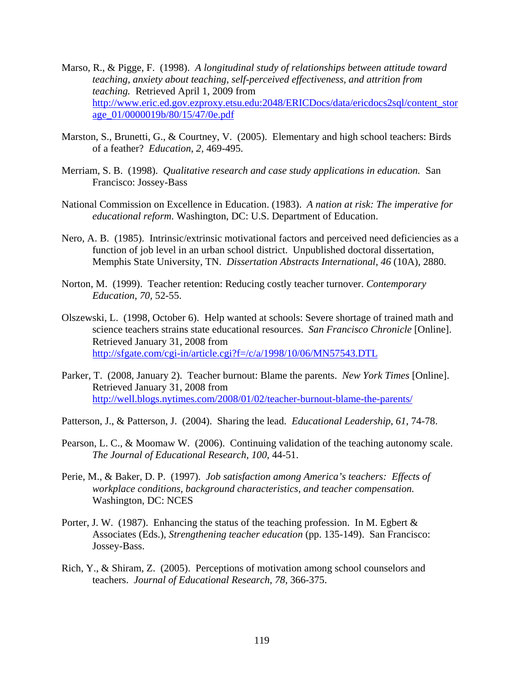- Marso, R., & Pigge, F. (1998). *A longitudinal study of relationships between attitude toward teaching, anxiety about teaching, self-perceived effectiveness, and attrition from teaching.* Retrieved April 1, 2009 from http://www.eric.ed.gov.ezproxy.etsu.edu:2048/ERICDocs/data/ericdocs2sql/content\_stor age\_01/0000019b/80/15/47/0e.pdf
- Marston, S., Brunetti, G., & Courtney, V. (2005). Elementary and high school teachers: Birds of a feather? *Education*, *2,* 469-495.
- Merriam, S. B. (1998). *Qualitative research and case study applications in education.* San Francisco: Jossey-Bass
- National Commission on Excellence in Education. (1983). *A nation at risk: The imperative for educational reform*. Washington, DC: U.S. Department of Education.
- Nero, A. B. (1985). Intrinsic/extrinsic motivational factors and perceived need deficiencies as a function of job level in an urban school district. Unpublished doctoral dissertation, Memphis State University, TN. *Dissertation Abstracts International, 46* (10A), 2880.
- Norton, M. (1999). Teacher retention: Reducing costly teacher turnover. *Contemporary Education*, *70,* 52-55.
- Olszewski, L. (1998, October 6). Help wanted at schools: Severe shortage of trained math and science teachers strains state educational resources. *San Francisco Chronicle* [Online]. Retrieved January 31, 2008 from http://sfgate.com/cgi-in/article.cgi?f=/c/a/1998/10/06/MN57543.DTL
- Parker, T. (2008, January 2). Teacher burnout: Blame the parents. *New York Times* [Online]. Retrieved January 31, 2008 from http://well.blogs.nytimes.com/2008/01/02/teacher-burnout-blame-the-parents/
- Patterson, J., & Patterson, J. (2004). Sharing the lead. *Educational Leadership*, *61,* 74-78.
- Pearson, L. C., & Moomaw W. (2006). Continuing validation of the teaching autonomy scale. *The Journal of Educational Research*, *100,* 44-51.
- Perie, M., & Baker, D. P. (1997). *Job satisfaction among America's teachers: Effects of workplace conditions, background characteristics, and teacher compensation.* Washington, DC: NCES
- Porter, J. W. (1987). Enhancing the status of the teaching profession. In M. Egbert  $\&$ Associates (Eds.), *Strengthening teacher education* (pp. 135-149). San Francisco: Jossey-Bass.
- Rich, Y., & Shiram, Z. (2005). Perceptions of motivation among school counselors and teachers. *Journal of Educational Research*, *78,* 366-375.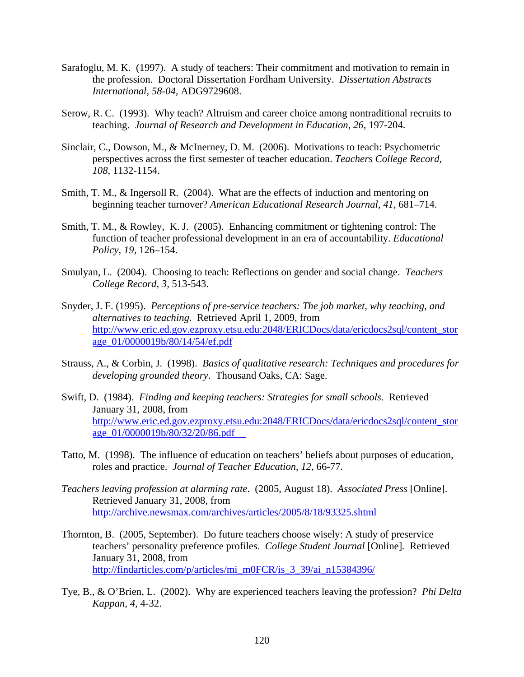- Sarafoglu, M. K. (1997). A study of teachers: Their commitment and motivation to remain in the profession. Doctoral Dissertation Fordham University. *Dissertation Abstracts International, 58-04,* ADG9729608.
- Serow, R. C. (1993). Why teach? Altruism and career choice among nontraditional recruits to teaching. *Journal of Research and Development in Education*, *26,* 197-204.
- Sinclair, C., Dowson, M., & McInerney, D. M. (2006). Motivations to teach: Psychometric perspectives across the first semester of teacher education. *Teachers College Record, 108,* 1132-1154.
- Smith, T. M., & Ingersoll R. (2004). What are the effects of induction and mentoring on beginning teacher turnover? *American Educational Research Journal, 41,* 681–714.
- Smith, T. M., & Rowley, K. J. (2005). Enhancing commitment or tightening control: The function of teacher professional development in an era of accountability. *Educational Policy, 19,* 126–154.
- Smulyan, L. (2004). Choosing to teach: Reflections on gender and social change. *Teachers College Record, 3,* 513-543.
- Snyder, J. F. (1995). *Perceptions of pre-service teachers: The job market, why teaching, and alternatives to teaching.* Retrieved April 1, 2009, from http://www.eric.ed.gov.ezproxy.etsu.edu:2048/ERICDocs/data/ericdocs2sql/content\_stor age\_01/0000019b/80/14/54/ef.pdf
- Strauss, A., & Corbin, J. (1998). *Basics of qualitative research: Techniques and procedures for developing grounded theory*. Thousand Oaks, CA: Sage.
- Swift, D. (1984). *Finding and keeping teachers: Strategies for small schools.* Retrieved January 31, 2008, from http://www.eric.ed.gov.ezproxy.etsu.edu:2048/ERICDocs/data/ericdocs2sql/content\_stor age\_01/0000019b/80/32/20/86.pdf
- Tatto, M. (1998). The influence of education on teachers' beliefs about purposes of education, roles and practice. *Journal of Teacher Education*, *12,* 66-77.
- *Teachers leaving profession at alarming rate*. (2005, August 18). *Associated Press* [Online]. Retrieved January 31, 2008, from http://archive.newsmax.com/archives/articles/2005/8/18/93325.shtml
- Thornton, B. (2005, September). Do future teachers choose wisely: A study of preservice teachers' personality preference profiles. *College Student Journal* [Online]*.* Retrieved January 31, 2008, from http://findarticles.com/p/articles/mi\_m0FCR/is\_3\_39/ai\_n15384396/
- Tye, B., & O'Brien, L. (2002). Why are experienced teachers leaving the profession? *Phi Delta Kappan, 4,* 4-32.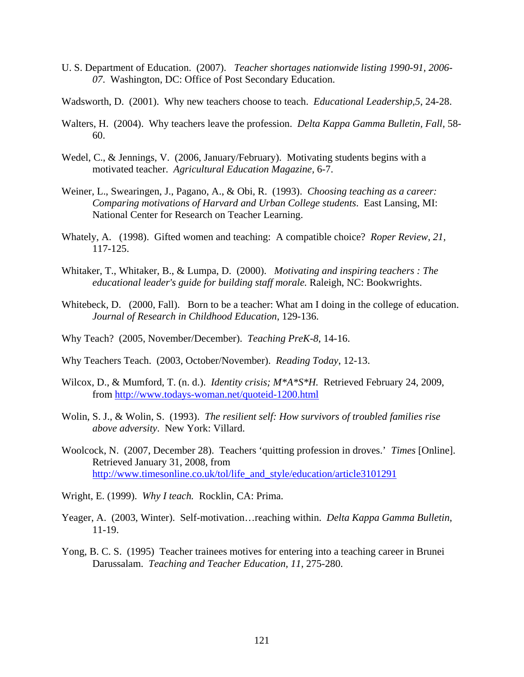- U. S. Department of Education. (2007). *Teacher shortages nationwide listing 1990-91, 2006- 07*. Washington, DC: Office of Post Secondary Education.
- Wadsworth, D. (2001). Why new teachers choose to teach. *Educational Leadership,5*, 24-28.
- Walters, H. (2004). Why teachers leave the profession. *Delta Kappa Gamma Bulletin, Fall,* 58- 60.
- Wedel, C., & Jennings, V. (2006, January/February). Motivating students begins with a motivated teacher. *Agricultural Education Magazine,* 6-7.
- Weiner, L., Swearingen, J., Pagano, A., & Obi, R. (1993). *Choosing teaching as a career: Comparing motivations of Harvard and Urban College students*. East Lansing, MI: National Center for Research on Teacher Learning.
- Whately, A. (1998). Gifted women and teaching: A compatible choice? *Roper Review*, *21,* 117-125.
- Whitaker, T., Whitaker, B., & Lumpa, D. (2000). *Motivating and inspiring teachers : The educational leader's guide for building staff morale.* Raleigh, NC: Bookwrights.
- Whitebeck, D. (2000, Fall). Born to be a teacher: What am I doing in the college of education. *Journal of Research in Childhood Education*, 129-136.
- Why Teach? (2005, November/December). *Teaching PreK-8*, 14-16.
- Why Teachers Teach. (2003, October/November). *Reading Today*, 12-13.
- Wilcox, D., & Mumford, T. (n. d.). *Identity crisis; M\*A\*S\*H.* Retrieved February 24, 2009, from http://www.todays-woman.net/quoteid-1200.html
- Wolin, S. J., & Wolin, S. (1993). *The resilient self: How survivors of troubled families rise above adversity*. New York: Villard.
- Woolcock, N. (2007, December 28). Teachers 'quitting profession in droves.' *Times* [Online]. Retrieved January 31, 2008, from http://www.timesonline.co.uk/tol/life\_and\_style/education/article3101291
- Wright, E. (1999). *Why I teach.* Rocklin, CA: Prima.
- Yeager, A. (2003, Winter). Self-motivation…reaching within. *Delta Kappa Gamma Bulletin*, 11-19.
- Yong, B. C. S. (1995) Teacher trainees motives for entering into a teaching career in Brunei Darussalam. *Teaching and Teacher Education, 11,* 275-280.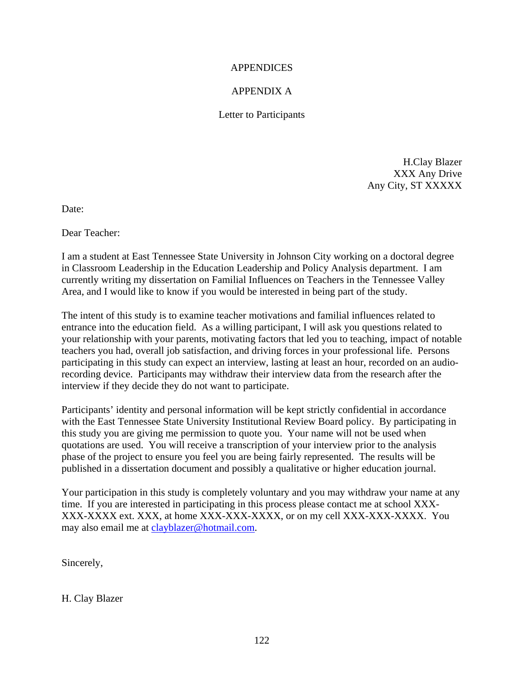#### APPENDICES

### APPENDIX A

#### Letter to Participants

H.Clay Blazer XXX Any Drive Any City, ST XXXXX

Date:

Dear Teacher:

I am a student at East Tennessee State University in Johnson City working on a doctoral degree in Classroom Leadership in the Education Leadership and Policy Analysis department. I am currently writing my dissertation on Familial Influences on Teachers in the Tennessee Valley Area, and I would like to know if you would be interested in being part of the study.

The intent of this study is to examine teacher motivations and familial influences related to entrance into the education field. As a willing participant, I will ask you questions related to your relationship with your parents, motivating factors that led you to teaching, impact of notable teachers you had, overall job satisfaction, and driving forces in your professional life. Persons participating in this study can expect an interview, lasting at least an hour, recorded on an audiorecording device. Participants may withdraw their interview data from the research after the interview if they decide they do not want to participate.

Participants' identity and personal information will be kept strictly confidential in accordance with the East Tennessee State University Institutional Review Board policy. By participating in this study you are giving me permission to quote you. Your name will not be used when quotations are used. You will receive a transcription of your interview prior to the analysis phase of the project to ensure you feel you are being fairly represented. The results will be published in a dissertation document and possibly a qualitative or higher education journal.

Your participation in this study is completely voluntary and you may withdraw your name at any time. If you are interested in participating in this process please contact me at school XXX-XXX-XXXX ext. XXX, at home XXX-XXX-XXXX, or on my cell XXX-XXX-XXXX. You may also email me at clayblazer@hotmail.com.

Sincerely,

H. Clay Blazer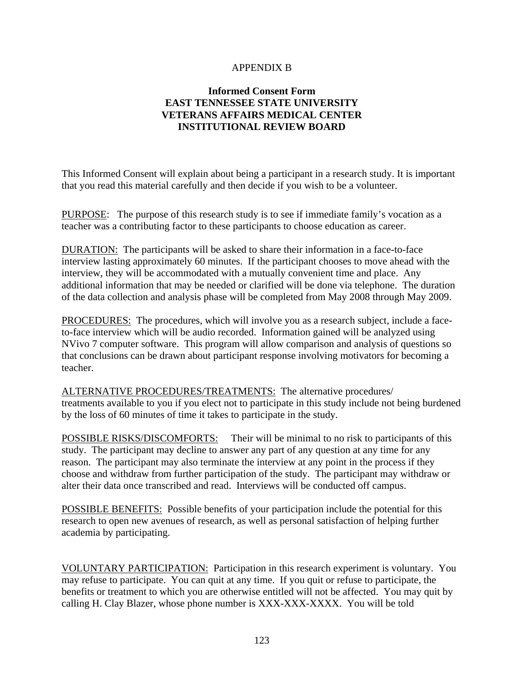#### APPENDIX B

### **Informed Consent Form EAST TENNESSEE STATE UNIVERSITY VETERANS AFFAIRS MEDICAL CENTER INSTITUTIONAL REVIEW BOARD**

This Informed Consent will explain about being a participant in a research study. It is important that you read this material carefully and then decide if you wish to be a volunteer.

PURPOSE: The purpose of this research study is to see if immediate family's vocation as a teacher was a contributing factor to these participants to choose education as career.

DURATION: The participants will be asked to share their information in a face-to-face interview lasting approximately 60 minutes. If the participant chooses to move ahead with the interview, they will be accommodated with a mutually convenient time and place. Any additional information that may be needed or clarified will be done via telephone. The duration of the data collection and analysis phase will be completed from May 2008 through May 2009.

PROCEDURES: The procedures, which will involve you as a research subject, include a faceto-face interview which will be audio recorded. Information gained will be analyzed using NVivo 7 computer software. This program will allow comparison and analysis of questions so that conclusions can be drawn about participant response involving motivators for becoming a teacher.

ALTERNATIVE PROCEDURES/TREATMENTS: The alternative procedures/ treatments available to you if you elect not to participate in this study include not being burdened by the loss of 60 minutes of time it takes to participate in the study.

POSSIBLE RISKS/DISCOMFORTS: Their will be minimal to no risk to participants of this study. The participant may decline to answer any part of any question at any time for any reason. The participant may also terminate the interview at any point in the process if they choose and withdraw from further participation of the study. The participant may withdraw or alter their data once transcribed and read. Interviews will be conducted off campus.

POSSIBLE BENEFITS: Possible benefits of your participation include the potential for this research to open new avenues of research, as well as personal satisfaction of helping further academia by participating.

VOLUNTARY PARTICIPATION: Participation in this research experiment is voluntary. You may refuse to participate. You can quit at any time. If you quit or refuse to participate, the benefits or treatment to which you are otherwise entitled will not be affected. You may quit by calling H. Clay Blazer, whose phone number is XXX-XXX-XXXX. You will be told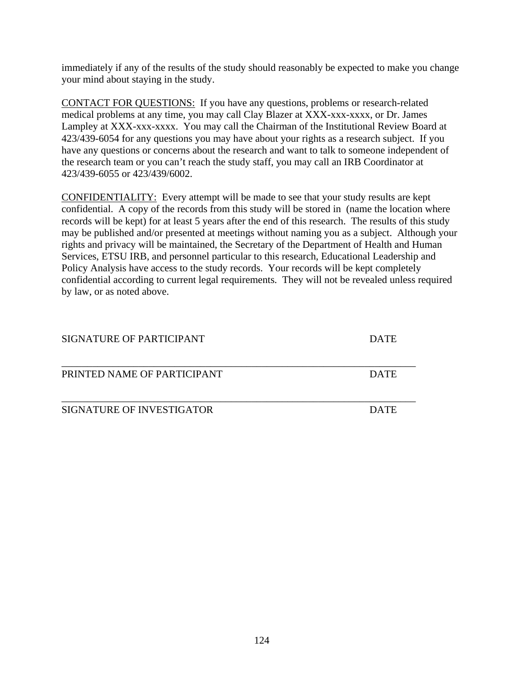immediately if any of the results of the study should reasonably be expected to make you change your mind about staying in the study.

CONTACT FOR QUESTIONS: If you have any questions, problems or research-related medical problems at any time, you may call Clay Blazer at XXX-xxx-xxxx, or Dr. James Lampley at XXX-xxx-xxxx. You may call the Chairman of the Institutional Review Board at 423/439-6054 for any questions you may have about your rights as a research subject. If you have any questions or concerns about the research and want to talk to someone independent of the research team or you can't reach the study staff, you may call an IRB Coordinator at 423/439-6055 or 423/439/6002.

CONFIDENTIALITY: Every attempt will be made to see that your study results are kept confidential. A copy of the records from this study will be stored in (name the location where records will be kept) for at least 5 years after the end of this research. The results of this study may be published and/or presented at meetings without naming you as a subject. Although your rights and privacy will be maintained, the Secretary of the Department of Health and Human Services, ETSU IRB, and personnel particular to this research, Educational Leadership and Policy Analysis have access to the study records. Your records will be kept completely confidential according to current legal requirements. They will not be revealed unless required by law, or as noted above.

| SIGNATURE OF PARTICIPANT    | <b>DATE</b> |
|-----------------------------|-------------|
| PRINTED NAME OF PARTICIPANT | <b>DATE</b> |
| SIGNATURE OF INVESTIGATOR   | <b>DATE</b> |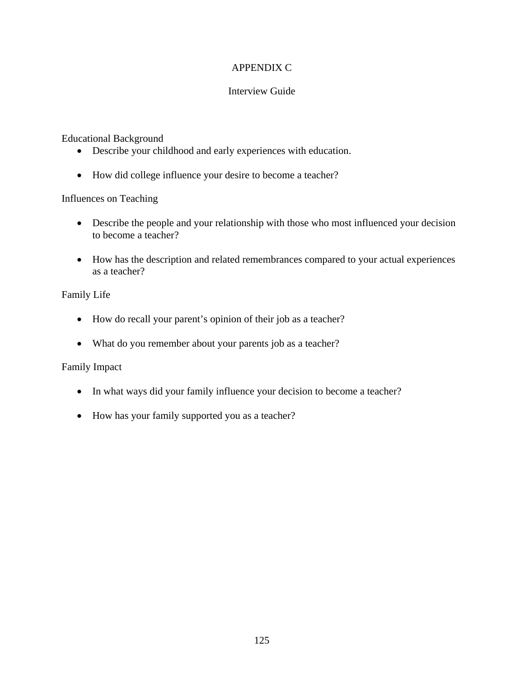### APPENDIX C

### Interview Guide

### Educational Background

- Describe your childhood and early experiences with education.
- How did college influence your desire to become a teacher?

### Influences on Teaching

- Describe the people and your relationship with those who most influenced your decision to become a teacher?
- How has the description and related remembrances compared to your actual experiences as a teacher?

### Family Life

- How do recall your parent's opinion of their job as a teacher?
- What do you remember about your parents job as a teacher?

### Family Impact

- In what ways did your family influence your decision to become a teacher?
- How has your family supported you as a teacher?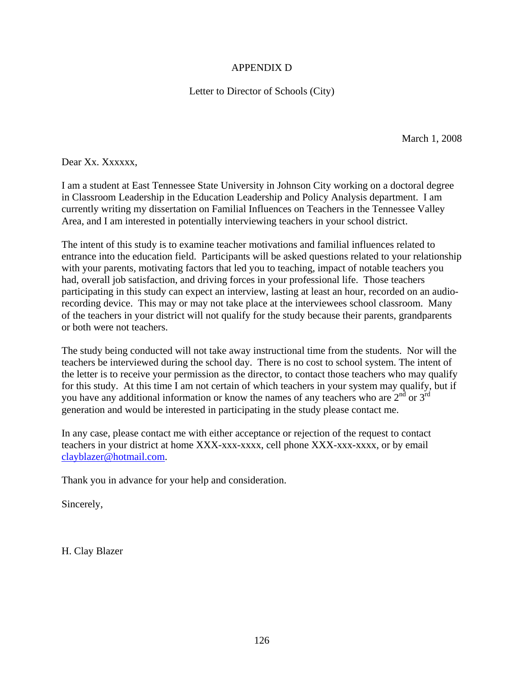### APPENDIX D

Letter to Director of Schools (City)

March 1, 2008

Dear Xx. Xxxxxx.

I am a student at East Tennessee State University in Johnson City working on a doctoral degree in Classroom Leadership in the Education Leadership and Policy Analysis department. I am currently writing my dissertation on Familial Influences on Teachers in the Tennessee Valley Area, and I am interested in potentially interviewing teachers in your school district.

The intent of this study is to examine teacher motivations and familial influences related to entrance into the education field. Participants will be asked questions related to your relationship with your parents, motivating factors that led you to teaching, impact of notable teachers you had, overall job satisfaction, and driving forces in your professional life. Those teachers participating in this study can expect an interview, lasting at least an hour, recorded on an audiorecording device. This may or may not take place at the interviewees school classroom. Many of the teachers in your district will not qualify for the study because their parents, grandparents or both were not teachers.

The study being conducted will not take away instructional time from the students. Nor will the teachers be interviewed during the school day. There is no cost to school system. The intent of the letter is to receive your permission as the director, to contact those teachers who may qualify for this study. At this time I am not certain of which teachers in your system may qualify, but if you have any additional information or know the names of any teachers who are  $2<sup>nd</sup>$  or  $3<sup>rd</sup>$ generation and would be interested in participating in the study please contact me.

In any case, please contact me with either acceptance or rejection of the request to contact teachers in your district at home XXX-xxx-xxxx, cell phone XXX-xxx-xxxx, or by email clayblazer@hotmail.com.

Thank you in advance for your help and consideration.

Sincerely,

H. Clay Blazer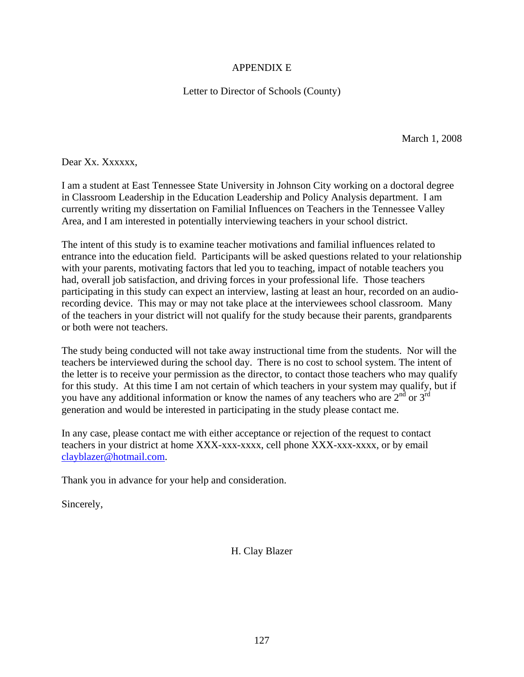### APPENDIX E

Letter to Director of Schools (County)

March 1, 2008

Dear Xx. Xxxxxx.

I am a student at East Tennessee State University in Johnson City working on a doctoral degree in Classroom Leadership in the Education Leadership and Policy Analysis department. I am currently writing my dissertation on Familial Influences on Teachers in the Tennessee Valley Area, and I am interested in potentially interviewing teachers in your school district.

The intent of this study is to examine teacher motivations and familial influences related to entrance into the education field. Participants will be asked questions related to your relationship with your parents, motivating factors that led you to teaching, impact of notable teachers you had, overall job satisfaction, and driving forces in your professional life. Those teachers participating in this study can expect an interview, lasting at least an hour, recorded on an audiorecording device. This may or may not take place at the interviewees school classroom. Many of the teachers in your district will not qualify for the study because their parents, grandparents or both were not teachers.

The study being conducted will not take away instructional time from the students. Nor will the teachers be interviewed during the school day. There is no cost to school system. The intent of the letter is to receive your permission as the director, to contact those teachers who may qualify for this study. At this time I am not certain of which teachers in your system may qualify, but if you have any additional information or know the names of any teachers who are  $2<sup>nd</sup>$  or  $3<sup>rd</sup>$ generation and would be interested in participating in the study please contact me.

In any case, please contact me with either acceptance or rejection of the request to contact teachers in your district at home XXX-xxx-xxxx, cell phone XXX-xxx-xxxx, or by email clayblazer@hotmail.com.

Thank you in advance for your help and consideration.

Sincerely,

H. Clay Blazer